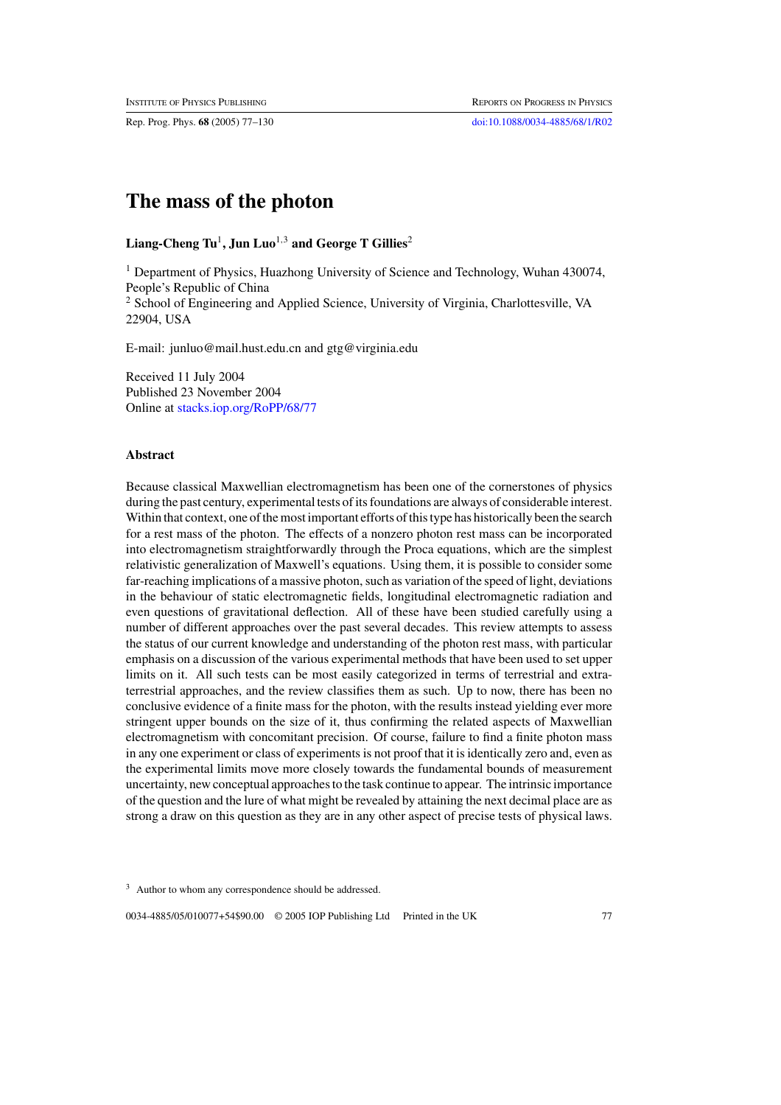Rep. Prog. Phys. **68** (2005) 77–130 [doi:10.1088/0034-4885/68/1/R02](http://dx.doi.org/10.1088/0034-4885/68/1/R02)

# **The mass of the photon**

# **Liang-Cheng Tu**1**, Jun Luo**1*,*<sup>3</sup> **and George T Gillies**<sup>2</sup>

<sup>1</sup> Department of Physics, Huazhong University of Science and Technology, Wuhan 430074, People's Republic of China <sup>2</sup> School of Engineering and Applied Science, University of Virginia, Charlottesville, VA 22904, USA

E-mail: junluo@mail.hust.edu.cn and gtg@virginia.edu

Received 11 July 2004 Published 23 November 2004 Online at [stacks.iop.org/RoPP/68/77](http://stacks.iop.org/rp/68/77)

# **Abstract**

Because classical Maxwellian electromagnetism has been one of the cornerstones of physics during the past century, experimental tests of its foundations are always of considerable interest. Within that context, one of the most important efforts of this type has historically been the search for a rest mass of the photon. The effects of a nonzero photon rest mass can be incorporated into electromagnetism straightforwardly through the Proca equations, which are the simplest relativistic generalization of Maxwell's equations. Using them, it is possible to consider some far-reaching implications of a massive photon, such as variation of the speed of light, deviations in the behaviour of static electromagnetic fields, longitudinal electromagnetic radiation and even questions of gravitational deflection. All of these have been studied carefully using a number of different approaches over the past several decades. This review attempts to assess the status of our current knowledge and understanding of the photon rest mass, with particular emphasis on a discussion of the various experimental methods that have been used to set upper limits on it. All such tests can be most easily categorized in terms of terrestrial and extraterrestrial approaches, and the review classifies them as such. Up to now, there has been no conclusive evidence of a finite mass for the photon, with the results instead yielding ever more stringent upper bounds on the size of it, thus confirming the related aspects of Maxwellian electromagnetism with concomitant precision. Of course, failure to find a finite photon mass in any one experiment or class of experiments is not proof that it is identically zero and, even as the experimental limits move more closely towards the fundamental bounds of measurement uncertainty, new conceptual approaches to the task continue to appear. The intrinsic importance of the question and the lure of what might be revealed by attaining the next decimal place are as strong a draw on this question as they are in any other aspect of precise tests of physical laws.

<sup>3</sup> Author to whom any correspondence should be addressed.

0034-4885/05/010077+54\$90.00 © 2005 IOP Publishing Ltd Printed in the UK 77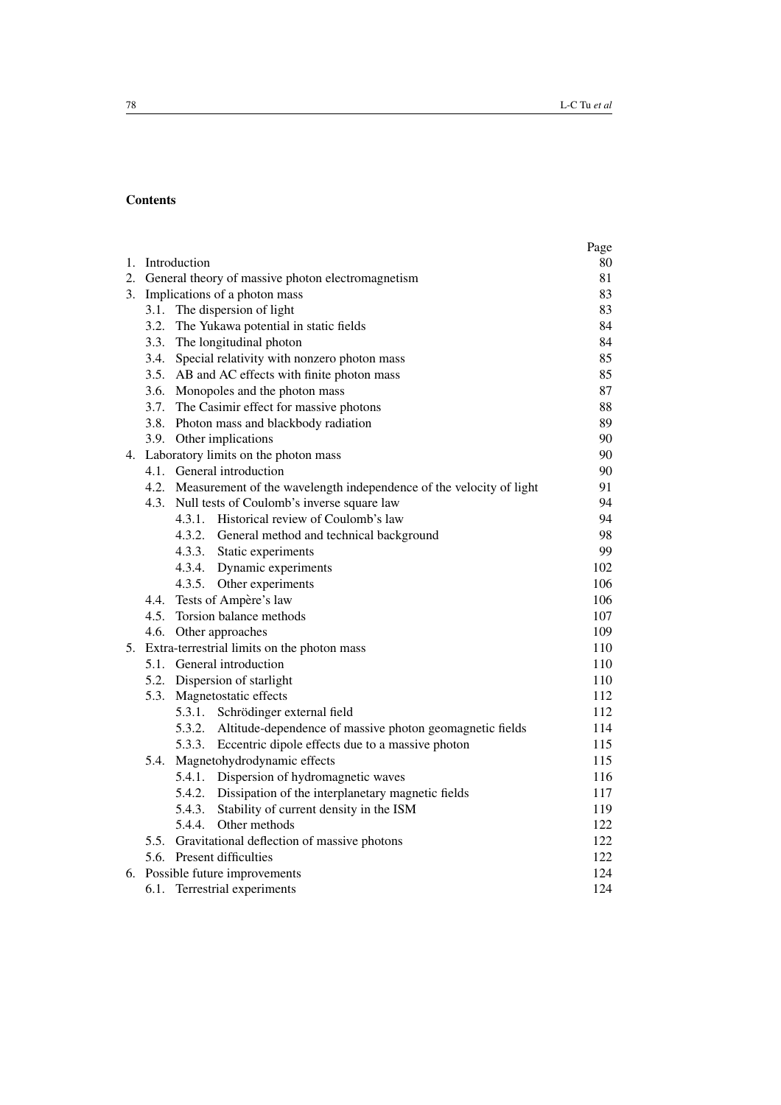# **Contents**

|    |      |                                                                                          | Page     |
|----|------|------------------------------------------------------------------------------------------|----------|
|    |      | 1. Introduction                                                                          | 80<br>81 |
|    |      | 2. General theory of massive photon electromagnetism<br>3. Implications of a photon mass | 83       |
|    |      | 3.1. The dispersion of light                                                             | 83       |
|    | 3.2. | The Yukawa potential in static fields                                                    | 84       |
|    | 3.3. |                                                                                          | 84       |
|    |      | The longitudinal photon                                                                  | 85       |
|    |      | 3.4. Special relativity with nonzero photon mass                                         | 85       |
|    |      | 3.5. AB and AC effects with finite photon mass                                           | 87       |
|    |      | 3.6. Monopoles and the photon mass                                                       |          |
|    | 3.7. | The Casimir effect for massive photons                                                   | 88       |
|    | 3.8. | Photon mass and blackbody radiation                                                      | 89       |
|    |      | 3.9. Other implications                                                                  | 90       |
|    |      | 4. Laboratory limits on the photon mass                                                  | 90       |
|    |      | 4.1. General introduction                                                                | 90       |
|    |      | 4.2. Measurement of the wavelength independence of the velocity of light                 | 91       |
|    | 4.3. | Null tests of Coulomb's inverse square law                                               | 94       |
|    |      | 4.3.1. Historical review of Coulomb's law                                                | 94       |
|    |      | 4.3.2. General method and technical background                                           | 98       |
|    |      | 4.3.3. Static experiments                                                                | 99       |
|    |      | 4.3.4. Dynamic experiments                                                               | 102      |
|    |      | 4.3.5.<br>Other experiments                                                              | 106      |
|    |      | 4.4. Tests of Ampère's law                                                               | 106      |
|    |      | 4.5. Torsion balance methods                                                             | 107      |
|    |      | 4.6. Other approaches                                                                    | 109      |
| 5. |      | Extra-terrestrial limits on the photon mass                                              | 110      |
|    |      | 5.1. General introduction                                                                | 110      |
|    |      | 5.2. Dispersion of starlight                                                             | 110      |
|    | 5.3. | Magnetostatic effects                                                                    | 112      |
|    |      | 5.3.1. Schrödinger external field                                                        | 112      |
|    |      | 5.3.2. Altitude-dependence of massive photon geomagnetic fields                          | 114      |
|    |      | 5.3.3. Eccentric dipole effects due to a massive photon                                  | 115      |
|    | 5.4. | Magnetohydrodynamic effects                                                              | 115      |
|    |      | 5.4.1. Dispersion of hydromagnetic waves                                                 | 116      |
|    |      | 5.4.2. Dissipation of the interplanetary magnetic fields                                 | 117      |
|    |      | 5.4.3. Stability of current density in the ISM                                           | 119      |
|    |      | 5.4.4.<br>Other methods                                                                  | 122      |
|    |      | 5.5. Gravitational deflection of massive photons                                         | 122      |
|    |      | 5.6. Present difficulties                                                                | 122      |
|    |      | 6. Possible future improvements                                                          | 124      |
|    |      | 6.1. Terrestrial experiments                                                             | 124      |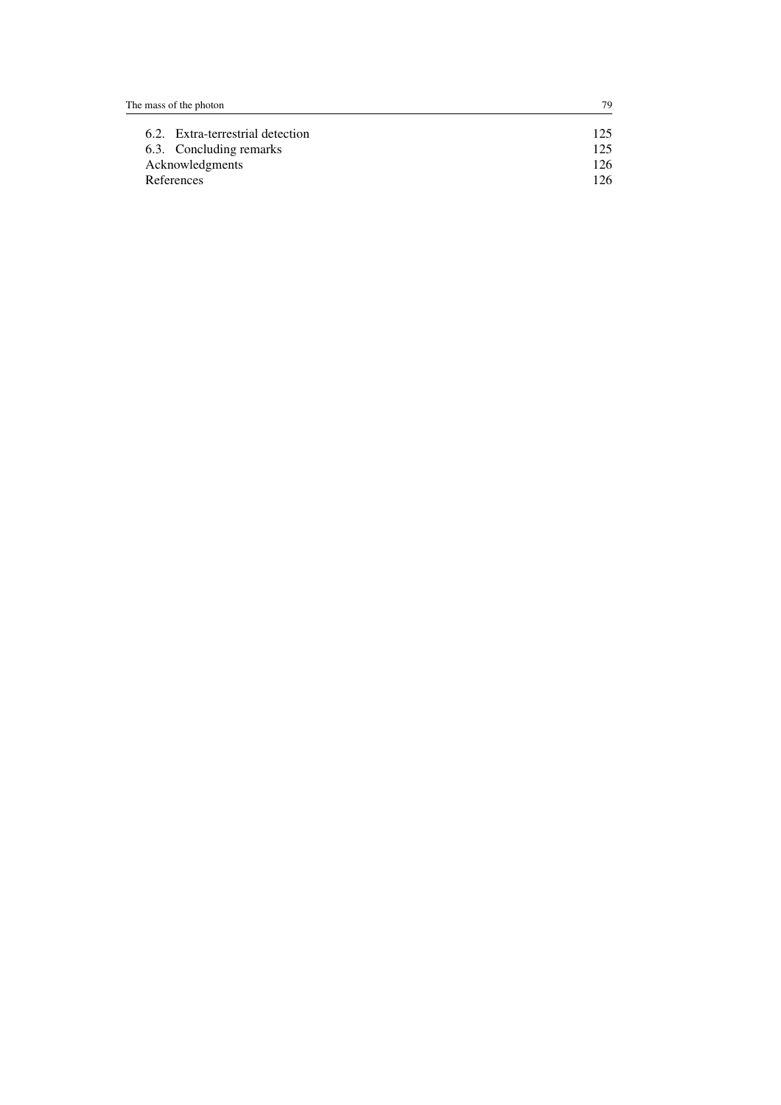| The mass of the photon           | 79  |  |
|----------------------------------|-----|--|
| 6.2. Extra-terrestrial detection | 125 |  |
| 6.3. Concluding remarks          | 125 |  |
| Acknowledgments                  | 126 |  |
| References                       | 126 |  |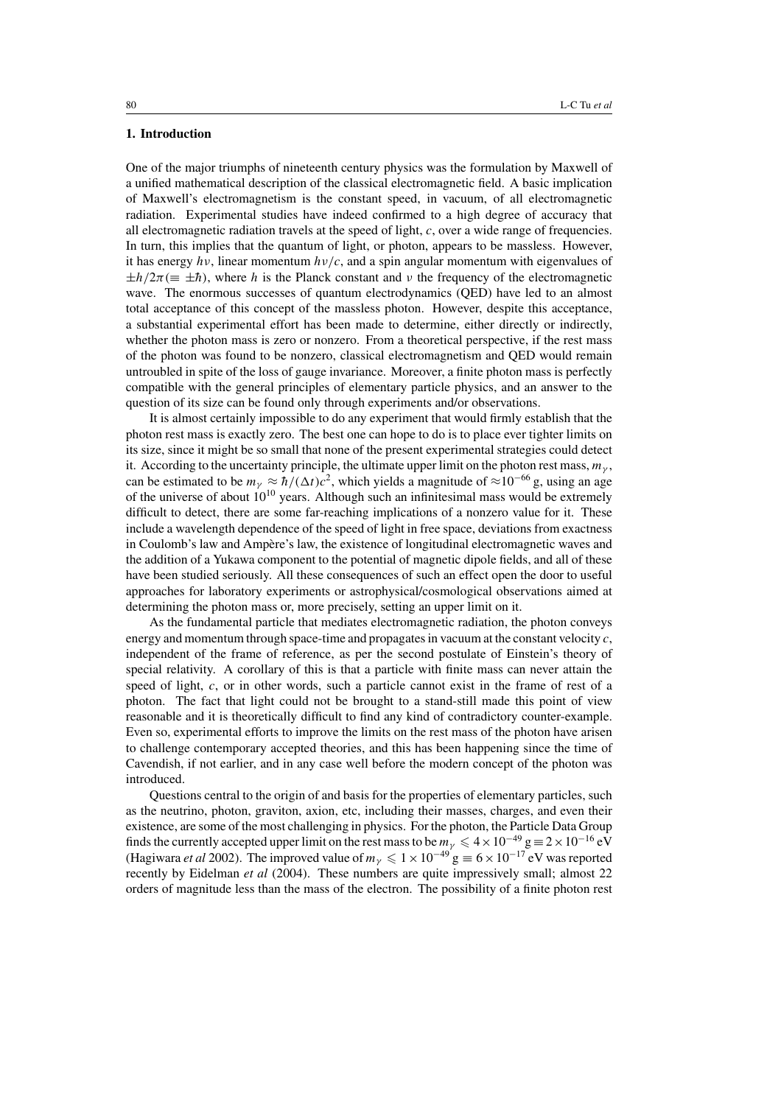## **1. Introduction**

One of the major triumphs of nineteenth century physics was the formulation by Maxwell of a unified mathematical description of the classical electromagnetic field. A basic implication of Maxwell's electromagnetism is the constant speed, in vacuum, of all electromagnetic radiation. Experimental studies have indeed confirmed to a high degree of accuracy that all electromagnetic radiation travels at the speed of light, *c*, over a wide range of frequencies. In turn, this implies that the quantum of light, or photon, appears to be massless. However, it has energy  $h\nu$ , linear momentum  $h\nu/c$ , and a spin angular momentum with eigenvalues of  $\pm h/2\pi (\equiv \pm \hbar)$ , where *h* is the Planck constant and *ν* the frequency of the electromagnetic wave. The enormous successes of quantum electrodynamics (QED) have led to an almost total acceptance of this concept of the massless photon. However, despite this acceptance, a substantial experimental effort has been made to determine, either directly or indirectly, whether the photon mass is zero or nonzero. From a theoretical perspective, if the rest mass of the photon was found to be nonzero, classical electromagnetism and QED would remain untroubled in spite of the loss of gauge invariance. Moreover, a finite photon mass is perfectly compatible with the general principles of elementary particle physics, and an answer to the question of its size can be found only through experiments and/or observations.

It is almost certainly impossible to do any experiment that would firmly establish that the photon rest mass is exactly zero. The best one can hope to do is to place ever tighter limits on its size, since it might be so small that none of the present experimental strategies could detect it. According to the uncertainty principle, the ultimate upper limit on the photon rest mass,  $m_{\gamma}$ , can be estimated to be  $m_{\gamma} \approx \hbar/(\Delta t) c^2$ , which yields a magnitude of  $\approx 10^{-66}$  g, using an age of the universe of about  $10^{10}$  years. Although such an infinitesimal mass would be extremely difficult to detect, there are some far-reaching implications of a nonzero value for it. These include a wavelength dependence of the speed of light in free space, deviations from exactness in Coulomb's law and Ampere's law, the existence of longitudinal electromagnetic waves and ` the addition of a Yukawa component to the potential of magnetic dipole fields, and all of these have been studied seriously. All these consequences of such an effect open the door to useful approaches for laboratory experiments or astrophysical/cosmological observations aimed at determining the photon mass or, more precisely, setting an upper limit on it.

As the fundamental particle that mediates electromagnetic radiation, the photon conveys energy and momentum through space-time and propagates in vacuum at the constant velocity *c*, independent of the frame of reference, as per the second postulate of Einstein's theory of special relativity. A corollary of this is that a particle with finite mass can never attain the speed of light, *c*, or in other words, such a particle cannot exist in the frame of rest of a photon. The fact that light could not be brought to a stand-still made this point of view reasonable and it is theoretically difficult to find any kind of contradictory counter-example. Even so, experimental efforts to improve the limits on the rest mass of the photon have arisen to challenge contemporary accepted theories, and this has been happening since the time of Cavendish, if not earlier, and in any case well before the modern concept of the photon was introduced.

Questions central to the origin of and basis for the properties of elementary particles, such as the neutrino, photon, graviton, axion, etc, including their masses, charges, and even their existence, are some of the most challenging in physics. For the photon, the Particle Data Group finds the currently accepted upper limit on the rest mass to be  $m_\gamma \leq 4 \times 10^{-49}$  g = 2 × 10<sup>-16</sup> eV (Hagiwara *et al* 2002). The improved value of  $m<sub>\gamma</sub> \leq 1 \times 10^{-49}$  g =  $6 \times 10^{-17}$  eV was reported recently by Eidelman *et al* (2004). These numbers are quite impressively small; almost 22 orders of magnitude less than the mass of the electron. The possibility of a finite photon rest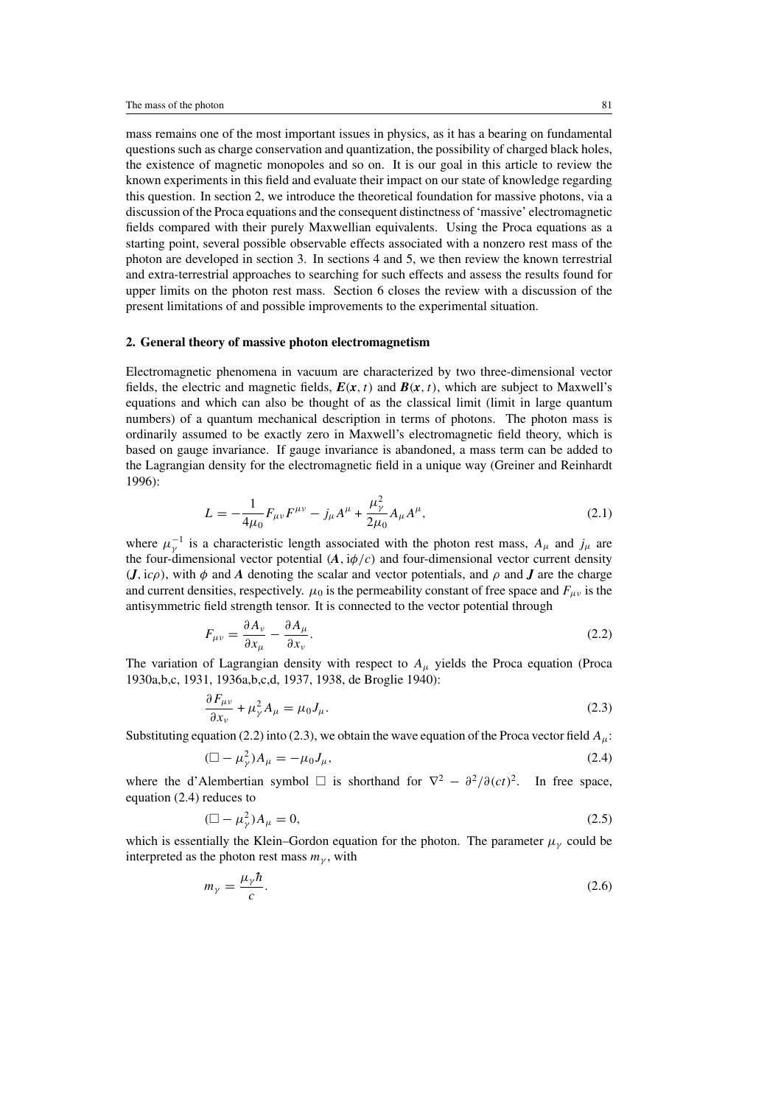mass remains one of the most important issues in physics, as it has a bearing on fundamental questions such as charge conservation and quantization, the possibility of charged black holes, the existence of magnetic monopoles and so on. It is our goal in this article to review the known experiments in this field and evaluate their impact on our state of knowledge regarding this question. In section 2, we introduce the theoretical foundation for massive photons, via a discussion of the Proca equations and the consequent distinctness of 'massive' electromagnetic fields compared with their purely Maxwellian equivalents. Using the Proca equations as a starting point, several possible observable effects associated with a nonzero rest mass of the photon are developed in section 3. In sections 4 and 5, we then review the known terrestrial and extra-terrestrial approaches to searching for such effects and assess the results found for upper limits on the photon rest mass. Section 6 closes the review with a discussion of the present limitations of and possible improvements to the experimental situation.

#### **2. General theory of massive photon electromagnetism**

Electromagnetic phenomena in vacuum are characterized by two three-dimensional vector fields, the electric and magnetic fields,  $E(x, t)$  and  $B(x, t)$ , which are subject to Maxwell's equations and which can also be thought of as the classical limit (limit in large quantum numbers) of a quantum mechanical description in terms of photons. The photon mass is ordinarily assumed to be exactly zero in Maxwell's electromagnetic field theory, which is based on gauge invariance. If gauge invariance is abandoned, a mass term can be added to the Lagrangian density for the electromagnetic field in a unique way (Greiner and Reinhardt 1996):

$$
L = -\frac{1}{4\mu_0} F_{\mu\nu} F^{\mu\nu} - j_{\mu} A^{\mu} + \frac{\mu_{\gamma}^2}{2\mu_0} A_{\mu} A^{\mu}, \tag{2.1}
$$

where  $\mu_{\gamma}^{-1}$  is a characteristic length associated with the photon rest mass,  $A_{\mu}$  and  $j_{\mu}$  are the four-dimensional vector potential  $(A, i\phi/c)$  and four-dimensional vector current density  $(**J**, *i*$ *c* $\rho$ ), with  $\phi$  and  $\vec{A}$  denoting the scalar and vector potentials, and  $\rho$  and  $\vec{J}$  are the charge and current densities, respectively.  $\mu_0$  is the permeability constant of free space and  $F_{\mu\nu}$  is the antisymmetric field strength tensor. It is connected to the vector potential through

$$
F_{\mu\nu} = \frac{\partial A_{\nu}}{\partial x_{\mu}} - \frac{\partial A_{\mu}}{\partial x_{\nu}}.
$$
\n(2.2)

The variation of Lagrangian density with respect to  $A_\mu$  yields the Proca equation (Proca 1930a,b,c, 1931, 1936a,b,c,d, 1937, 1938, de Broglie 1940):

$$
\frac{\partial F_{\mu\nu}}{\partial x_{\nu}} + \mu_{\gamma}^2 A_{\mu} = \mu_0 J_{\mu}.
$$
\n(2.3)

Substituting equation (2.2) into (2.3), we obtain the wave equation of the Proca vector field  $A<sub>u</sub>$ :

$$
(\Box - \mu_{\gamma}^2) A_{\mu} = -\mu_0 J_{\mu}, \qquad (2.4)
$$

where the d'Alembertian symbol  $\Box$  is shorthand for  $\nabla^2 - \frac{\partial^2}{\partial (ct)^2}$ . In free space, equation (2.4) reduces to

$$
(\Box - \mu_\gamma^2) A_\mu = 0,\t(2.5)
$$

which is essentially the Klein–Gordon equation for the photon. The parameter  $\mu_{\gamma}$  could be interpreted as the photon rest mass  $m<sub>\gamma</sub>$ , with

$$
m_{\gamma} = \frac{\mu_{\gamma} \hbar}{c}.
$$
\n(2.6)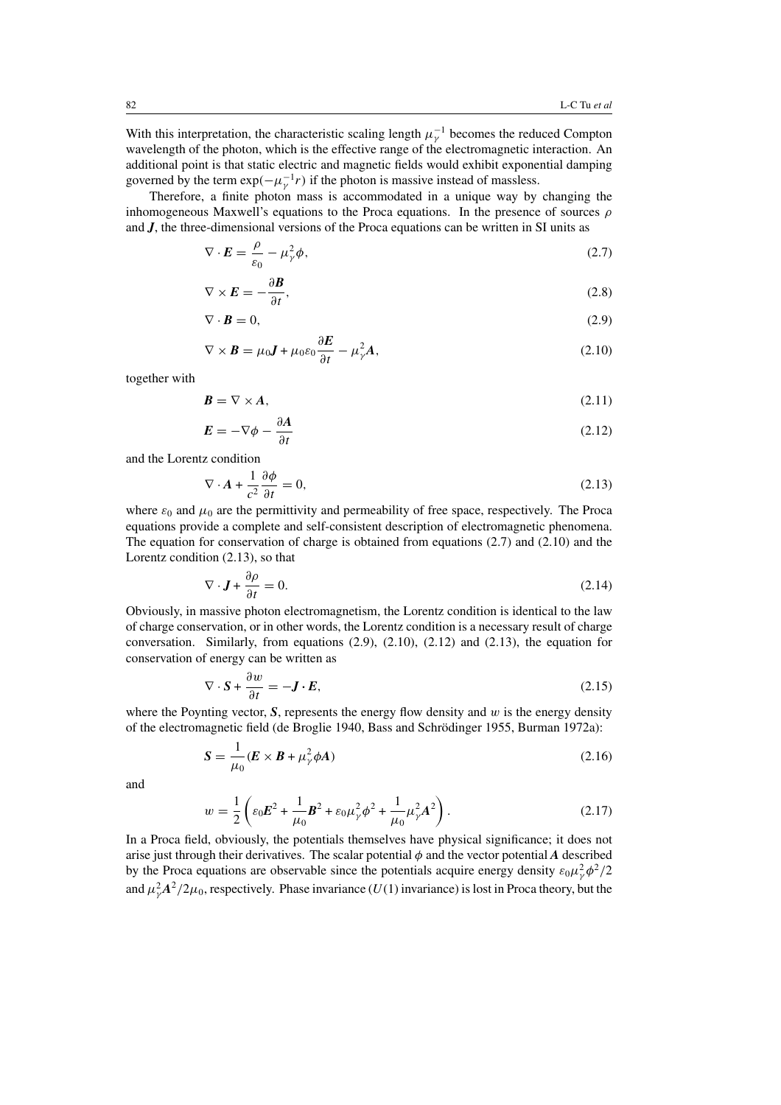With this interpretation, the characteristic scaling length  $\mu_{\gamma}^{-1}$  becomes the reduced Compton wavelength of the photon, which is the effective range of the electromagnetic interaction. An additional point is that static electric and magnetic fields would exhibit exponential damping governed by the term  $\exp(-\mu_{\gamma}^{-1}r)$  if the photon is massive instead of massless.

Therefore, a finite photon mass is accommodated in a unique way by changing the inhomogeneous Maxwell's equations to the Proca equations. In the presence of sources *ρ* and *J*, the three-dimensional versions of the Proca equations can be written in SI units as

$$
\nabla \cdot \boldsymbol{E} = \frac{\rho}{\varepsilon_0} - \mu_\gamma^2 \phi, \tag{2.7}
$$

$$
\nabla \times \boldsymbol{E} = -\frac{\partial \boldsymbol{B}}{\partial t},\tag{2.8}
$$

$$
\nabla \cdot \mathbf{B} = 0,\tag{2.9}
$$

$$
\nabla \times \mathbf{B} = \mu_0 \mathbf{J} + \mu_0 \varepsilon_0 \frac{\partial \mathbf{E}}{\partial t} - \mu_\gamma^2 \mathbf{A},
$$
\n(2.10)

together with

$$
\mathbf{B} = \nabla \times \mathbf{A},\tag{2.11}
$$

$$
E = -\nabla \phi - \frac{\partial A}{\partial t} \tag{2.12}
$$

and the Lorentz condition

$$
\nabla \cdot \mathbf{A} + \frac{1}{c^2} \frac{\partial \phi}{\partial t} = 0,\tag{2.13}
$$

where  $\varepsilon_0$  and  $\mu_0$  are the permittivity and permeability of free space, respectively. The Proca equations provide a complete and self-consistent description of electromagnetic phenomena. The equation for conservation of charge is obtained from equations (2.7) and (2.10) and the Lorentz condition (2.13), so that

$$
\nabla \cdot \mathbf{J} + \frac{\partial \rho}{\partial t} = 0. \tag{2.14}
$$

Obviously, in massive photon electromagnetism, the Lorentz condition is identical to the law of charge conservation, or in other words, the Lorentz condition is a necessary result of charge conversation. Similarly, from equations (2.9), (2.10), (2.12) and (2.13), the equation for conservation of energy can be written as

$$
\nabla \cdot \mathbf{S} + \frac{\partial w}{\partial t} = -\mathbf{J} \cdot \mathbf{E},\tag{2.15}
$$

where the Poynting vector,  $S$ , represents the energy flow density and  $w$  is the energy density of the electromagnetic field (de Broglie 1940, Bass and Schrodinger 1955, Burman 1972a): ¨

$$
\mathbf{S} = \frac{1}{\mu_0} (\mathbf{E} \times \mathbf{B} + \mu_\gamma^2 \phi \mathbf{A}) \tag{2.16}
$$

and

$$
w = \frac{1}{2} \left( \varepsilon_0 \mathbf{E}^2 + \frac{1}{\mu_0} \mathbf{B}^2 + \varepsilon_0 \mu_\gamma^2 \phi^2 + \frac{1}{\mu_0} \mu_\gamma^2 \mathbf{A}^2 \right).
$$
 (2.17)

In a Proca field, obviously, the potentials themselves have physical significance; it does not arise just through their derivatives. The scalar potential  $\phi$  and the vector potential *A* described by the Proca equations are observable since the potentials acquire energy density  $\varepsilon_0 \mu_\gamma^2 \phi^2/2$ and  $\mu_{\gamma}^2 A^2 / 2\mu_0$ , respectively. Phase invariance (*U*(1) invariance) is lost in Proca theory, but the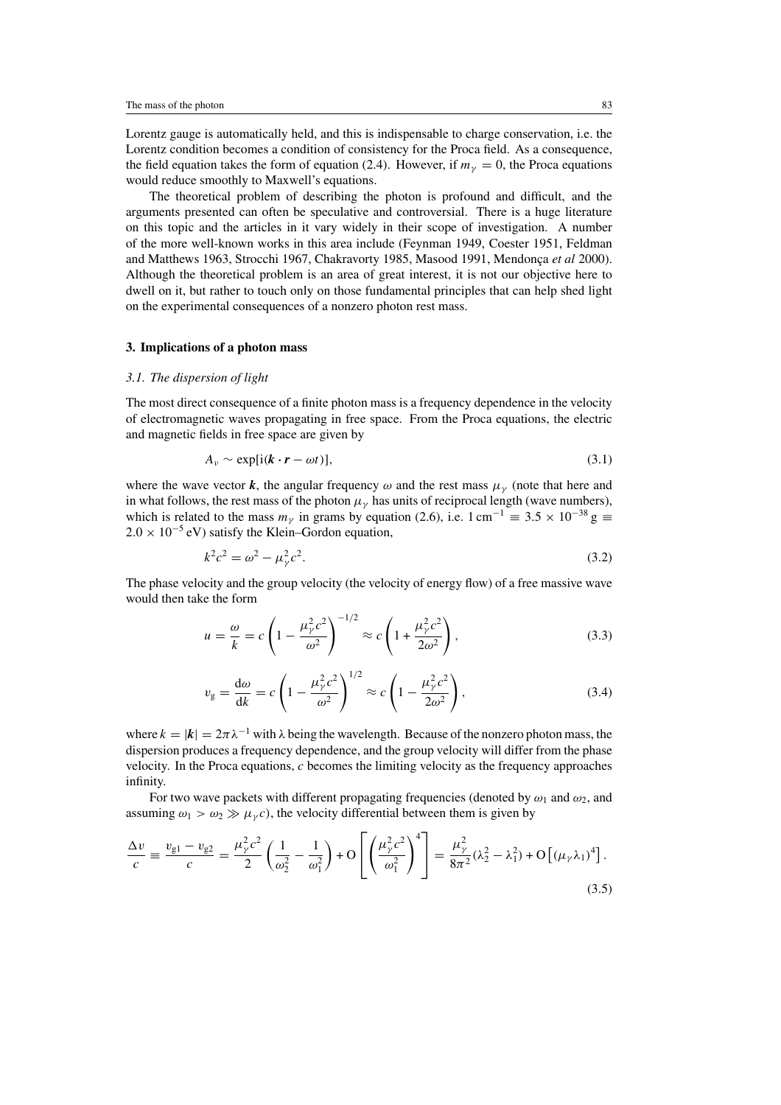Lorentz gauge is automatically held, and this is indispensable to charge conservation, i.e. the Lorentz condition becomes a condition of consistency for the Proca field. As a consequence, the field equation takes the form of equation (2.4). However, if  $m<sub>\gamma</sub> = 0$ , the Proca equations would reduce smoothly to Maxwell's equations.

The theoretical problem of describing the photon is profound and difficult, and the arguments presented can often be speculative and controversial. There is a huge literature on this topic and the articles in it vary widely in their scope of investigation. A number of the more well-known works in this area include (Feynman 1949, Coester 1951, Feldman and Matthews 1963, Strocchi 1967, Chakravorty 1985, Masood 1991, Mendonça et al 2000). Although the theoretical problem is an area of great interest, it is not our objective here to dwell on it, but rather to touch only on those fundamental principles that can help shed light on the experimental consequences of a nonzero photon rest mass.

# **3. Implications of a photon mass**

#### *3.1. The dispersion of light*

The most direct consequence of a finite photon mass is a frequency dependence in the velocity of electromagnetic waves propagating in free space. From the Proca equations, the electric and magnetic fields in free space are given by

$$
A_v \sim \exp[i(\mathbf{k} \cdot \mathbf{r} - \omega t)], \tag{3.1}
$$

where the wave vector *k*, the angular frequency  $\omega$  and the rest mass  $\mu_{\gamma}$  (note that here and in what follows, the rest mass of the photon  $\mu_{\gamma}$  has units of reciprocal length (wave numbers), which is related to the mass  $m_{\gamma}$  in grams by equation (2.6), i.e.  $1 \text{ cm}^{-1} \equiv 3.5 \times 10^{-38} \text{ g } \equiv$  $2.0 \times 10^{-5}$  eV) satisfy the Klein–Gordon equation,

$$
k^2c^2 = \omega^2 - \mu_\gamma^2c^2. \tag{3.2}
$$

The phase velocity and the group velocity (the velocity of energy flow) of a free massive wave would then take the form

$$
u = \frac{\omega}{k} = c \left( 1 - \frac{\mu_{\gamma}^2 c^2}{\omega^2} \right)^{-1/2} \approx c \left( 1 + \frac{\mu_{\gamma}^2 c^2}{2\omega^2} \right),\tag{3.3}
$$

$$
v_{\rm g} = \frac{\mathrm{d}\omega}{\mathrm{d}k} = c \left( 1 - \frac{\mu_{\gamma}^2 c^2}{\omega^2} \right)^{1/2} \approx c \left( 1 - \frac{\mu_{\gamma}^2 c^2}{2\omega^2} \right),\tag{3.4}
$$

where  $k = |\mathbf{k}| = 2\pi \lambda^{-1}$  with  $\lambda$  being the wavelength. Because of the nonzero photon mass, the dispersion produces a frequency dependence, and the group velocity will differ from the phase velocity. In the Proca equations, *c* becomes the limiting velocity as the frequency approaches infinity.

For two wave packets with different propagating frequencies (denoted by  $\omega_1$  and  $\omega_2$ , and assuming  $\omega_1 > \omega_2 \gg \mu_y c$ , the velocity differential between them is given by

$$
\frac{\Delta v}{c} \equiv \frac{v_{\rm gl} - v_{\rm g2}}{c} = \frac{\mu_{\gamma}^2 c^2}{2} \left( \frac{1}{\omega_2^2} - \frac{1}{\omega_1^2} \right) + \mathcal{O}\left[ \left( \frac{\mu_{\gamma}^2 c^2}{\omega_1^2} \right)^4 \right] = \frac{\mu_{\gamma}^2}{8\pi^2} (\lambda_2^2 - \lambda_1^2) + \mathcal{O}\left[ (\mu_{\gamma} \lambda_1)^4 \right].
$$
\n(3.5)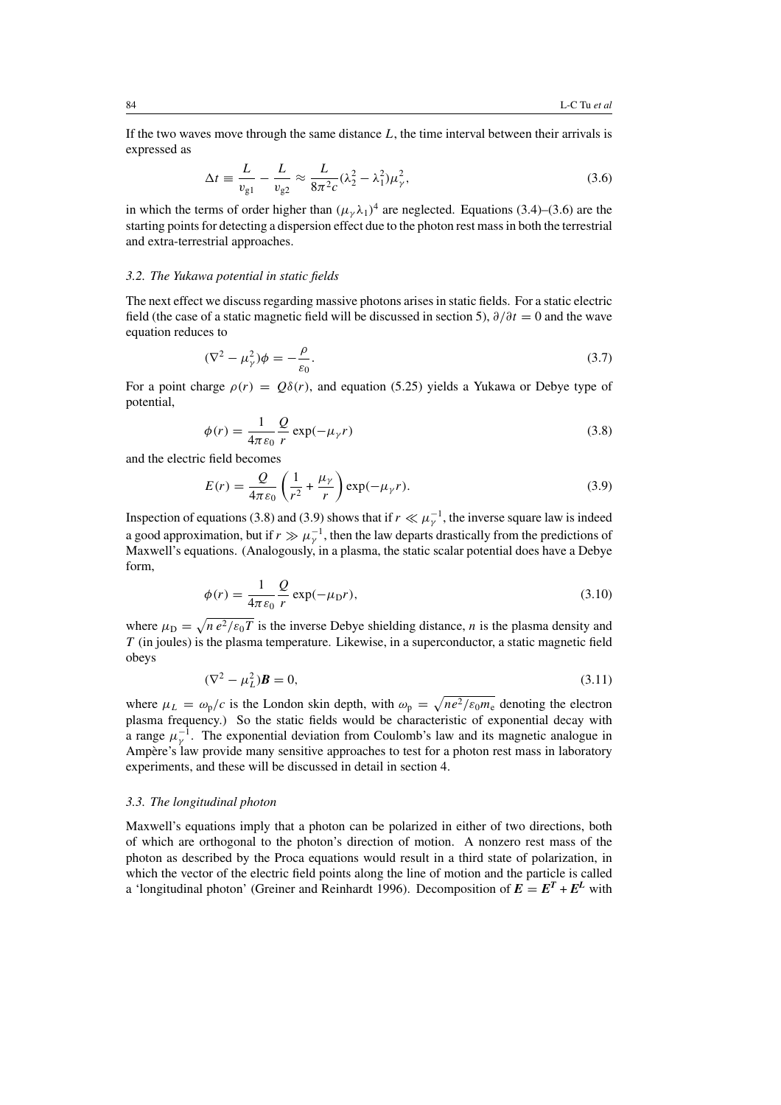If the two waves move through the same distance *L*, the time interval between their arrivals is expressed as

$$
\Delta t = \frac{L}{v_{\rm gl}} - \frac{L}{v_{\rm g2}} \approx \frac{L}{8\pi^2 c} (\lambda_2^2 - \lambda_1^2) \mu_\gamma^2,\tag{3.6}
$$

in which the terms of order higher than  $(\mu_{\nu} \lambda_1)^4$  are neglected. Equations (3.4)–(3.6) are the starting points for detecting a dispersion effect due to the photon rest mass in both the terrestrial and extra-terrestrial approaches.

#### *3.2. The Yukawa potential in static fields*

The next effect we discuss regarding massive photons arises in static fields. For a static electric field (the case of a static magnetic field will be discussed in section 5), *∂/∂t* = 0 and the wave equation reduces to

$$
(\nabla^2 - \mu_\gamma^2)\phi = -\frac{\rho}{\varepsilon_0}.\tag{3.7}
$$

For a point charge  $\rho(r) = Q\delta(r)$ , and equation (5.25) yields a Yukawa or Debye type of potential,

$$
\phi(r) = \frac{1}{4\pi\epsilon_0} \frac{Q}{r} \exp(-\mu_\gamma r) \tag{3.8}
$$

and the electric field becomes

$$
E(r) = \frac{Q}{4\pi\varepsilon_0} \left(\frac{1}{r^2} + \frac{\mu_\gamma}{r}\right) \exp(-\mu_\gamma r). \tag{3.9}
$$

Inspection of equations (3.8) and (3.9) shows that if  $r \ll \mu_{\gamma}^{-1}$ , the inverse square law is indeed a good approximation, but if  $r \gg \mu_{\gamma}^{-1}$ , then the law departs drastically from the predictions of Maxwell's equations. (Analogously, in a plasma, the static scalar potential does have a Debye form,

$$
\phi(r) = \frac{1}{4\pi\epsilon_0} \frac{Q}{r} \exp(-\mu_D r),\tag{3.10}
$$

where  $\mu_{\text{D}} = \sqrt{n e^2/\varepsilon_0 T}$  is the inverse Debye shielding distance, *n* is the plasma density and *T* (in joules) is the plasma temperature. Likewise, in a superconductor, a static magnetic field obeys

$$
(\nabla^2 - \mu_L^2)\mathbf{B} = 0,\tag{3.11}
$$

where  $\mu_L = \omega_p/c$  is the London skin depth, with  $\omega_p = \sqrt{ne^2/\epsilon_0 m_e}$  denoting the electron plasma frequency.) So the static fields would be characteristic of exponential decay with a range  $\mu_{\gamma}^{-1}$ . The exponential deviation from Coulomb's law and its magnetic analogue in Ampère's law provide many sensitive approaches to test for a photon rest mass in laboratory experiments, and these will be discussed in detail in section 4.

#### *3.3. The longitudinal photon*

Maxwell's equations imply that a photon can be polarized in either of two directions, both of which are orthogonal to the photon's direction of motion. A nonzero rest mass of the photon as described by the Proca equations would result in a third state of polarization, in which the vector of the electric field points along the line of motion and the particle is called a 'longitudinal photon' (Greiner and Reinhardt 1996). Decomposition of  $E = E^T + E^L$  with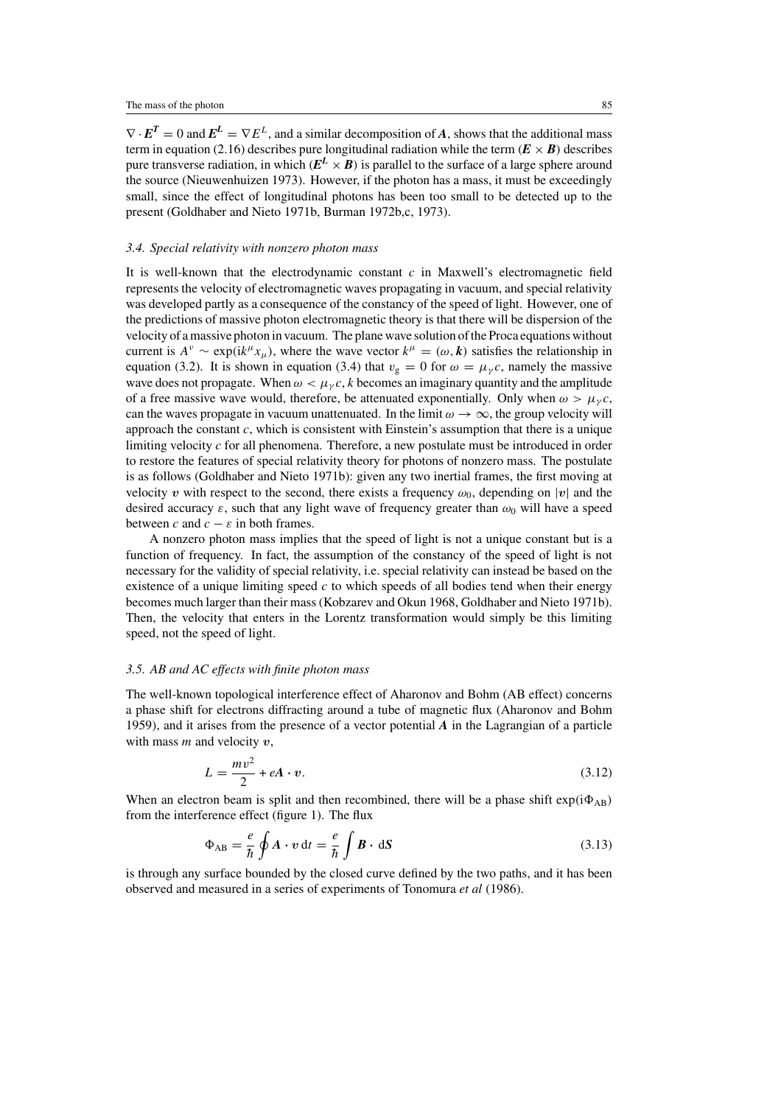$\nabla \cdot \mathbf{E}^T = 0$  and  $\mathbf{E}^L = \nabla E^L$ , and a similar decomposition of *A*, shows that the additional mass term in equation (2.16) describes pure longitudinal radiation while the term  $(E \times B)$  describes pure transverse radiation, in which  $(E^L \times B)$  is parallel to the surface of a large sphere around the source (Nieuwenhuizen 1973). However, if the photon has a mass, it must be exceedingly small, since the effect of longitudinal photons has been too small to be detected up to the present (Goldhaber and Nieto 1971b, Burman 1972b,c, 1973).

#### *3.4. Special relativity with nonzero photon mass*

It is well-known that the electrodynamic constant *c* in Maxwell's electromagnetic field represents the velocity of electromagnetic waves propagating in vacuum, and special relativity was developed partly as a consequence of the constancy of the speed of light. However, one of the predictions of massive photon electromagnetic theory is that there will be dispersion of the velocity of a massive photon in vacuum. The plane wave solution of the Proca equations without current is  $A^{\nu} \sim \exp(ik^{\mu}x_{\mu})$ , where the wave vector  $k^{\mu} = (\omega, \mathbf{k})$  satisfies the relationship in equation (3.2). It is shown in equation (3.4) that  $v_g = 0$  for  $\omega = \mu_{\gamma} c$ , namely the massive wave does not propagate. When  $\omega < \mu_y c$ , *k* becomes an imaginary quantity and the amplitude of a free massive wave would, therefore, be attenuated exponentially. Only when  $\omega > \mu_y c$ , can the waves propagate in vacuum unattenuated. In the limit  $\omega \to \infty$ , the group velocity will approach the constant *c*, which is consistent with Einstein's assumption that there is a unique limiting velocity *c* for all phenomena. Therefore, a new postulate must be introduced in order to restore the features of special relativity theory for photons of nonzero mass. The postulate is as follows (Goldhaber and Nieto 1971b): given any two inertial frames, the first moving at velocity *v* with respect to the second, there exists a frequency  $\omega_0$ , depending on |*v*| and the desired accuracy  $\varepsilon$ , such that any light wave of frequency greater than  $\omega_0$  will have a speed between *c* and  $c - \varepsilon$  in both frames.

A nonzero photon mass implies that the speed of light is not a unique constant but is a function of frequency. In fact, the assumption of the constancy of the speed of light is not necessary for the validity of special relativity, i.e. special relativity can instead be based on the existence of a unique limiting speed *c* to which speeds of all bodies tend when their energy becomes much larger than their mass (Kobzarev and Okun 1968, Goldhaber and Nieto 1971b). Then, the velocity that enters in the Lorentz transformation would simply be this limiting speed, not the speed of light.

#### *3.5. AB and AC effects with finite photon mass*

The well-known topological interference effect of Aharonov and Bohm (AB effect) concerns a phase shift for electrons diffracting around a tube of magnetic flux (Aharonov and Bohm 1959), and it arises from the presence of a vector potential *A* in the Lagrangian of a particle with mass *m* and velocity *v*,

$$
L = \frac{mv^2}{2} + eA \cdot v. \tag{3.12}
$$

When an electron beam is split and then recombined, there will be a phase shift  $\exp(i\Phi_{AB})$ from the interference effect (figure 1). The flux

$$
\Phi_{AB} = \frac{e}{\hbar} \oint A \cdot v \, dt = \frac{e}{\hbar} \int B \cdot dS \tag{3.13}
$$

is through any surface bounded by the closed curve defined by the two paths, and it has been observed and measured in a series of experiments of Tonomura *et al* (1986).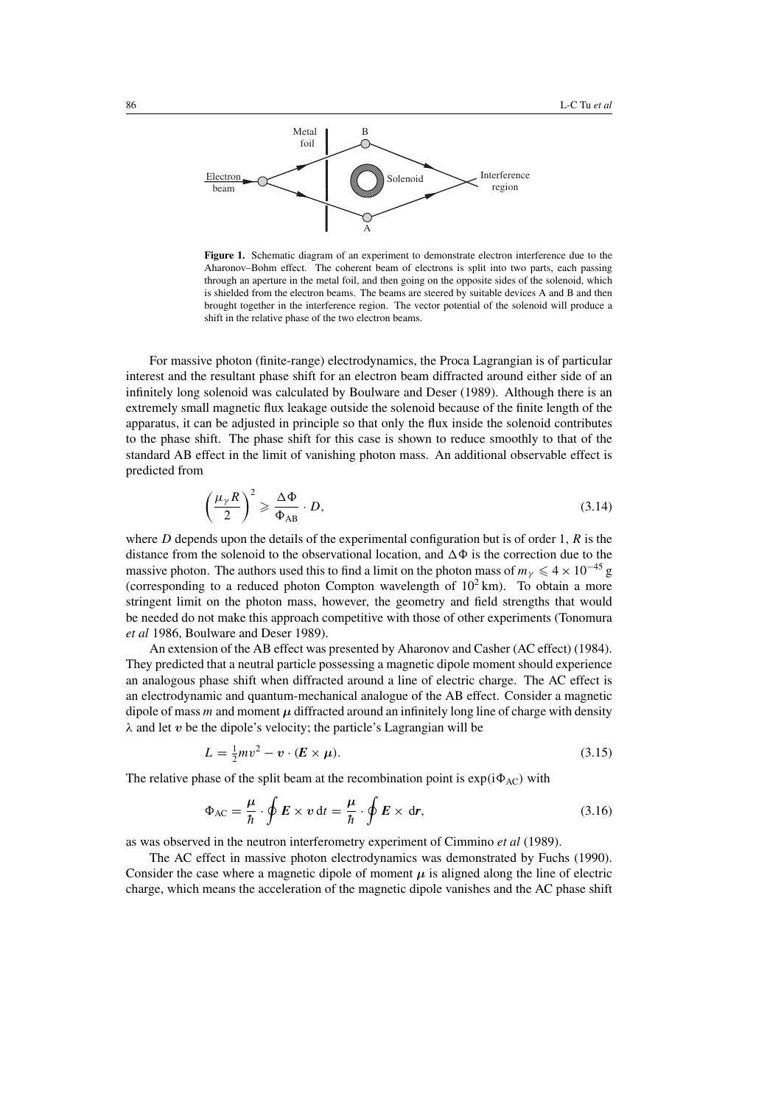

**Figure 1.** Schematic diagram of an experiment to demonstrate electron interference due to the Aharonov–Bohm effect. The coherent beam of electrons is split into two parts, each passing through an aperture in the metal foil, and then going on the opposite sides of the solenoid, which is shielded from the electron beams. The beams are steered by suitable devices A and B and then brought together in the interference region. The vector potential of the solenoid will produce a shift in the relative phase of the two electron beams.

For massive photon (finite-range) electrodynamics, the Proca Lagrangian is of particular interest and the resultant phase shift for an electron beam diffracted around either side of an infinitely long solenoid was calculated by Boulware and Deser (1989). Although there is an extremely small magnetic flux leakage outside the solenoid because of the finite length of the apparatus, it can be adjusted in principle so that only the flux inside the solenoid contributes to the phase shift. The phase shift for this case is shown to reduce smoothly to that of the standard AB effect in the limit of vanishing photon mass. An additional observable effect is predicted from

$$
\left(\frac{\mu_{\gamma}R}{2}\right)^2 \geqslant \frac{\Delta\Phi}{\Phi_{AB}} \cdot D,\tag{3.14}
$$

where *D* depends upon the details of the experimental configuration but is of order 1, *R* is the distance from the solenoid to the observational location, and  $\Delta\Phi$  is the correction due to the massive photon. The authors used this to find a limit on the photon mass of  $m_\nu \leq 4 \times 10^{-45}$  g (corresponding to a reduced photon Compton wavelength of  $10^2$  km). To obtain a more stringent limit on the photon mass, however, the geometry and field strengths that would be needed do not make this approach competitive with those of other experiments (Tonomura *et al* 1986, Boulware and Deser 1989).

An extension of the AB effect was presented by Aharonov and Casher (AC effect) (1984). They predicted that a neutral particle possessing a magnetic dipole moment should experience an analogous phase shift when diffracted around a line of electric charge. The AC effect is an electrodynamic and quantum-mechanical analogue of the AB effect. Consider a magnetic dipole of mass *m* and moment  $\mu$  diffracted around an infinitely long line of charge with density *λ* and let *v* be the dipole's velocity; the particle's Lagrangian will be

$$
L = \frac{1}{2}mv^2 - \mathbf{v} \cdot (\mathbf{E} \times \boldsymbol{\mu}). \tag{3.15}
$$

The relative phase of the split beam at the recombination point is  $\exp(i\Phi_{AC})$  with

$$
\Phi_{AC} = \frac{\mu}{\hbar} \cdot \oint E \times v \, dt = \frac{\mu}{\hbar} \cdot \oint E \times dr, \tag{3.16}
$$

as was observed in the neutron interferometry experiment of Cimmino *et al* (1989).

The AC effect in massive photon electrodynamics was demonstrated by Fuchs (1990). Consider the case where a magnetic dipole of moment  $\mu$  is aligned along the line of electric charge, which means the acceleration of the magnetic dipole vanishes and the AC phase shift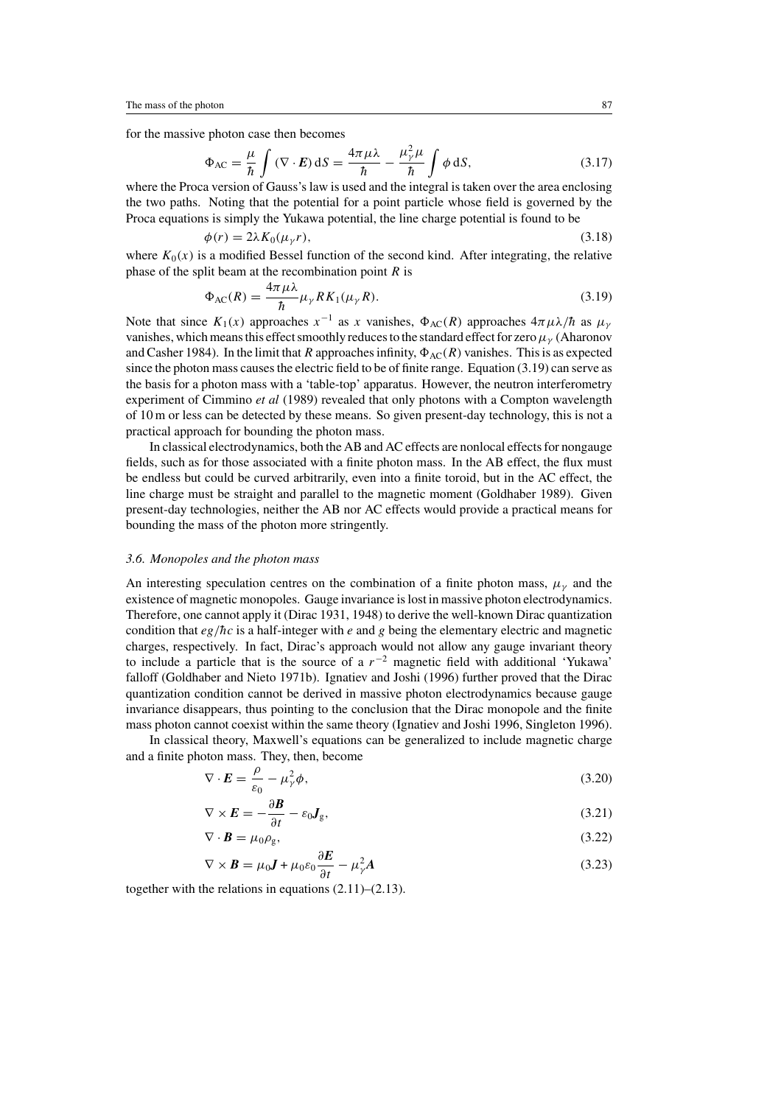for the massive photon case then becomes

$$
\Phi_{AC} = \frac{\mu}{\hbar} \int (\nabla \cdot \mathbf{E}) dS = \frac{4\pi \mu \lambda}{\hbar} - \frac{\mu_{\gamma}^{2} \mu}{\hbar} \int \phi dS,
$$
 (3.17)

where the Proca version of Gauss's law is used and the integral is taken over the area enclosing the two paths. Noting that the potential for a point particle whose field is governed by the Proca equations is simply the Yukawa potential, the line charge potential is found to be

$$
\phi(r) = 2\lambda K_0(\mu_\gamma r),\tag{3.18}
$$

where  $K_0(x)$  is a modified Bessel function of the second kind. After integrating, the relative phase of the split beam at the recombination point *R* is

$$
\Phi_{AC}(R) = \frac{4\pi\mu\lambda}{\hbar} \mu_{\gamma} R K_1(\mu_{\gamma} R). \tag{3.19}
$$

Note that since  $K_1(x)$  approaches  $x^{-1}$  as x vanishes,  $\Phi_{AC}(R)$  approaches  $4\pi \mu \lambda / \hbar$  as  $\mu_{\nu}$ vanishes, which means this effect smoothly reduces to the standard effect for zero*µγ* (Aharonov and Casher 1984). In the limit that *R* approaches infinity,  $\Phi_{AC}(R)$  vanishes. This is as expected since the photon mass causes the electric field to be of finite range. Equation (3.19) can serve as the basis for a photon mass with a 'table-top' apparatus. However, the neutron interferometry experiment of Cimmino *et al* (1989) revealed that only photons with a Compton wavelength of 10 m or less can be detected by these means. So given present-day technology, this is not a practical approach for bounding the photon mass.

In classical electrodynamics, both the AB and AC effects are nonlocal effects for nongauge fields, such as for those associated with a finite photon mass. In the AB effect, the flux must be endless but could be curved arbitrarily, even into a finite toroid, but in the AC effect, the line charge must be straight and parallel to the magnetic moment (Goldhaber 1989). Given present-day technologies, neither the AB nor AC effects would provide a practical means for bounding the mass of the photon more stringently.

#### *3.6. Monopoles and the photon mass*

An interesting speculation centres on the combination of a finite photon mass,  $\mu_{\nu}$  and the existence of magnetic monopoles. Gauge invariance is lost in massive photon electrodynamics. Therefore, one cannot apply it (Dirac 1931, 1948) to derive the well-known Dirac quantization condition that  $eg/\hbar c$  is a half-integer with  $e$  and  $g$  being the elementary electric and magnetic charges, respectively. In fact, Dirac's approach would not allow any gauge invariant theory to include a particle that is the source of a *r*−<sup>2</sup> magnetic field with additional 'Yukawa' falloff (Goldhaber and Nieto 1971b). Ignatiev and Joshi (1996) further proved that the Dirac quantization condition cannot be derived in massive photon electrodynamics because gauge invariance disappears, thus pointing to the conclusion that the Dirac monopole and the finite mass photon cannot coexist within the same theory (Ignatiev and Joshi 1996, Singleton 1996).

In classical theory, Maxwell's equations can be generalized to include magnetic charge and a finite photon mass. They, then, become

$$
\nabla \cdot \mathbf{E} = \frac{\rho}{\varepsilon_0} - \mu_\gamma^2 \phi,\tag{3.20}
$$

$$
\nabla \times \boldsymbol{E} = -\frac{\partial \boldsymbol{B}}{\partial t} - \varepsilon_0 \boldsymbol{J}_{\mathbf{g}},\tag{3.21}
$$

$$
\nabla \cdot \mathbf{B} = \mu_0 \rho_{\rm g},\tag{3.22}
$$

$$
\nabla \times \mathbf{B} = \mu_0 \mathbf{J} + \mu_0 \varepsilon_0 \frac{\partial \mathbf{E}}{\partial t} - \mu_\gamma^2 \mathbf{A}
$$
 (3.23)

together with the relations in equations (2.11)–(2.13).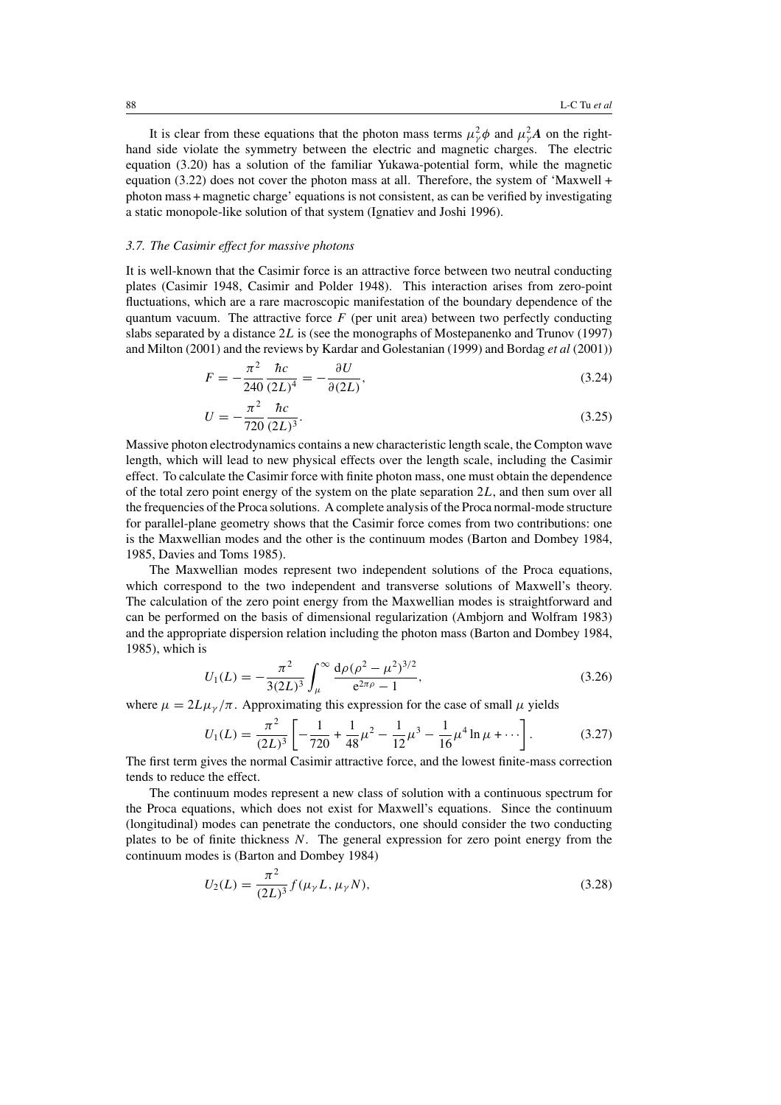It is clear from these equations that the photon mass terms  $\mu_\gamma^2 \phi$  and  $\mu_\gamma^2 A$  on the righthand side violate the symmetry between the electric and magnetic charges. The electric equation (3.20) has a solution of the familiar Yukawa-potential form, while the magnetic equation (3.22) does not cover the photon mass at all. Therefore, the system of 'Maxwell + photon mass + magnetic charge' equations is not consistent, as can be verified by investigating a static monopole-like solution of that system (Ignatiev and Joshi 1996).

#### *3.7. The Casimir effect for massive photons*

It is well-known that the Casimir force is an attractive force between two neutral conducting plates (Casimir 1948, Casimir and Polder 1948). This interaction arises from zero-point fluctuations, which are a rare macroscopic manifestation of the boundary dependence of the quantum vacuum. The attractive force  $F$  (per unit area) between two perfectly conducting slabs separated by a distance 2*L* is (see the monographs of Mostepanenko and Trunov (1997) and Milton (2001) and the reviews by Kardar and Golestanian (1999) and Bordag *et al* (2001))

$$
F = -\frac{\pi^2}{240} \frac{\hbar c}{(2L)^4} = -\frac{\partial U}{\partial (2L)},
$$
\n(3.24)

$$
U = -\frac{\pi^2}{720} \frac{\hbar c}{(2L)^3}.
$$
\n(3.25)

Massive photon electrodynamics contains a new characteristic length scale, the Compton wave length, which will lead to new physical effects over the length scale, including the Casimir effect. To calculate the Casimir force with finite photon mass, one must obtain the dependence of the total zero point energy of the system on the plate separation 2*L*, and then sum over all the frequencies of the Proca solutions. A complete analysis of the Proca normal-mode structure for parallel-plane geometry shows that the Casimir force comes from two contributions: one is the Maxwellian modes and the other is the continuum modes (Barton and Dombey 1984, 1985, Davies and Toms 1985).

The Maxwellian modes represent two independent solutions of the Proca equations, which correspond to the two independent and transverse solutions of Maxwell's theory. The calculation of the zero point energy from the Maxwellian modes is straightforward and can be performed on the basis of dimensional regularization (Ambjorn and Wolfram 1983) and the appropriate dispersion relation including the photon mass (Barton and Dombey 1984, 1985), which is

$$
U_1(L) = -\frac{\pi^2}{3(2L)^3} \int_{\mu}^{\infty} \frac{d\rho(\rho^2 - \mu^2)^{3/2}}{e^{2\pi\rho} - 1},
$$
\n(3.26)

where  $\mu = 2L\mu_{\nu}/\pi$ . Approximating this expression for the case of small  $\mu$  yields

$$
U_1(L) = \frac{\pi^2}{(2L)^3} \left[ -\frac{1}{720} + \frac{1}{48} \mu^2 - \frac{1}{12} \mu^3 - \frac{1}{16} \mu^4 \ln \mu + \cdots \right].
$$
 (3.27)

The first term gives the normal Casimir attractive force, and the lowest finite-mass correction tends to reduce the effect.

The continuum modes represent a new class of solution with a continuous spectrum for the Proca equations, which does not exist for Maxwell's equations. Since the continuum (longitudinal) modes can penetrate the conductors, one should consider the two conducting plates to be of finite thickness *N*. The general expression for zero point energy from the continuum modes is (Barton and Dombey 1984)

$$
U_2(L) = \frac{\pi^2}{(2L)^3} f(\mu_\gamma L, \mu_\gamma N),
$$
\n(3.28)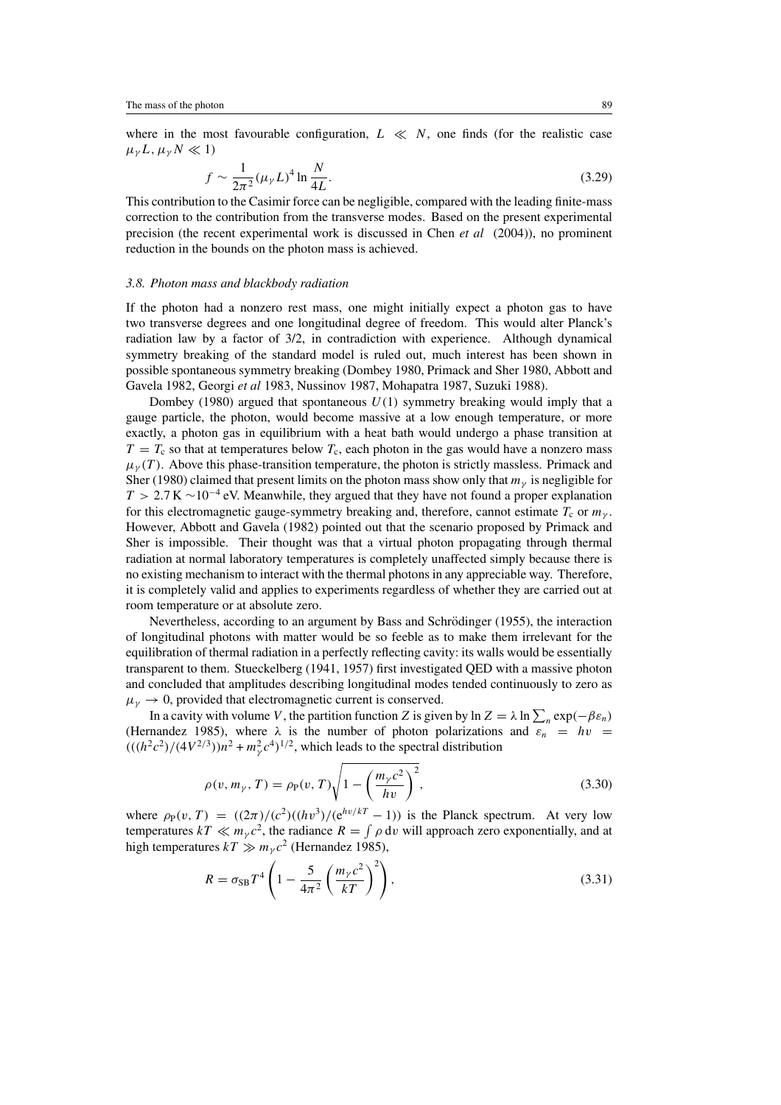where in the most favourable configuration,  $L \ll N$ , one finds (for the realistic case  $\mu_{\gamma} L$ ,  $\mu_{\gamma} N \ll 1$ 

$$
f \sim \frac{1}{2\pi^2} (\mu_\gamma L)^4 \ln \frac{N}{4L}.
$$
 (3.29)

This contribution to the Casimir force can be negligible, compared with the leading finite-mass correction to the contribution from the transverse modes. Based on the present experimental precision (the recent experimental work is discussed in Chen *et al* (2004)), no prominent reduction in the bounds on the photon mass is achieved.

#### *3.8. Photon mass and blackbody radiation*

If the photon had a nonzero rest mass, one might initially expect a photon gas to have two transverse degrees and one longitudinal degree of freedom. This would alter Planck's radiation law by a factor of 3/2, in contradiction with experience. Although dynamical symmetry breaking of the standard model is ruled out, much interest has been shown in possible spontaneous symmetry breaking (Dombey 1980, Primack and Sher 1980, Abbott and Gavela 1982, Georgi *et al* 1983, Nussinov 1987, Mohapatra 1987, Suzuki 1988).

Dombey (1980) argued that spontaneous *U (*1*)* symmetry breaking would imply that a gauge particle, the photon, would become massive at a low enough temperature, or more exactly, a photon gas in equilibrium with a heat bath would undergo a phase transition at  $T = T_c$  so that at temperatures below  $T_c$ , each photon in the gas would have a nonzero mass  $\mu_{\nu}(T)$ . Above this phase-transition temperature, the photon is strictly massless. Primack and Sher (1980) claimed that present limits on the photon mass show only that  $m<sub>v</sub>$  is negligible for  $T > 2.7$  K  $\sim 10^{-4}$  eV. Meanwhile, they argued that they have not found a proper explanation for this electromagnetic gauge-symmetry breaking and, therefore, cannot estimate  $T_c$  or  $m_{\nu}$ . However, Abbott and Gavela (1982) pointed out that the scenario proposed by Primack and Sher is impossible. Their thought was that a virtual photon propagating through thermal radiation at normal laboratory temperatures is completely unaffected simply because there is no existing mechanism to interact with the thermal photons in any appreciable way. Therefore, it is completely valid and applies to experiments regardless of whether they are carried out at room temperature or at absolute zero.

Nevertheless, according to an argument by Bass and Schrödinger (1955), the interaction of longitudinal photons with matter would be so feeble as to make them irrelevant for the equilibration of thermal radiation in a perfectly reflecting cavity: its walls would be essentially transparent to them. Stueckelberg (1941, 1957) first investigated QED with a massive photon and concluded that amplitudes describing longitudinal modes tended continuously to zero as  $\mu_{\gamma} \rightarrow 0$ , provided that electromagnetic current is conserved.

In a cavity with volume *V*, the partition function *Z* is given by  $\ln Z = \lambda \ln \sum_{n} \exp(-\beta \varepsilon_n)$ (Hernandez 1985), where  $\lambda$  is the number of photon polarizations and  $\varepsilon_n = hv =$  $(((h^2c^2)/(4V^{2/3}))n^2 + m^2<sub>\gamma</sub> c^4)^{1/2}$ , which leads to the spectral distribution

$$
\rho(v, m_{\gamma}, T) = \rho_{\rm P}(v, T) \sqrt{1 - \left(\frac{m_{\gamma}c^2}{hv}\right)^2},
$$
\n(3.30)

where  $\rho_P(v, T) = ((2\pi)/(c^2)((hv^3)/(e^{hv/kT} - 1))$  is the Planck spectrum. At very low temperatures  $kT \ll m<sub>y</sub> c<sup>2</sup>$ , the radiance  $R = \int \rho \, dv$  will approach zero exponentially, and at high temperatures  $kT \gg m_{\gamma} c^2$  (Hernandez 1985),

$$
R = \sigma_{\rm SB} T^4 \left( 1 - \frac{5}{4\pi^2} \left( \frac{m_{\gamma} c^2}{kT} \right)^2 \right),\tag{3.31}
$$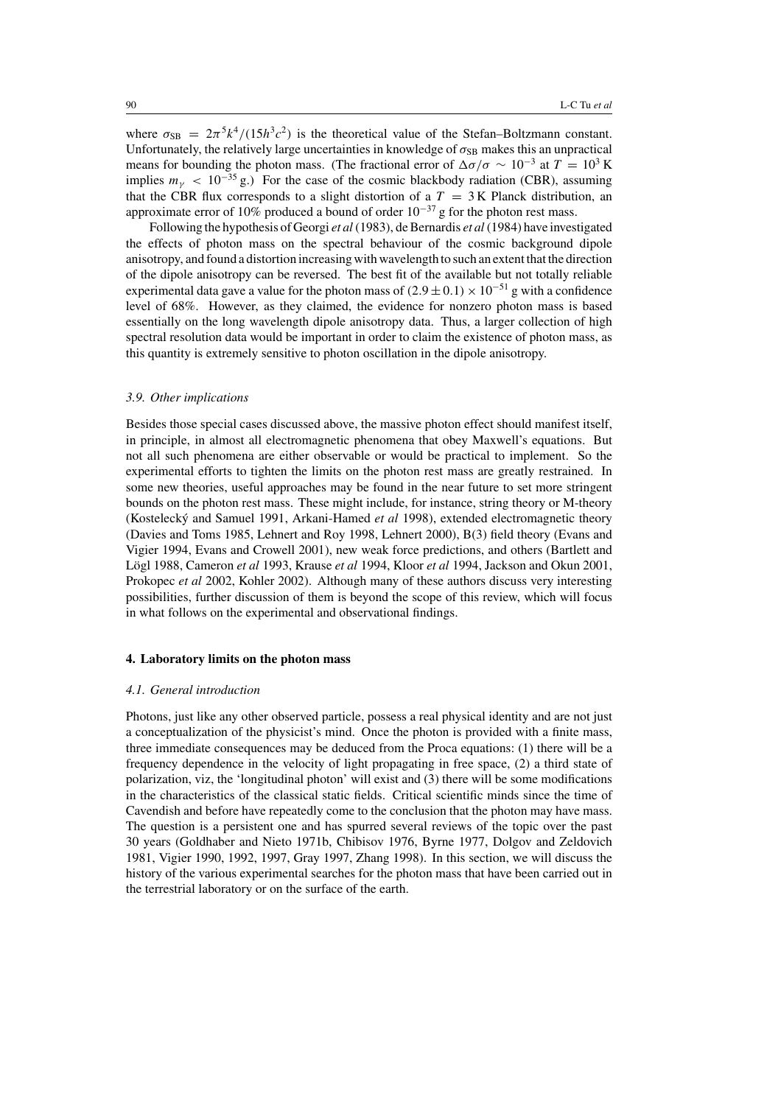where  $\sigma_{SB} = 2\pi^5 k^4/(15h^3c^2)$  is the theoretical value of the Stefan–Boltzmann constant. Unfortunately, the relatively large uncertainties in knowledge of  $\sigma_{SB}$  makes this an unpractical means for bounding the photon mass. (The fractional error of  $\Delta \sigma / \sigma \sim 10^{-3}$  at  $T = 10^3$  K implies  $m<sub>y</sub>$  < 10<sup>-35</sup> g.) For the case of the cosmic blackbody radiation (CBR), assuming that the CBR flux corresponds to a slight distortion of a  $T = 3$  K Planck distribution, an approximate error of 10% produced a bound of order  $10^{-37}$  g for the photon rest mass.

Following the hypothesis of Georgi *et al* (1983), de Bernardis *et al* (1984) have investigated the effects of photon mass on the spectral behaviour of the cosmic background dipole anisotropy, and found a distortion increasing with wavelength to such an extent that the direction of the dipole anisotropy can be reversed. The best fit of the available but not totally reliable experimental data gave a value for the photon mass of  $(2.9 \pm 0.1) \times 10^{-51}$  g with a confidence level of 68%. However, as they claimed, the evidence for nonzero photon mass is based essentially on the long wavelength dipole anisotropy data. Thus, a larger collection of high spectral resolution data would be important in order to claim the existence of photon mass, as this quantity is extremely sensitive to photon oscillation in the dipole anisotropy.

#### *3.9. Other implications*

Besides those special cases discussed above, the massive photon effect should manifest itself, in principle, in almost all electromagnetic phenomena that obey Maxwell's equations. But not all such phenomena are either observable or would be practical to implement. So the experimental efforts to tighten the limits on the photon rest mass are greatly restrained. In some new theories, useful approaches may be found in the near future to set more stringent bounds on the photon rest mass. These might include, for instance, string theory or M-theory (Kostelecký and Samuel 1991, Arkani-Hamed et al 1998), extended electromagnetic theory (Davies and Toms 1985, Lehnert and Roy 1998, Lehnert 2000), B(3) field theory (Evans and Vigier 1994, Evans and Crowell 2001), new weak force predictions, and others (Bartlett and Lögl 1988, Cameron et al 1993, Krause et al 1994, Kloor et al 1994, Jackson and Okun 2001, Prokopec *et al* 2002, Kohler 2002). Although many of these authors discuss very interesting possibilities, further discussion of them is beyond the scope of this review, which will focus in what follows on the experimental and observational findings.

# **4. Laboratory limits on the photon mass**

#### *4.1. General introduction*

Photons, just like any other observed particle, possess a real physical identity and are not just a conceptualization of the physicist's mind. Once the photon is provided with a finite mass, three immediate consequences may be deduced from the Proca equations: (1) there will be a frequency dependence in the velocity of light propagating in free space, (2) a third state of polarization, viz, the 'longitudinal photon' will exist and (3) there will be some modifications in the characteristics of the classical static fields. Critical scientific minds since the time of Cavendish and before have repeatedly come to the conclusion that the photon may have mass. The question is a persistent one and has spurred several reviews of the topic over the past 30 years (Goldhaber and Nieto 1971b, Chibisov 1976, Byrne 1977, Dolgov and Zeldovich 1981, Vigier 1990, 1992, 1997, Gray 1997, Zhang 1998). In this section, we will discuss the history of the various experimental searches for the photon mass that have been carried out in the terrestrial laboratory or on the surface of the earth.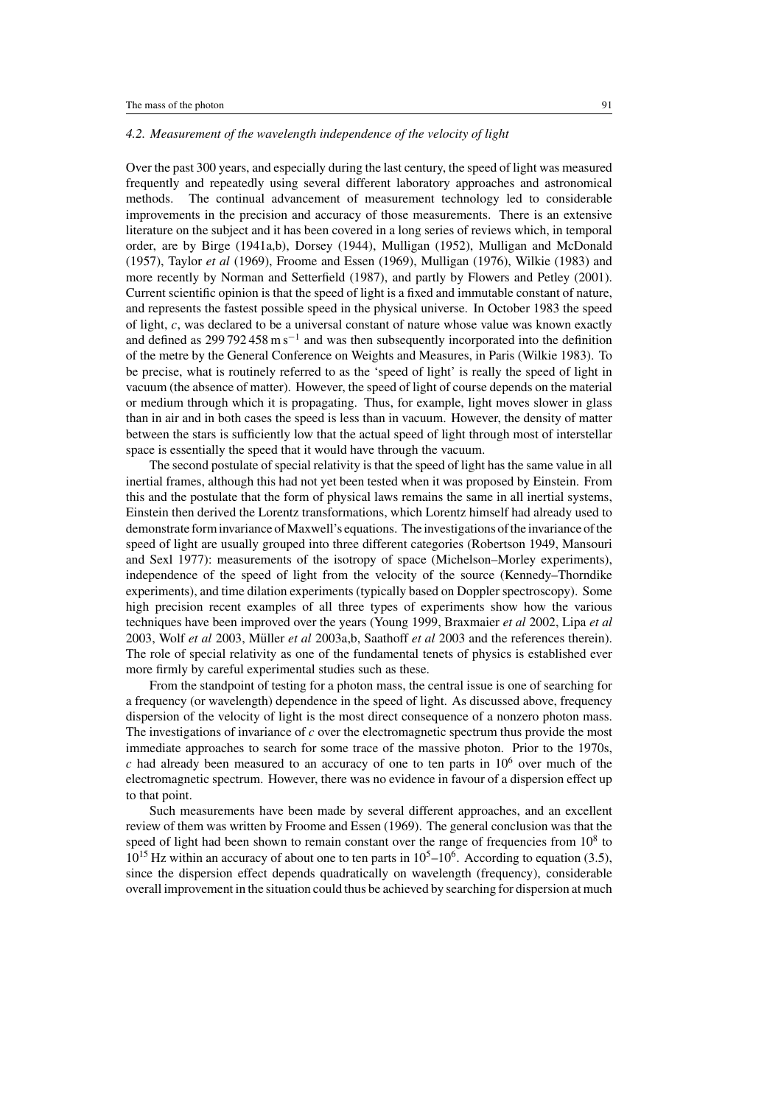#### *4.2. Measurement of the wavelength independence of the velocity of light*

Over the past 300 years, and especially during the last century, the speed of light was measured frequently and repeatedly using several different laboratory approaches and astronomical methods. The continual advancement of measurement technology led to considerable improvements in the precision and accuracy of those measurements. There is an extensive literature on the subject and it has been covered in a long series of reviews which, in temporal order, are by Birge (1941a,b), Dorsey (1944), Mulligan (1952), Mulligan and McDonald (1957), Taylor *et al* (1969), Froome and Essen (1969), Mulligan (1976), Wilkie (1983) and more recently by Norman and Setterfield (1987), and partly by Flowers and Petley (2001). Current scientific opinion is that the speed of light is a fixed and immutable constant of nature, and represents the fastest possible speed in the physical universe. In October 1983 the speed of light, *c*, was declared to be a universal constant of nature whose value was known exactly and defined as 299 792 458 m s<sup>-1</sup> and was then subsequently incorporated into the definition of the metre by the General Conference on Weights and Measures, in Paris (Wilkie 1983). To be precise, what is routinely referred to as the 'speed of light' is really the speed of light in vacuum (the absence of matter). However, the speed of light of course depends on the material or medium through which it is propagating. Thus, for example, light moves slower in glass than in air and in both cases the speed is less than in vacuum. However, the density of matter between the stars is sufficiently low that the actual speed of light through most of interstellar space is essentially the speed that it would have through the vacuum.

The second postulate of special relativity is that the speed of light has the same value in all inertial frames, although this had not yet been tested when it was proposed by Einstein. From this and the postulate that the form of physical laws remains the same in all inertial systems, Einstein then derived the Lorentz transformations, which Lorentz himself had already used to demonstrate form invariance of Maxwell's equations. The investigations of the invariance of the speed of light are usually grouped into three different categories (Robertson 1949, Mansouri and Sexl 1977): measurements of the isotropy of space (Michelson–Morley experiments), independence of the speed of light from the velocity of the source (Kennedy–Thorndike experiments), and time dilation experiments (typically based on Doppler spectroscopy). Some high precision recent examples of all three types of experiments show how the various techniques have been improved over the years (Young 1999, Braxmaier *et al* 2002, Lipa *et al* 2003, Wolf *et al* 2003, Müller *et al* 2003a,b, Saathoff *et al* 2003 and the references therein). The role of special relativity as one of the fundamental tenets of physics is established ever more firmly by careful experimental studies such as these.

From the standpoint of testing for a photon mass, the central issue is one of searching for a frequency (or wavelength) dependence in the speed of light. As discussed above, frequency dispersion of the velocity of light is the most direct consequence of a nonzero photon mass. The investigations of invariance of *c* over the electromagnetic spectrum thus provide the most immediate approaches to search for some trace of the massive photon. Prior to the 1970s, *c* had already been measured to an accuracy of one to ten parts in  $10<sup>6</sup>$  over much of the electromagnetic spectrum. However, there was no evidence in favour of a dispersion effect up to that point.

Such measurements have been made by several different approaches, and an excellent review of them was written by Froome and Essen (1969). The general conclusion was that the speed of light had been shown to remain constant over the range of frequencies from  $10^8$  to  $10^{15}$  Hz within an accuracy of about one to ten parts in  $10^5$ – $10^6$ . According to equation (3.5), since the dispersion effect depends quadratically on wavelength (frequency), considerable overall improvement in the situation could thus be achieved by searching for dispersion at much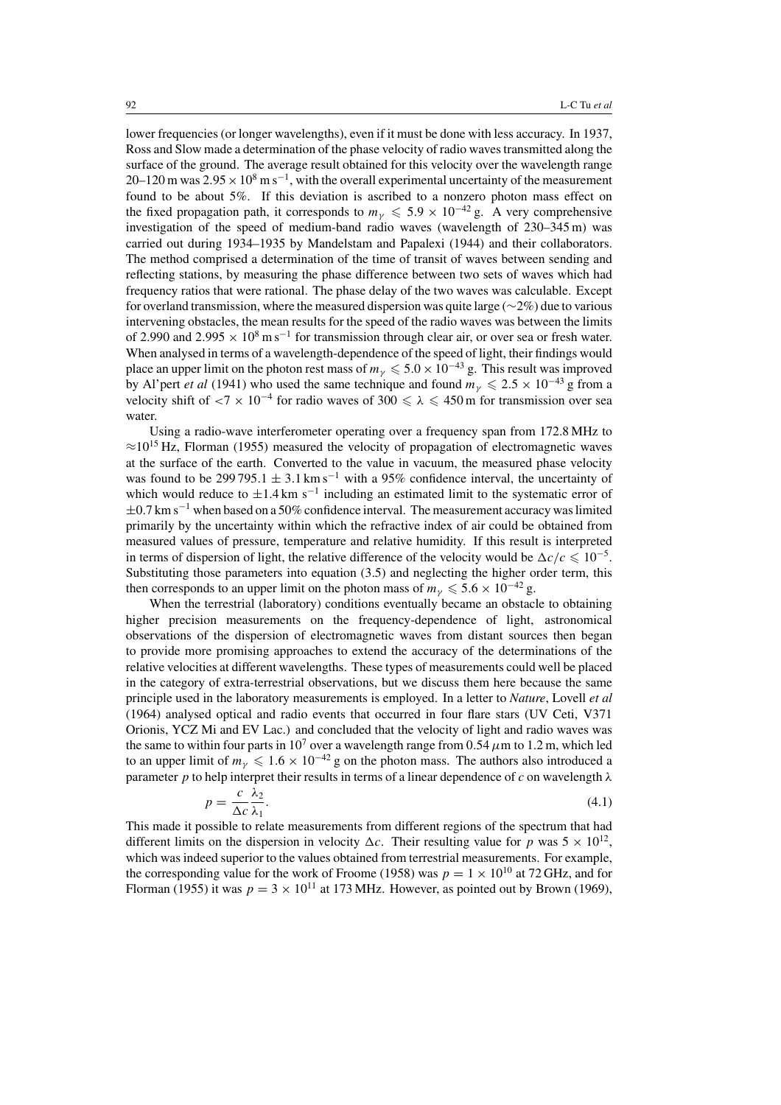lower frequencies (or longer wavelengths), even if it must be done with less accuracy. In 1937, Ross and Slow made a determination of the phase velocity of radio waves transmitted along the surface of the ground. The average result obtained for this velocity over the wavelength range 20–120 m was  $2.95 \times 10^8$  m s<sup>-1</sup>, with the overall experimental uncertainty of the measurement found to be about 5%. If this deviation is ascribed to a nonzero photon mass effect on the fixed propagation path, it corresponds to  $m<sub>\gamma</sub> \leq 5.9 \times 10^{-42}$  g. A very comprehensive investigation of the speed of medium-band radio waves (wavelength of 230–345 m) was carried out during 1934–1935 by Mandelstam and Papalexi (1944) and their collaborators. The method comprised a determination of the time of transit of waves between sending and reflecting stations, by measuring the phase difference between two sets of waves which had frequency ratios that were rational. The phase delay of the two waves was calculable. Except for overland transmission, where the measured dispersion was quite large (∼2%) due to various intervening obstacles, the mean results for the speed of the radio waves was between the limits of 2.990 and 2.995  $\times$  10<sup>8</sup> m s<sup>-1</sup> for transmission through clear air, or over sea or fresh water. When analysed in terms of a wavelength-dependence of the speed of light, their findings would place an upper limit on the photon rest mass of  $m_\gamma \leqslant 5.0 \times 10^{-43}$  g. This result was improved by Al'pert *et al* (1941) who used the same technique and found  $m_\gamma \leq 2.5 \times 10^{-43}$  g from a velocity shift of  $\langle 7 \times 10^{-4}$  for radio waves of 300  $\le \lambda \le 450$  m for transmission over sea water.

Using a radio-wave interferometer operating over a frequency span from 172.8 MHz to  $\approx$ 10<sup>15</sup> Hz, Florman (1955) measured the velocity of propagation of electromagnetic waves at the surface of the earth. Converted to the value in vacuum, the measured phase velocity was found to be 299 795.1  $\pm$  3.1 km s<sup>-1</sup> with a 95% confidence interval, the uncertainty of which would reduce to  $\pm 1.4 \text{ km s}^{-1}$  including an estimated limit to the systematic error of  $\pm 0.7$  km s<sup>-1</sup> when based on a 50% confidence interval. The measurement accuracy was limited primarily by the uncertainty within which the refractive index of air could be obtained from measured values of pressure, temperature and relative humidity. If this result is interpreted in terms of dispersion of light, the relative difference of the velocity would be  $\Delta c/c \leq 10^{-5}$ . Substituting those parameters into equation (3.5) and neglecting the higher order term, this then corresponds to an upper limit on the photon mass of  $m_{\gamma} \leq 5.6 \times 10^{-42}$  g.

When the terrestrial (laboratory) conditions eventually became an obstacle to obtaining higher precision measurements on the frequency-dependence of light, astronomical observations of the dispersion of electromagnetic waves from distant sources then began to provide more promising approaches to extend the accuracy of the determinations of the relative velocities at different wavelengths. These types of measurements could well be placed in the category of extra-terrestrial observations, but we discuss them here because the same principle used in the laboratory measurements is employed. In a letter to *Nature*, Lovell *et al* (1964) analysed optical and radio events that occurred in four flare stars (UV Ceti, V371 Orionis, YCZ Mi and EV Lac.) and concluded that the velocity of light and radio waves was the same to within four parts in  $10^7$  over a wavelength range from 0.54  $\mu$ m to 1.2 m, which led to an upper limit of  $m_\nu \leq 1.6 \times 10^{-42}$  g on the photon mass. The authors also introduced a parameter *p* to help interpret their results in terms of a linear dependence of *c* on wavelength *λ*

$$
p = \frac{c}{\Delta c} \frac{\lambda_2}{\lambda_1}.\tag{4.1}
$$

This made it possible to relate measurements from different regions of the spectrum that had different limits on the dispersion in velocity  $\Delta c$ . Their resulting value for *p* was  $5 \times 10^{12}$ , which was indeed superior to the values obtained from terrestrial measurements. For example, the corresponding value for the work of Froome (1958) was  $p = 1 \times 10^{10}$  at 72 GHz, and for Florman (1955) it was  $p = 3 \times 10^{11}$  at 173 MHz. However, as pointed out by Brown (1969),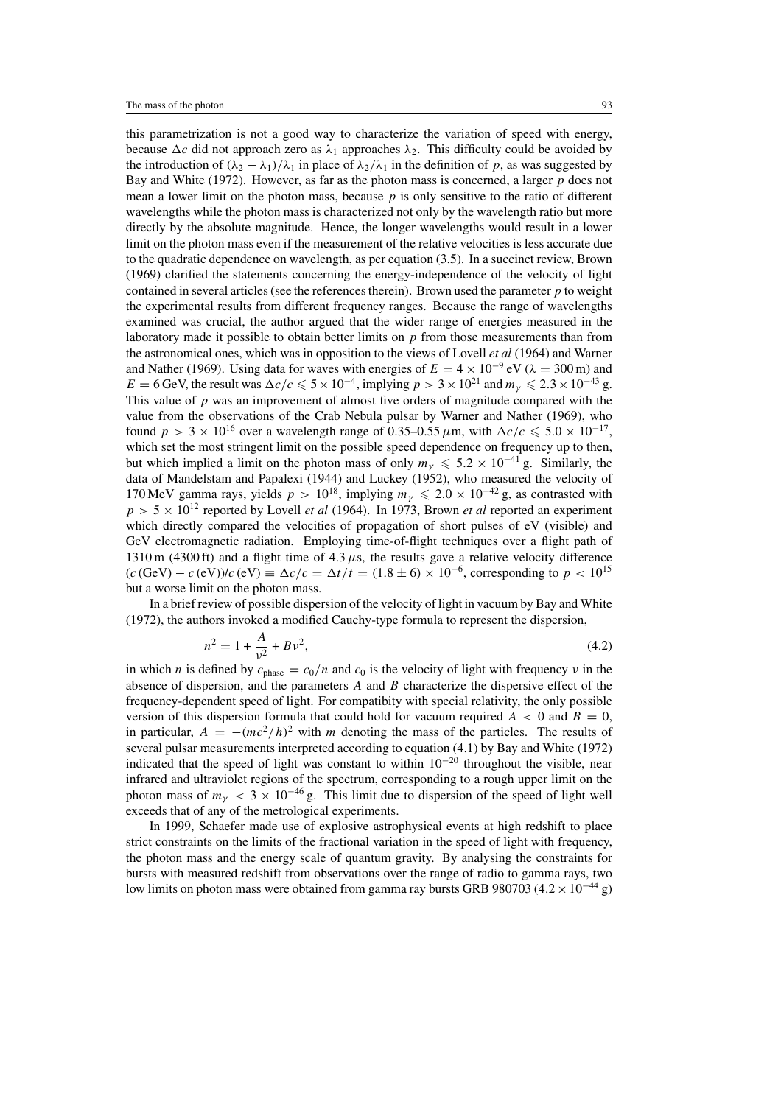this parametrization is not a good way to characterize the variation of speed with energy, because  $\Delta c$  did not approach zero as  $\lambda_1$  approaches  $\lambda_2$ . This difficulty could be avoided by the introduction of  $(\lambda_2 - \lambda_1)/\lambda_1$  in place of  $\lambda_2/\lambda_1$  in the definition of *p*, as was suggested by Bay and White (1972). However, as far as the photon mass is concerned, a larger *p* does not mean a lower limit on the photon mass, because *p* is only sensitive to the ratio of different wavelengths while the photon mass is characterized not only by the wavelength ratio but more directly by the absolute magnitude. Hence, the longer wavelengths would result in a lower limit on the photon mass even if the measurement of the relative velocities is less accurate due to the quadratic dependence on wavelength, as per equation (3.5). In a succinct review, Brown (1969) clarified the statements concerning the energy-independence of the velocity of light contained in several articles (see the references therein). Brown used the parameter *p* to weight the experimental results from different frequency ranges. Because the range of wavelengths examined was crucial, the author argued that the wider range of energies measured in the laboratory made it possible to obtain better limits on *p* from those measurements than from the astronomical ones, which was in opposition to the views of Lovell *et al* (1964) and Warner and Nather (1969). Using data for waves with energies of  $E = 4 \times 10^{-9}$  eV ( $\lambda = 300$  m) and  $E = 6$  GeV, the result was  $\Delta c/c \le 5 \times 10^{-4}$ , implying  $p > 3 \times 10^{21}$  and  $m<sub>\gamma</sub> \le 2.3 \times 10^{-43}$  g. This value of *p* was an improvement of almost five orders of magnitude compared with the value from the observations of the Crab Nebula pulsar by Warner and Nather (1969), who found  $p > 3 \times 10^{16}$  over a wavelength range of 0.35–0.55  $\mu$ m, with  $\Delta c/c \leq 5.0 \times 10^{-17}$ , which set the most stringent limit on the possible speed dependence on frequency up to then, but which implied a limit on the photon mass of only  $m_\gamma \leqslant 5.2 \times 10^{-41}$  g. Similarly, the data of Mandelstam and Papalexi (1944) and Luckey (1952), who measured the velocity of 170 MeV gamma rays, yields  $p > 10^{18}$ , implying  $m<sub>\gamma</sub> \le 2.0 \times 10^{-42}$  g, as contrasted with  $p > 5 \times 10^{12}$  reported by Lovell *et al* (1964). In 1973, Brown *et al* reported an experiment which directly compared the velocities of propagation of short pulses of eV (visible) and GeV electromagnetic radiation. Employing time-of-flight techniques over a flight path of 1310 m (4300 ft) and a flight time of 4.3  $\mu$ s, the results gave a relative velocity difference  $(c(GeV) - c(eV))/c(eV) \equiv \Delta c/c = \Delta t/t = (1.8 \pm 6) \times 10^{-6}$ , corresponding to  $p < 10^{15}$ but a worse limit on the photon mass.

In a brief review of possible dispersion of the velocity of light in vacuum by Bay and White (1972), the authors invoked a modified Cauchy-type formula to represent the dispersion,

$$
n^2 = 1 + \frac{A}{v^2} + Bv^2,\tag{4.2}
$$

in which *n* is defined by  $c_{phase} = c_0/n$  and  $c_0$  is the velocity of light with frequency  $\nu$  in the absence of dispersion, and the parameters *A* and *B* characterize the dispersive effect of the frequency-dependent speed of light. For compatibity with special relativity, the only possible version of this dispersion formula that could hold for vacuum required  $A < 0$  and  $B = 0$ , in particular,  $A = -(mc^2/h)^2$  with *m* denoting the mass of the particles. The results of several pulsar measurements interpreted according to equation (4.1) by Bay and White (1972) indicated that the speed of light was constant to within  $10^{-20}$  throughout the visible, near infrared and ultraviolet regions of the spectrum, corresponding to a rough upper limit on the photon mass of  $m<sub>y</sub> < 3 \times 10^{-46}$  g. This limit due to dispersion of the speed of light well exceeds that of any of the metrological experiments.

In 1999, Schaefer made use of explosive astrophysical events at high redshift to place strict constraints on the limits of the fractional variation in the speed of light with frequency, the photon mass and the energy scale of quantum gravity. By analysing the constraints for bursts with measured redshift from observations over the range of radio to gamma rays, two low limits on photon mass were obtained from gamma ray bursts GRB 980703 (4*.*2×10−<sup>44</sup> g)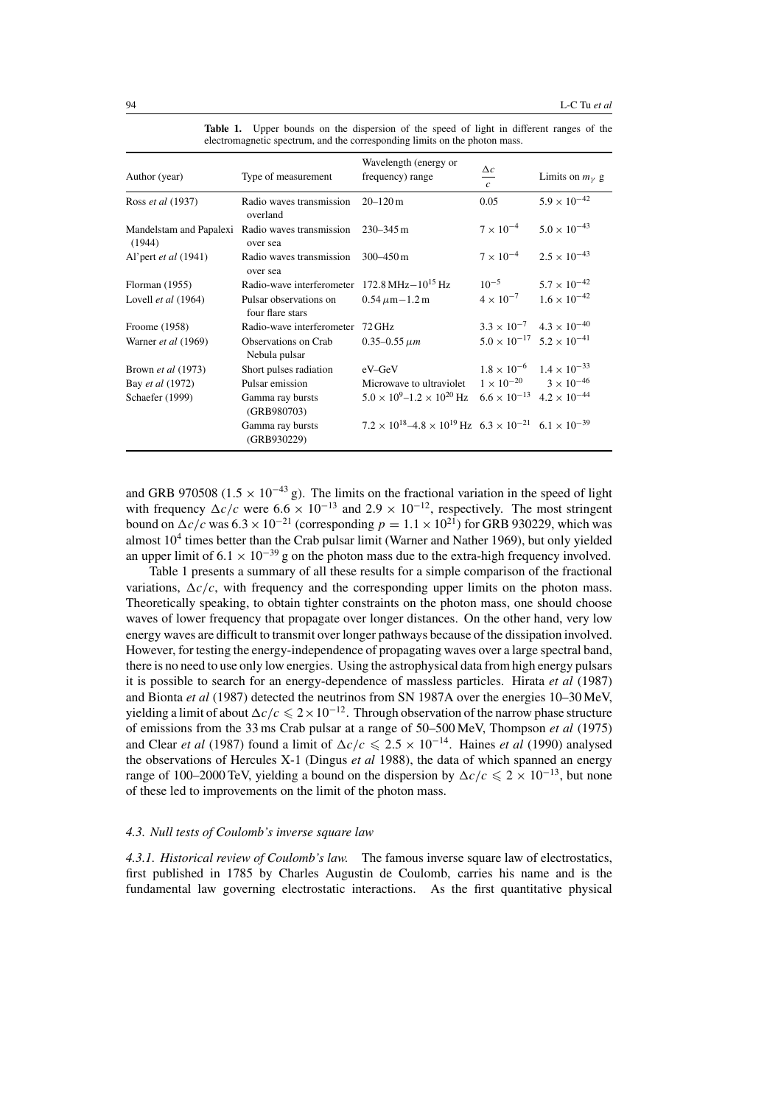| Author (year)             | Type of measurement                                                    | Wavelength (energy or<br>frequency) range                                                | $\Delta c$<br>$\overline{c}$                | Limits on $m_{\nu}$ g                       |
|---------------------------|------------------------------------------------------------------------|------------------------------------------------------------------------------------------|---------------------------------------------|---------------------------------------------|
| Ross et al (1937)         | Radio waves transmission<br>overland                                   | $20 - 120$ m                                                                             | 0.05                                        | $5.9 \times 10^{-42}$                       |
| (1944)                    | Mandelstam and Papalexi Radio waves transmission 230–345 m<br>over sea |                                                                                          | $7 \times 10^{-4}$                          | $5.0 \times 10^{-43}$                       |
| Al'pert et al $(1941)$    | Radio waves transmission<br>over sea                                   | $300 - 450$ m                                                                            | $7 \times 10^{-4}$                          | $2.5 \times 10^{-43}$                       |
| Florman $(1955)$          | Radio-wave interferometer $172.8 \text{ MHz} - 10^{15} \text{ Hz}$     |                                                                                          | $10^{-5}$                                   | $5.7 \times 10^{-42}$                       |
| Lovell et al (1964)       | Pulsar observations on<br>four flare stars                             | $0.54 \,\mu m - 1.2 m$                                                                   | $4 \times 10^{-7}$                          | $1.6 \times 10^{-42}$                       |
| Froome (1958)             | Radio-wave interferometer                                              | $72$ GHz                                                                                 |                                             | $3.3 \times 10^{-7}$ $4.3 \times 10^{-40}$  |
| Warner et al (1969)       | Observations on Crab<br>Nebula pulsar                                  | $0.35 - 0.55 \mu m$                                                                      |                                             | $5.0 \times 10^{-17}$ $5.2 \times 10^{-41}$ |
| Brown <i>et al</i> (1973) | Short pulses radiation                                                 | eV–GeV                                                                                   |                                             | $1.8 \times 10^{-6}$ $1.4 \times 10^{-33}$  |
| Bay et al (1972)          | Pulsar emission                                                        | Microwave to ultraviolet                                                                 |                                             | $1 \times 10^{-20}$ $3 \times 10^{-46}$     |
| Schaefer (1999)           | Gamma ray bursts<br>(GRB980703)                                        | $5.0 \times 10^{9} - 1.2 \times 10^{20}$ Hz                                              | $6.6 \times 10^{-13}$ $4.2 \times 10^{-44}$ |                                             |
|                           | Gamma ray bursts<br>(GRB930229)                                        | $7.2 \times 10^{18} - 4.8 \times 10^{19}$ Hz $6.3 \times 10^{-21}$ $6.1 \times 10^{-39}$ |                                             |                                             |

**Table 1.** Upper bounds on the dispersion of the speed of light in different ranges of the electromagnetic spectrum, and the corresponding limits on the photon mass.

and GRB 970508 (1.5  $\times$  10<sup>-43</sup> g). The limits on the fractional variation in the speed of light with frequency  $\Delta c/c$  were  $6.6 \times 10^{-13}$  and  $2.9 \times 10^{-12}$ , respectively. The most stringent bound on  $\Delta c/c$  was  $6.3 \times 10^{-21}$  (corresponding  $p = 1.1 \times 10^{21}$ ) for GRB 930229, which was almost 10<sup>4</sup> times better than the Crab pulsar limit (Warner and Nather 1969), but only yielded an upper limit of  $6.1 \times 10^{-39}$  g on the photon mass due to the extra-high frequency involved.

Table 1 presents a summary of all these results for a simple comparison of the fractional variations,  $\Delta c/c$ , with frequency and the corresponding upper limits on the photon mass. Theoretically speaking, to obtain tighter constraints on the photon mass, one should choose waves of lower frequency that propagate over longer distances. On the other hand, very low energy waves are difficult to transmit over longer pathways because of the dissipation involved. However, for testing the energy-independence of propagating waves over a large spectral band, there is no need to use only low energies. Using the astrophysical data from high energy pulsars it is possible to search for an energy-dependence of massless particles. Hirata *et al* (1987) and Bionta *et al* (1987) detected the neutrinos from SN 1987A over the energies 10–30 MeV, yielding a limit of about  $\Delta c/c \leqslant 2 \times 10^{-12}$ . Through observation of the narrow phase structure of emissions from the 33 ms Crab pulsar at a range of 50–500 MeV, Thompson *et al* (1975) and Clear *et al* (1987) found a limit of  $\Delta c/c \leq 2.5 \times 10^{-14}$ . Haines *et al* (1990) analysed the observations of Hercules X-1 (Dingus *et al* 1988), the data of which spanned an energy range of 100–2000 TeV, yielding a bound on the dispersion by  $\Delta c/c \leq 2 \times 10^{-13}$ , but none of these led to improvements on the limit of the photon mass.

#### *4.3. Null tests of Coulomb's inverse square law*

*4.3.1. Historical review of Coulomb's law.* The famous inverse square law of electrostatics, first published in 1785 by Charles Augustin de Coulomb, carries his name and is the fundamental law governing electrostatic interactions. As the first quantitative physical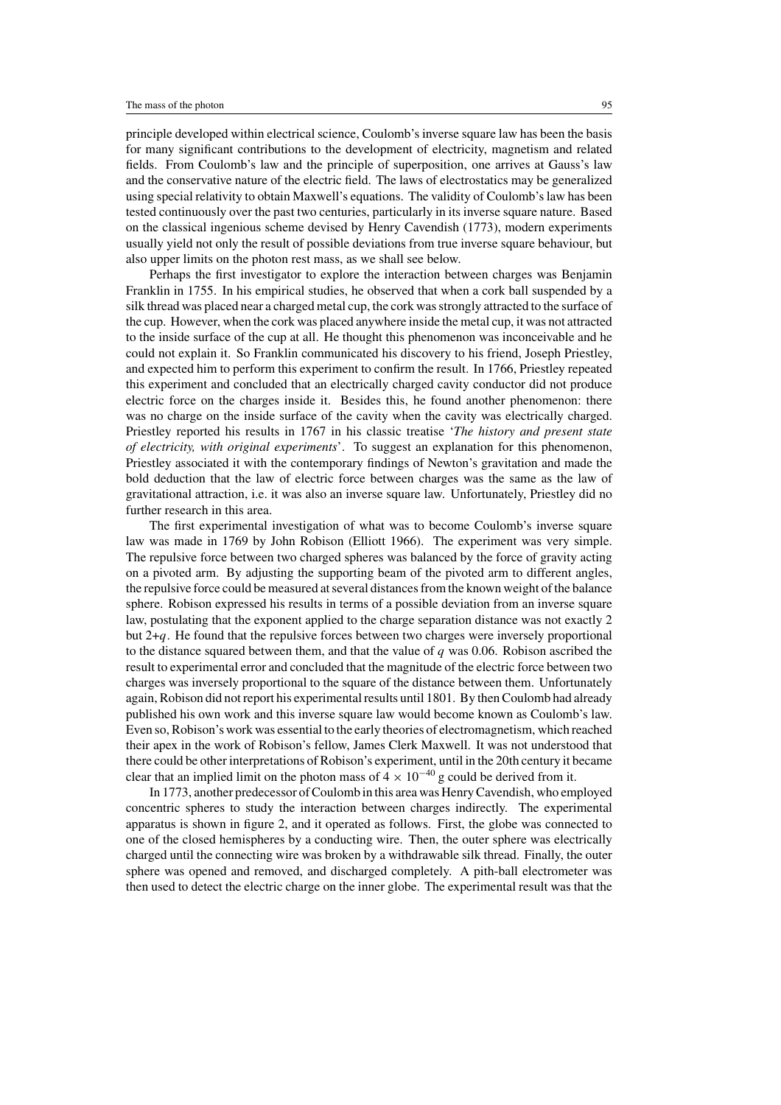principle developed within electrical science, Coulomb's inverse square law has been the basis for many significant contributions to the development of electricity, magnetism and related fields. From Coulomb's law and the principle of superposition, one arrives at Gauss's law and the conservative nature of the electric field. The laws of electrostatics may be generalized using special relativity to obtain Maxwell's equations. The validity of Coulomb's law has been tested continuously over the past two centuries, particularly in its inverse square nature. Based on the classical ingenious scheme devised by Henry Cavendish (1773), modern experiments usually yield not only the result of possible deviations from true inverse square behaviour, but also upper limits on the photon rest mass, as we shall see below.

Perhaps the first investigator to explore the interaction between charges was Benjamin Franklin in 1755. In his empirical studies, he observed that when a cork ball suspended by a silk thread was placed near a charged metal cup, the cork was strongly attracted to the surface of the cup. However, when the cork was placed anywhere inside the metal cup, it was not attracted to the inside surface of the cup at all. He thought this phenomenon was inconceivable and he could not explain it. So Franklin communicated his discovery to his friend, Joseph Priestley, and expected him to perform this experiment to confirm the result. In 1766, Priestley repeated this experiment and concluded that an electrically charged cavity conductor did not produce electric force on the charges inside it. Besides this, he found another phenomenon: there was no charge on the inside surface of the cavity when the cavity was electrically charged. Priestley reported his results in 1767 in his classic treatise '*The history and present state of electricity, with original experiments*'. To suggest an explanation for this phenomenon, Priestley associated it with the contemporary findings of Newton's gravitation and made the bold deduction that the law of electric force between charges was the same as the law of gravitational attraction, i.e. it was also an inverse square law. Unfortunately, Priestley did no further research in this area.

The first experimental investigation of what was to become Coulomb's inverse square law was made in 1769 by John Robison (Elliott 1966). The experiment was very simple. The repulsive force between two charged spheres was balanced by the force of gravity acting on a pivoted arm. By adjusting the supporting beam of the pivoted arm to different angles, the repulsive force could be measured at several distances from the known weight of the balance sphere. Robison expressed his results in terms of a possible deviation from an inverse square law, postulating that the exponent applied to the charge separation distance was not exactly 2 but 2+*q*. He found that the repulsive forces between two charges were inversely proportional to the distance squared between them, and that the value of *q* was 0.06. Robison ascribed the result to experimental error and concluded that the magnitude of the electric force between two charges was inversely proportional to the square of the distance between them. Unfortunately again, Robison did not report his experimental results until 1801. By then Coulomb had already published his own work and this inverse square law would become known as Coulomb's law. Even so, Robison's work was essential to the early theories of electromagnetism, which reached their apex in the work of Robison's fellow, James Clerk Maxwell. It was not understood that there could be other interpretations of Robison's experiment, until in the 20th century it became clear that an implied limit on the photon mass of  $4 \times 10^{-40}$  g could be derived from it.

In 1773, another predecessor of Coulomb in this area was Henry Cavendish, who employed concentric spheres to study the interaction between charges indirectly. The experimental apparatus is shown in figure 2, and it operated as follows. First, the globe was connected to one of the closed hemispheres by a conducting wire. Then, the outer sphere was electrically charged until the connecting wire was broken by a withdrawable silk thread. Finally, the outer sphere was opened and removed, and discharged completely. A pith-ball electrometer was then used to detect the electric charge on the inner globe. The experimental result was that the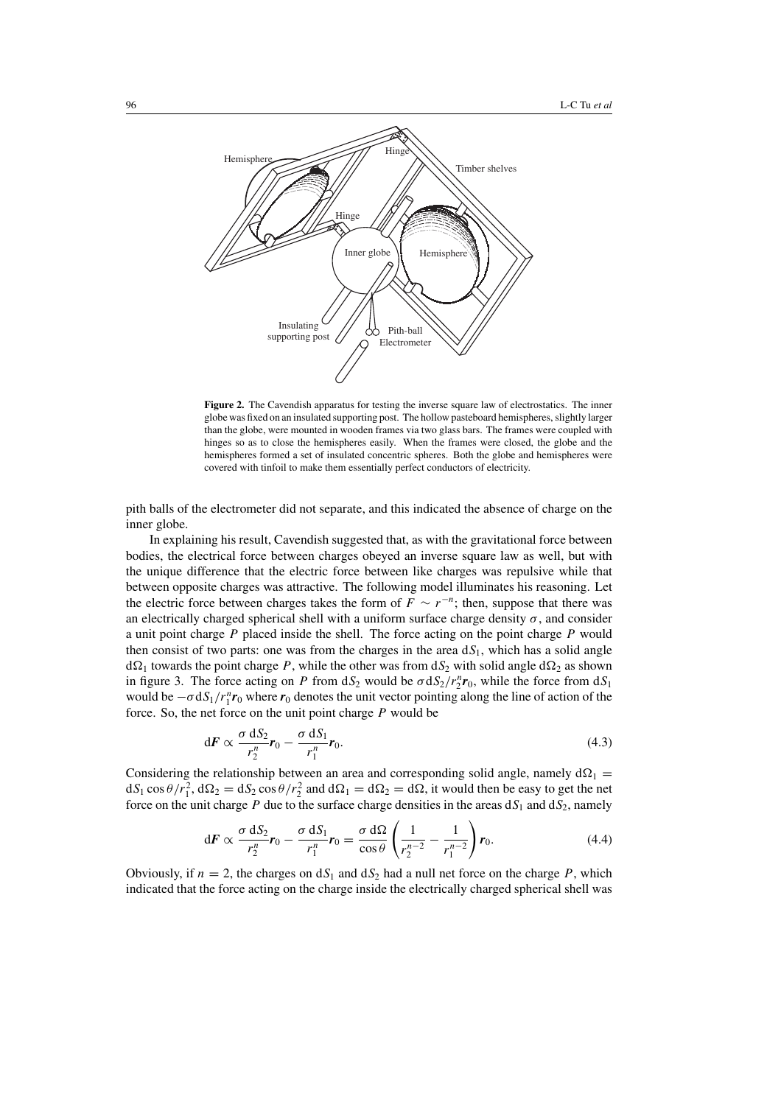

Figure 2. The Cavendish apparatus for testing the inverse square law of electrostatics. The inner globe was fixed on an insulated supporting post. The hollow pasteboard hemispheres, slightly larger than the globe, were mounted in wooden frames via two glass bars. The frames were coupled with hinges so as to close the hemispheres easily. When the frames were closed, the globe and the hemispheres formed a set of insulated concentric spheres. Both the globe and hemispheres were covered with tinfoil to make them essentially perfect conductors of electricity.

pith balls of the electrometer did not separate, and this indicated the absence of charge on the inner globe.

In explaining his result, Cavendish suggested that, as with the gravitational force between bodies, the electrical force between charges obeyed an inverse square law as well, but with the unique difference that the electric force between like charges was repulsive while that between opposite charges was attractive. The following model illuminates his reasoning. Let the electric force between charges takes the form of  $F \sim r^{-n}$ ; then, suppose that there was an electrically charged spherical shell with a uniform surface charge density  $\sigma$ , and consider a unit point charge *P* placed inside the shell. The force acting on the point charge *P* would then consist of two parts: one was from the charges in the area d*S*1, which has a solid angle  $d\Omega_1$  towards the point charge *P*, while the other was from  $dS_2$  with solid angle  $d\Omega_2$  as shown in figure 3. The force acting on *P* from  $dS_2$  would be  $\sigma dS_2/r_2^n r_0$ , while the force from  $dS_1$ would be  $-\sigma dS_1/r_1^n r_0$  where  $r_0$  denotes the unit vector pointing along the line of action of the force. So, the net force on the unit point charge *P* would be

$$
dF \propto \frac{\sigma dS_2}{r_2^n} r_0 - \frac{\sigma dS_1}{r_1^n} r_0.
$$
\n(4.3)

Considering the relationship between an area and corresponding solid angle, namely  $d\Omega_1 =$  $dS_1 \cos \theta / r_1^2$ ,  $d\Omega_2 = dS_2 \cos \theta / r_2^2$  and  $d\Omega_1 = d\Omega_2 = d\Omega$ , it would then be easy to get the net force on the unit charge  $P$  due to the surface charge densities in the areas  $dS_1$  and  $dS_2$ , namely

$$
d\boldsymbol{F} \propto \frac{\sigma \, dS_2}{r_2^n} \boldsymbol{r}_0 - \frac{\sigma \, dS_1}{r_1^n} \boldsymbol{r}_0 = \frac{\sigma \, d\Omega}{\cos \theta} \left( \frac{1}{r_2^{n-2}} - \frac{1}{r_1^{n-2}} \right) \boldsymbol{r}_0. \tag{4.4}
$$

Obviously, if  $n = 2$ , the charges on  $dS_1$  and  $dS_2$  had a null net force on the charge *P*, which indicated that the force acting on the charge inside the electrically charged spherical shell was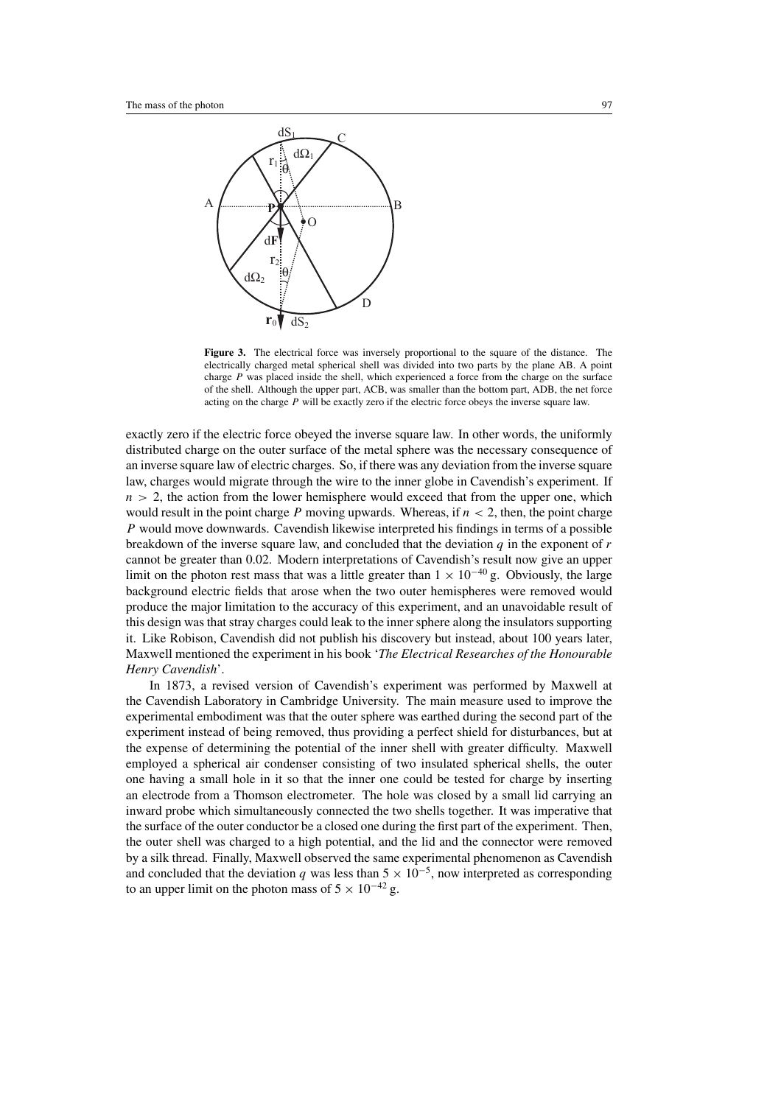

**Figure 3.** The electrical force was inversely proportional to the square of the distance. The electrically charged metal spherical shell was divided into two parts by the plane AB. A point charge *P* was placed inside the shell, which experienced a force from the charge on the surface of the shell. Although the upper part, ACB, was smaller than the bottom part, ADB, the net force acting on the charge *P* will be exactly zero if the electric force obeys the inverse square law.

exactly zero if the electric force obeyed the inverse square law. In other words, the uniformly distributed charge on the outer surface of the metal sphere was the necessary consequence of an inverse square law of electric charges. So, if there was any deviation from the inverse square law, charges would migrate through the wire to the inner globe in Cavendish's experiment. If  $n > 2$ , the action from the lower hemisphere would exceed that from the upper one, which would result in the point charge *P* moving upwards. Whereas, if  $n < 2$ , then, the point charge *P* would move downwards. Cavendish likewise interpreted his findings in terms of a possible breakdown of the inverse square law, and concluded that the deviation *q* in the exponent of *r* cannot be greater than 0.02. Modern interpretations of Cavendish's result now give an upper limit on the photon rest mass that was a little greater than  $1 \times 10^{-40}$  g. Obviously, the large background electric fields that arose when the two outer hemispheres were removed would produce the major limitation to the accuracy of this experiment, and an unavoidable result of this design was that stray charges could leak to the inner sphere along the insulators supporting it. Like Robison, Cavendish did not publish his discovery but instead, about 100 years later, Maxwell mentioned the experiment in his book '*The Electrical Researches of the Honourable Henry Cavendish*'.

In 1873, a revised version of Cavendish's experiment was performed by Maxwell at the Cavendish Laboratory in Cambridge University. The main measure used to improve the experimental embodiment was that the outer sphere was earthed during the second part of the experiment instead of being removed, thus providing a perfect shield for disturbances, but at the expense of determining the potential of the inner shell with greater difficulty. Maxwell employed a spherical air condenser consisting of two insulated spherical shells, the outer one having a small hole in it so that the inner one could be tested for charge by inserting an electrode from a Thomson electrometer. The hole was closed by a small lid carrying an inward probe which simultaneously connected the two shells together. It was imperative that the surface of the outer conductor be a closed one during the first part of the experiment. Then, the outer shell was charged to a high potential, and the lid and the connector were removed by a silk thread. Finally, Maxwell observed the same experimental phenomenon as Cavendish and concluded that the deviation *q* was less than  $5 \times 10^{-5}$ , now interpreted as corresponding to an upper limit on the photon mass of  $5 \times 10^{-42}$  g.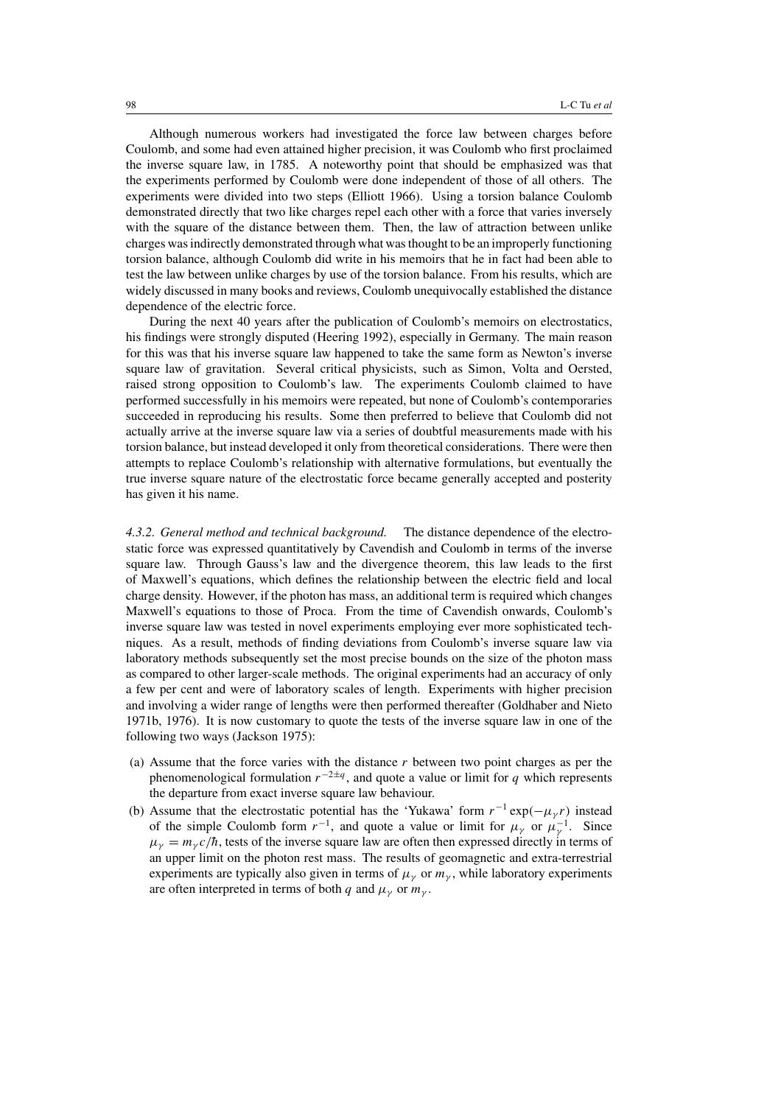Although numerous workers had investigated the force law between charges before Coulomb, and some had even attained higher precision, it was Coulomb who first proclaimed the inverse square law, in 1785. A noteworthy point that should be emphasized was that the experiments performed by Coulomb were done independent of those of all others. The experiments were divided into two steps (Elliott 1966). Using a torsion balance Coulomb demonstrated directly that two like charges repel each other with a force that varies inversely with the square of the distance between them. Then, the law of attraction between unlike charges was indirectly demonstrated through what was thought to be an improperly functioning torsion balance, although Coulomb did write in his memoirs that he in fact had been able to test the law between unlike charges by use of the torsion balance. From his results, which are widely discussed in many books and reviews, Coulomb unequivocally established the distance dependence of the electric force.

During the next 40 years after the publication of Coulomb's memoirs on electrostatics, his findings were strongly disputed (Heering 1992), especially in Germany. The main reason for this was that his inverse square law happened to take the same form as Newton's inverse square law of gravitation. Several critical physicists, such as Simon, Volta and Oersted, raised strong opposition to Coulomb's law. The experiments Coulomb claimed to have performed successfully in his memoirs were repeated, but none of Coulomb's contemporaries succeeded in reproducing his results. Some then preferred to believe that Coulomb did not actually arrive at the inverse square law via a series of doubtful measurements made with his torsion balance, but instead developed it only from theoretical considerations. There were then attempts to replace Coulomb's relationship with alternative formulations, but eventually the true inverse square nature of the electrostatic force became generally accepted and posterity has given it his name.

*4.3.2. General method and technical background.* The distance dependence of the electrostatic force was expressed quantitatively by Cavendish and Coulomb in terms of the inverse square law. Through Gauss's law and the divergence theorem, this law leads to the first of Maxwell's equations, which defines the relationship between the electric field and local charge density. However, if the photon has mass, an additional term is required which changes Maxwell's equations to those of Proca. From the time of Cavendish onwards, Coulomb's inverse square law was tested in novel experiments employing ever more sophisticated techniques. As a result, methods of finding deviations from Coulomb's inverse square law via laboratory methods subsequently set the most precise bounds on the size of the photon mass as compared to other larger-scale methods. The original experiments had an accuracy of only a few per cent and were of laboratory scales of length. Experiments with higher precision and involving a wider range of lengths were then performed thereafter (Goldhaber and Nieto 1971b, 1976). It is now customary to quote the tests of the inverse square law in one of the following two ways (Jackson 1975):

- (a) Assume that the force varies with the distance *r* between two point charges as per the phenomenological formulation  $r^{-2\pm q}$ , and quote a value or limit for *q* which represents the departure from exact inverse square law behaviour.
- (b) Assume that the electrostatic potential has the 'Yukawa' form *<sup>r</sup>*−<sup>1</sup> exp*(*−*µγ r)* instead of the simple Coulomb form  $r^{-1}$ , and quote a value or limit for  $\mu_{\gamma}$  or  $\mu_{\gamma}^{-1}$ . Since  $\mu_{\gamma} = m_{\gamma} c / \hbar$ , tests of the inverse square law are often then expressed directly in terms of an upper limit on the photon rest mass. The results of geomagnetic and extra-terrestrial experiments are typically also given in terms of  $\mu_{\gamma}$  or  $m_{\gamma}$ , while laboratory experiments are often interpreted in terms of both *q* and  $\mu_{\gamma}$  or  $m_{\gamma}$ .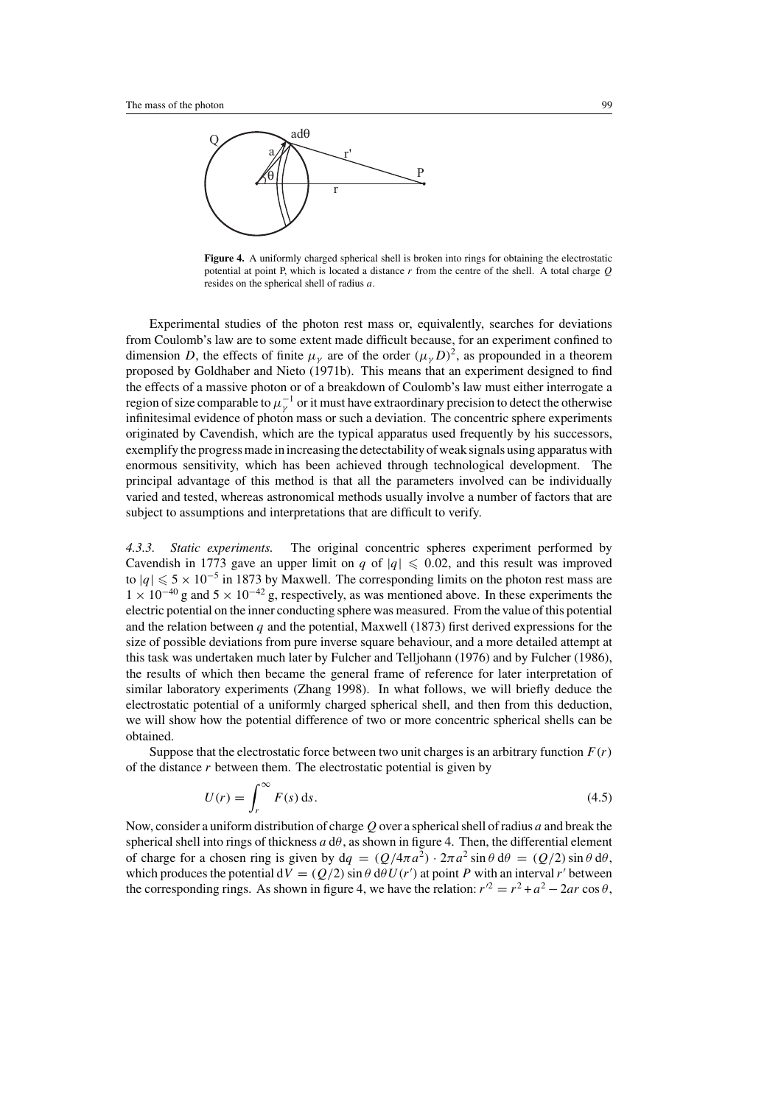

**Figure 4.** A uniformly charged spherical shell is broken into rings for obtaining the electrostatic potential at point P, which is located a distance *r* from the centre of the shell. A total charge *Q* resides on the spherical shell of radius *a*.

Experimental studies of the photon rest mass or, equivalently, searches for deviations from Coulomb's law are to some extent made difficult because, for an experiment confined to dimension *D*, the effects of finite  $\mu_{\nu}$  are of the order  $(\mu_{\nu}D)^2$ , as propounded in a theorem proposed by Goldhaber and Nieto (1971b). This means that an experiment designed to find the effects of a massive photon or of a breakdown of Coulomb's law must either interrogate a region of size comparable to  $\mu_{\gamma}^{-1}$  or it must have extraordinary precision to detect the otherwise infinitesimal evidence of photon mass or such a deviation. The concentric sphere experiments originated by Cavendish, which are the typical apparatus used frequently by his successors, exemplify the progress made in increasing the detectability of weak signals using apparatus with enormous sensitivity, which has been achieved through technological development. The principal advantage of this method is that all the parameters involved can be individually varied and tested, whereas astronomical methods usually involve a number of factors that are subject to assumptions and interpretations that are difficult to verify.

*4.3.3. Static experiments.* The original concentric spheres experiment performed by Cavendish in 1773 gave an upper limit on *q* of  $|q| \le 0.02$ , and this result was improved to  $|q| \leq 5 \times 10^{-5}$  in 1873 by Maxwell. The corresponding limits on the photon rest mass are  $1 \times 10^{-40}$  g and  $5 \times 10^{-42}$  g, respectively, as was mentioned above. In these experiments the electric potential on the inner conducting sphere was measured. From the value of this potential and the relation between *q* and the potential, Maxwell (1873) first derived expressions for the size of possible deviations from pure inverse square behaviour, and a more detailed attempt at this task was undertaken much later by Fulcher and Telljohann (1976) and by Fulcher (1986), the results of which then became the general frame of reference for later interpretation of similar laboratory experiments (Zhang 1998). In what follows, we will briefly deduce the electrostatic potential of a uniformly charged spherical shell, and then from this deduction, we will show how the potential difference of two or more concentric spherical shells can be obtained.

Suppose that the electrostatic force between two unit charges is an arbitrary function  $F(r)$ of the distance *r* between them. The electrostatic potential is given by

$$
U(r) = \int_{r}^{\infty} F(s) \, \mathrm{d}s. \tag{4.5}
$$

Now, consider a uniform distribution of charge *Q* over a spherical shell of radius *a* and break the spherical shell into rings of thickness *a* d*θ*, as shown in figure 4. Then, the differential element of charge for a chosen ring is given by  $dq = (Q/4\pi a^2) \cdot 2\pi a^2 \sin \theta d\theta = (Q/2) \sin \theta d\theta$ , which produces the potential  $dV = (Q/2) \sin \theta \, d\theta U(r')$  at point *P* with an interval *r'* between the corresponding rings. As shown in figure 4, we have the relation:  $r^2 = r^2 + a^2 - 2ar \cos \theta$ ,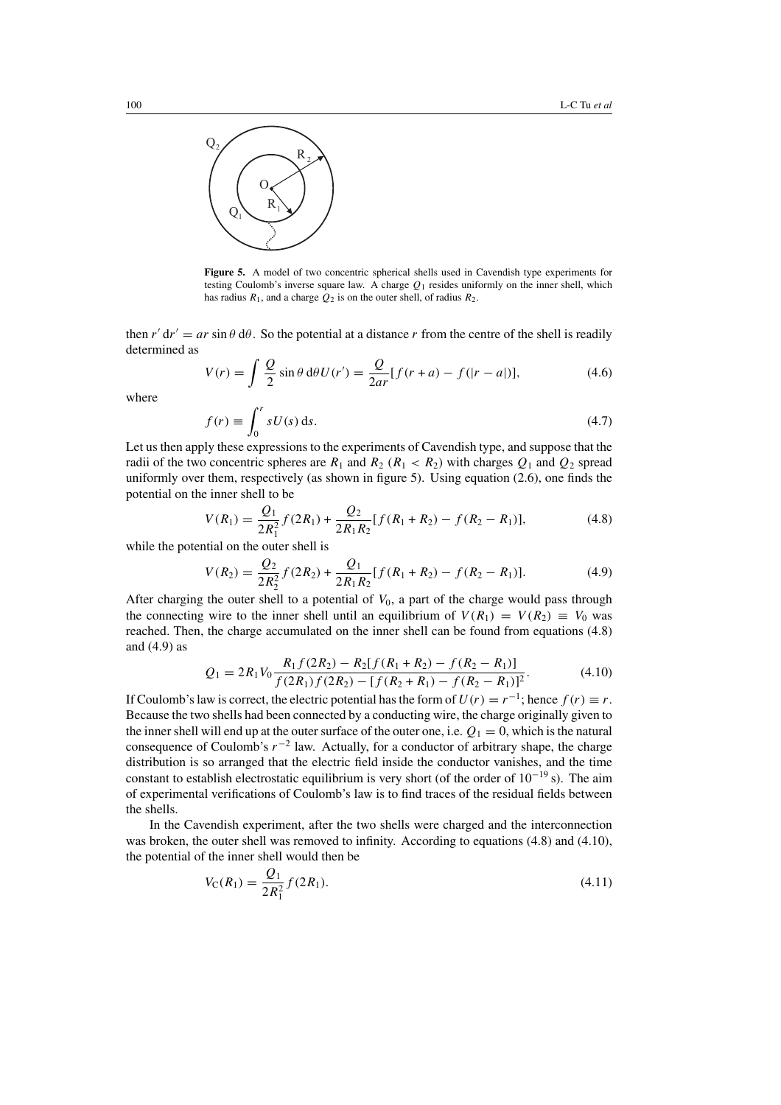

**Figure 5.** A model of two concentric spherical shells used in Cavendish type experiments for testing Coulomb's inverse square law. A charge *Q*<sup>1</sup> resides uniformly on the inner shell, which has radius  $R_1$ , and a charge  $Q_2$  is on the outer shell, of radius  $R_2$ .

then  $r'$  d $r' = ar \sin \theta$  d $\theta$ . So the potential at a distance *r* from the centre of the shell is readily determined as

$$
V(r) = \int \frac{Q}{2} \sin \theta \, d\theta U(r') = \frac{Q}{2ar} [f(r+a) - f(|r-a|)],
$$
\n(4.6)

where

$$
f(r) \equiv \int_0^r sU(s) \, \mathrm{d}s. \tag{4.7}
$$

Let us then apply these expressions to the experiments of Cavendish type, and suppose that the radii of the two concentric spheres are  $R_1$  and  $R_2$  ( $R_1 < R_2$ ) with charges  $Q_1$  and  $Q_2$  spread uniformly over them, respectively (as shown in figure 5). Using equation (2.6), one finds the potential on the inner shell to be

$$
V(R_1) = \frac{Q_1}{2R_1^2} f(2R_1) + \frac{Q_2}{2R_1R_2} [f(R_1 + R_2) - f(R_2 - R_1)],
$$
\n(4.8)

while the potential on the outer shell is

$$
V(R_2) = \frac{Q_2}{2R_2^2} f(2R_2) + \frac{Q_1}{2R_1R_2} [f(R_1 + R_2) - f(R_2 - R_1)].
$$
\n(4.9)

After charging the outer shell to a potential of  $V_0$ , a part of the charge would pass through the connecting wire to the inner shell until an equilibrium of  $V(R_1) = V(R_2) \equiv V_0$  was reached. Then, the charge accumulated on the inner shell can be found from equations (4.8) and (4.9) as

$$
Q_1 = 2R_1V_0 \frac{R_1f(2R_2) - R_2[f(R_1 + R_2) - f(R_2 - R_1)]}{f(2R_1)f(2R_2) - [f(R_2 + R_1) - f(R_2 - R_1)]^2}.
$$
(4.10)

If Coulomb's law is correct, the electric potential has the form of  $U(r) = r^{-1}$ ; hence  $f(r) \equiv r$ . Because the two shells had been connected by a conducting wire, the charge originally given to the inner shell will end up at the outer surface of the outer one, i.e.  $Q_1 = 0$ , which is the natural consequence of Coulomb's *r*−<sup>2</sup> law. Actually, for a conductor of arbitrary shape, the charge distribution is so arranged that the electric field inside the conductor vanishes, and the time constant to establish electrostatic equilibrium is very short (of the order of 10−<sup>19</sup> s). The aim of experimental verifications of Coulomb's law is to find traces of the residual fields between the shells.

In the Cavendish experiment, after the two shells were charged and the interconnection was broken, the outer shell was removed to infinity. According to equations (4.8) and (4.10), the potential of the inner shell would then be

$$
V_{\rm C}(R_1) = \frac{Q_1}{2R_1^2} f(2R_1). \tag{4.11}
$$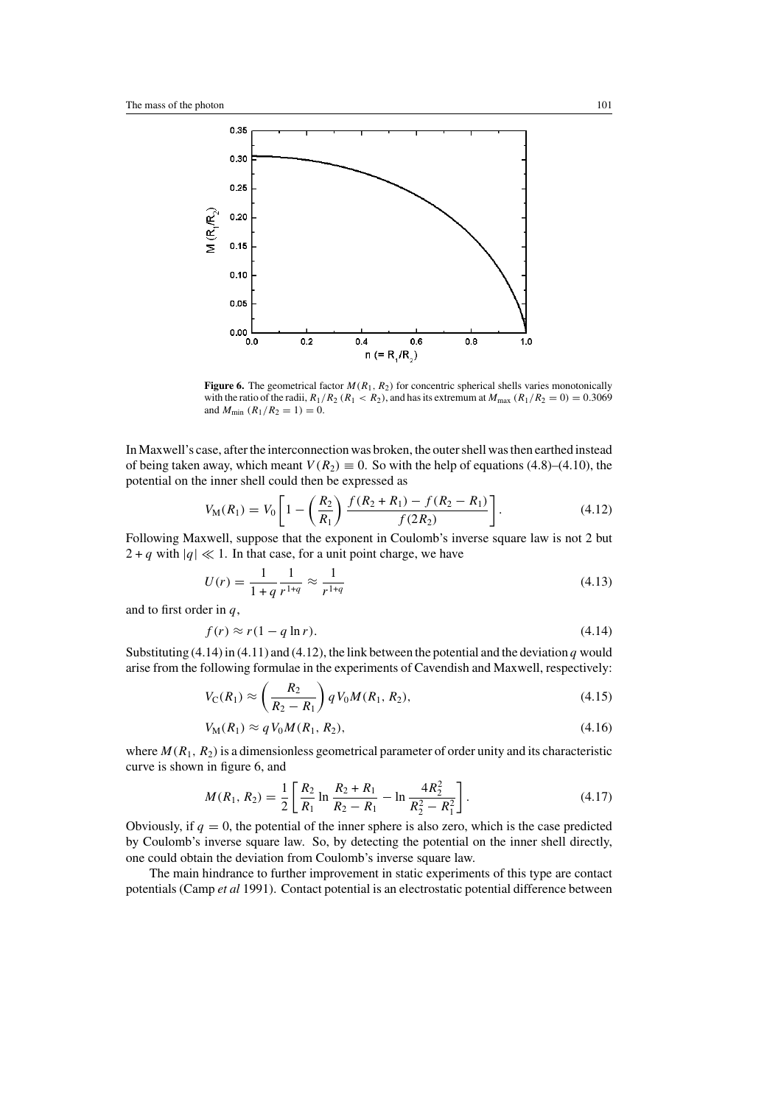

**Figure 6.** The geometrical factor  $M(R_1, R_2)$  for concentric spherical shells varies monotonically with the ratio of the radii,  $R_1/R_2$  ( $R_1 < R_2$ ), and has its extremum at  $M_{\text{max}}$  ( $R_1/R_2 = 0$ ) = 0.3069 and  $M_{\text{min}} (R_1/R_2 = 1) = 0$ .

In Maxwell's case, after the interconnection was broken, the outer shell was then earthed instead of being taken away, which meant  $V(R_2) \equiv 0$ . So with the help of equations (4.8)–(4.10), the potential on the inner shell could then be expressed as

$$
V_{\mathcal{M}}(R_1) = V_0 \left[ 1 - \left( \frac{R_2}{R_1} \right) \frac{f(R_2 + R_1) - f(R_2 - R_1)}{f(2R_2)} \right].
$$
 (4.12)

Following Maxwell, suppose that the exponent in Coulomb's inverse square law is not 2 but  $2 + q$  with  $|q| \ll 1$ . In that case, for a unit point charge, we have

$$
U(r) = \frac{1}{1+q} \frac{1}{r^{1+q}} \approx \frac{1}{r^{1+q}}
$$
\n(4.13)

and to first order in *q*,

$$
f(r) \approx r(1 - q \ln r). \tag{4.14}
$$

Substituting  $(4.14)$  in  $(4.11)$  and  $(4.12)$ , the link between the potential and the deviation *q* would arise from the following formulae in the experiments of Cavendish and Maxwell, respectively:

$$
V_{\rm C}(R_1) \approx \left(\frac{R_2}{R_2 - R_1}\right) q V_0 M(R_1, R_2),\tag{4.15}
$$

$$
V_{\mathcal{M}}(R_1) \approx q V_0 M(R_1, R_2),\tag{4.16}
$$

where  $M(R_1, R_2)$  is a dimensionless geometrical parameter of order unity and its characteristic curve is shown in figure 6, and

$$
M(R_1, R_2) = \frac{1}{2} \left[ \frac{R_2}{R_1} \ln \frac{R_2 + R_1}{R_2 - R_1} - \ln \frac{4R_2^2}{R_2^2 - R_1^2} \right].
$$
 (4.17)

Obviously, if  $q = 0$ , the potential of the inner sphere is also zero, which is the case predicted by Coulomb's inverse square law. So, by detecting the potential on the inner shell directly, one could obtain the deviation from Coulomb's inverse square law.

The main hindrance to further improvement in static experiments of this type are contact potentials (Camp *et al* 1991). Contact potential is an electrostatic potential difference between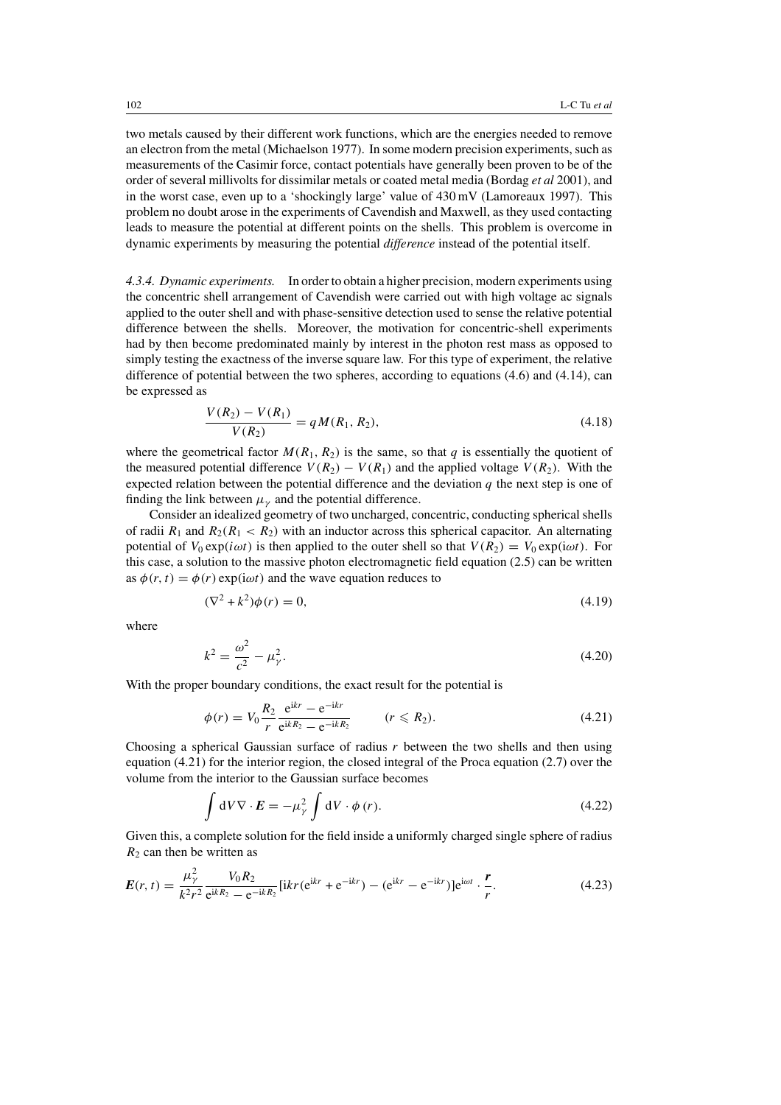two metals caused by their different work functions, which are the energies needed to remove an electron from the metal (Michaelson 1977). In some modern precision experiments, such as measurements of the Casimir force, contact potentials have generally been proven to be of the order of several millivolts for dissimilar metals or coated metal media (Bordag *et al* 2001), and in the worst case, even up to a 'shockingly large' value of 430 mV (Lamoreaux 1997). This problem no doubt arose in the experiments of Cavendish and Maxwell, as they used contacting leads to measure the potential at different points on the shells. This problem is overcome in dynamic experiments by measuring the potential *difference* instead of the potential itself.

*4.3.4. Dynamic experiments.* In order to obtain a higher precision, modern experiments using the concentric shell arrangement of Cavendish were carried out with high voltage ac signals applied to the outer shell and with phase-sensitive detection used to sense the relative potential difference between the shells. Moreover, the motivation for concentric-shell experiments had by then become predominated mainly by interest in the photon rest mass as opposed to simply testing the exactness of the inverse square law. For this type of experiment, the relative difference of potential between the two spheres, according to equations (4.6) and (4.14), can be expressed as

$$
\frac{V(R_2) - V(R_1)}{V(R_2)} = qM(R_1, R_2),\tag{4.18}
$$

where the geometrical factor  $M(R_1, R_2)$  is the same, so that *q* is essentially the quotient of the measured potential difference  $V(R_2) - V(R_1)$  and the applied voltage  $V(R_2)$ . With the expected relation between the potential difference and the deviation *q* the next step is one of finding the link between  $\mu_{\nu}$  and the potential difference.

Consider an idealized geometry of two uncharged, concentric, conducting spherical shells of radii  $R_1$  and  $R_2(R_1 \lt R_2)$  with an inductor across this spherical capacitor. An alternating potential of  $V_0 \exp(i\omega t)$  is then applied to the outer shell so that  $V(R_2) = V_0 \exp(i\omega t)$ . For this case, a solution to the massive photon electromagnetic field equation (2.5) can be written as  $\phi(r, t) = \phi(r) \exp(i\omega t)$  and the wave equation reduces to

$$
(\nabla^2 + k^2)\phi(r) = 0,\t\t(4.19)
$$

where

$$
k^2 = \frac{\omega^2}{c^2} - \mu_\gamma^2. \tag{4.20}
$$

With the proper boundary conditions, the exact result for the potential is

$$
\phi(r) = V_0 \frac{R_2}{r} \frac{e^{ikr} - e^{-ikr}}{e^{ikR_2} - e^{-ikR_2}} \qquad (r \le R_2).
$$
\n(4.21)

Choosing a spherical Gaussian surface of radius *r* between the two shells and then using equation (4.21) for the interior region, the closed integral of the Proca equation (2.7) over the volume from the interior to the Gaussian surface becomes

$$
\int dV \nabla \cdot \boldsymbol{E} = -\mu_{\gamma}^{2} \int dV \cdot \phi(r). \qquad (4.22)
$$

Given this, a complete solution for the field inside a uniformly charged single sphere of radius *R*<sup>2</sup> can then be written as

$$
E(r,t) = \frac{\mu_{\gamma}^{2}}{k^{2}r^{2}} \frac{V_{0}R_{2}}{e^{ikR_{2}} - e^{-ikR_{2}}} [ikr(e^{ikr} + e^{-ikr}) - (e^{ikr} - e^{-ikr})]e^{i\omega t} \cdot \frac{r}{r}.
$$
 (4.23)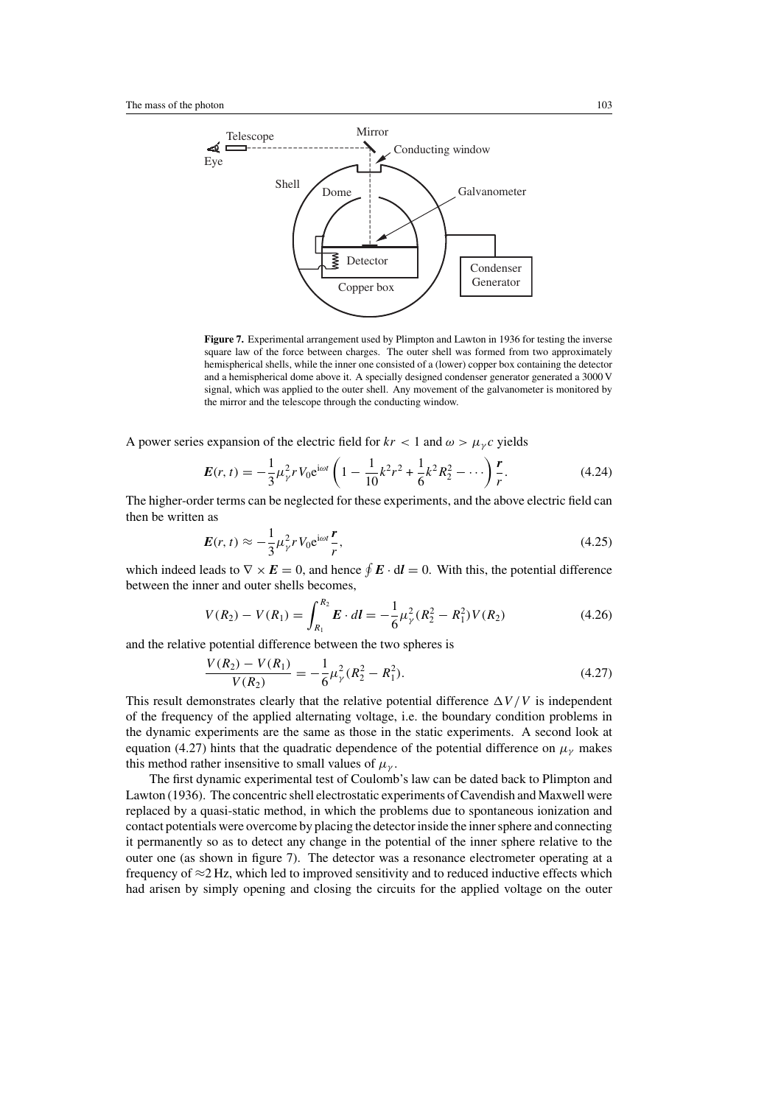

Figure 7. Experimental arrangement used by Plimpton and Lawton in 1936 for testing the inverse square law of the force between charges. The outer shell was formed from two approximately hemispherical shells, while the inner one consisted of a (lower) copper box containing the detector and a hemispherical dome above it. A specially designed condenser generator generated a 3000 V signal, which was applied to the outer shell. Any movement of the galvanometer is monitored by the mirror and the telescope through the conducting window.

A power series expansion of the electric field for  $kr < 1$  and  $\omega > \mu<sub>\nu</sub>$  *c* yields

$$
E(r,t) = -\frac{1}{3}\mu_{\gamma}^{2}rV_{0}e^{i\omega t} \left(1 - \frac{1}{10}k^{2}r^{2} + \frac{1}{6}k^{2}R_{2}^{2} - \cdots\right)\frac{r}{r}.
$$
 (4.24)

The higher-order terms can be neglected for these experiments, and the above electric field can then be written as

$$
E(r,t) \approx -\frac{1}{3}\mu_{\gamma}^2 r V_0 e^{i\omega t} \frac{r}{r},
$$
\n(4.25)

which indeed leads to  $\nabla \times \mathbf{E} = 0$ , and hence  $\oint \mathbf{E} \cdot d\mathbf{l} = 0$ . With this, the potential difference between the inner and outer shells becomes,

$$
V(R_2) - V(R_1) = \int_{R_1}^{R_2} E \cdot dI = -\frac{1}{6} \mu_{\gamma}^2 (R_2^2 - R_1^2) V(R_2)
$$
 (4.26)

and the relative potential difference between the two spheres is

$$
\frac{V(R_2) - V(R_1)}{V(R_2)} = -\frac{1}{6}\mu_\gamma^2 (R_2^2 - R_1^2). \tag{4.27}
$$

This result demonstrates clearly that the relative potential difference  $\Delta V/V$  is independent of the frequency of the applied alternating voltage, i.e. the boundary condition problems in the dynamic experiments are the same as those in the static experiments. A second look at equation (4.27) hints that the quadratic dependence of the potential difference on  $\mu_{\nu}$  makes this method rather insensitive to small values of  $\mu_{\gamma}$ .

The first dynamic experimental test of Coulomb's law can be dated back to Plimpton and Lawton (1936). The concentric shell electrostatic experiments of Cavendish and Maxwell were replaced by a quasi-static method, in which the problems due to spontaneous ionization and contact potentials were overcome by placing the detector inside the inner sphere and connecting it permanently so as to detect any change in the potential of the inner sphere relative to the outer one (as shown in figure 7). The detector was a resonance electrometer operating at a frequency of  $\approx$ 2 Hz, which led to improved sensitivity and to reduced inductive effects which had arisen by simply opening and closing the circuits for the applied voltage on the outer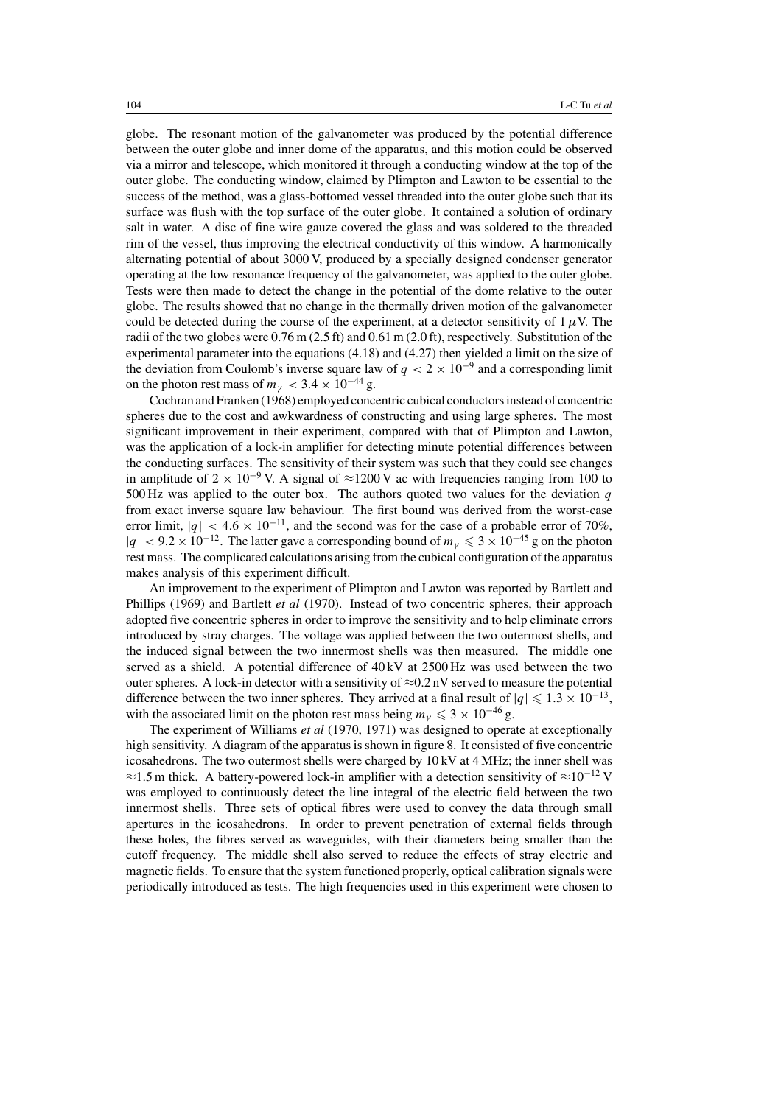globe. The resonant motion of the galvanometer was produced by the potential difference between the outer globe and inner dome of the apparatus, and this motion could be observed via a mirror and telescope, which monitored it through a conducting window at the top of the outer globe. The conducting window, claimed by Plimpton and Lawton to be essential to the success of the method, was a glass-bottomed vessel threaded into the outer globe such that its surface was flush with the top surface of the outer globe. It contained a solution of ordinary salt in water. A disc of fine wire gauze covered the glass and was soldered to the threaded rim of the vessel, thus improving the electrical conductivity of this window. A harmonically alternating potential of about 3000 V, produced by a specially designed condenser generator operating at the low resonance frequency of the galvanometer, was applied to the outer globe. Tests were then made to detect the change in the potential of the dome relative to the outer globe. The results showed that no change in the thermally driven motion of the galvanometer could be detected during the course of the experiment, at a detector sensitivity of  $1 \mu$ V. The radii of the two globes were  $0.76$  m ( $2.5$  ft) and  $0.61$  m ( $2.0$  ft), respectively. Substitution of the experimental parameter into the equations (4.18) and (4.27) then yielded a limit on the size of the deviation from Coulomb's inverse square law of  $q < 2 \times 10^{-9}$  and a corresponding limit on the photon rest mass of  $m<sub>\gamma</sub>$  < 3.4 × 10<sup>-44</sup> g.

Cochran and Franken (1968) employed concentric cubical conductors instead of concentric spheres due to the cost and awkwardness of constructing and using large spheres. The most significant improvement in their experiment, compared with that of Plimpton and Lawton, was the application of a lock-in amplifier for detecting minute potential differences between the conducting surfaces. The sensitivity of their system was such that they could see changes in amplitude of 2 × 10<sup>-9</sup> V. A signal of ≈1200 V ac with frequencies ranging from 100 to 500 Hz was applied to the outer box. The authors quoted two values for the deviation *q* from exact inverse square law behaviour. The first bound was derived from the worst-case error limit,  $|q| < 4.6 \times 10^{-11}$ , and the second was for the case of a probable error of 70%,  $|q| < 9.2 \times 10^{-12}$ . The latter gave a corresponding bound of  $m_v \leq 3 \times 10^{-45}$  g on the photon rest mass. The complicated calculations arising from the cubical configuration of the apparatus makes analysis of this experiment difficult.

An improvement to the experiment of Plimpton and Lawton was reported by Bartlett and Phillips (1969) and Bartlett *et al* (1970). Instead of two concentric spheres, their approach adopted five concentric spheres in order to improve the sensitivity and to help eliminate errors introduced by stray charges. The voltage was applied between the two outermost shells, and the induced signal between the two innermost shells was then measured. The middle one served as a shield. A potential difference of 40 kV at 2500 Hz was used between the two outer spheres. A lock-in detector with a sensitivity of  $\approx 0.2$  nV served to measure the potential difference between the two inner spheres. They arrived at a final result of  $|q| \leq 1.3 \times 10^{-13}$ , with the associated limit on the photon rest mass being  $m_\nu \leq 3 \times 10^{-46}$  g.

The experiment of Williams *et al* (1970, 1971) was designed to operate at exceptionally high sensitivity. A diagram of the apparatus is shown in figure 8. It consisted of five concentric icosahedrons. The two outermost shells were charged by 10 kV at 4 MHz; the inner shell was  $\approx$ 1.5 m thick. A battery-powered lock-in amplifier with a detection sensitivity of  $\approx$ 10<sup>-12</sup> V was employed to continuously detect the line integral of the electric field between the two innermost shells. Three sets of optical fibres were used to convey the data through small apertures in the icosahedrons. In order to prevent penetration of external fields through these holes, the fibres served as waveguides, with their diameters being smaller than the cutoff frequency. The middle shell also served to reduce the effects of stray electric and magnetic fields. To ensure that the system functioned properly, optical calibration signals were periodically introduced as tests. The high frequencies used in this experiment were chosen to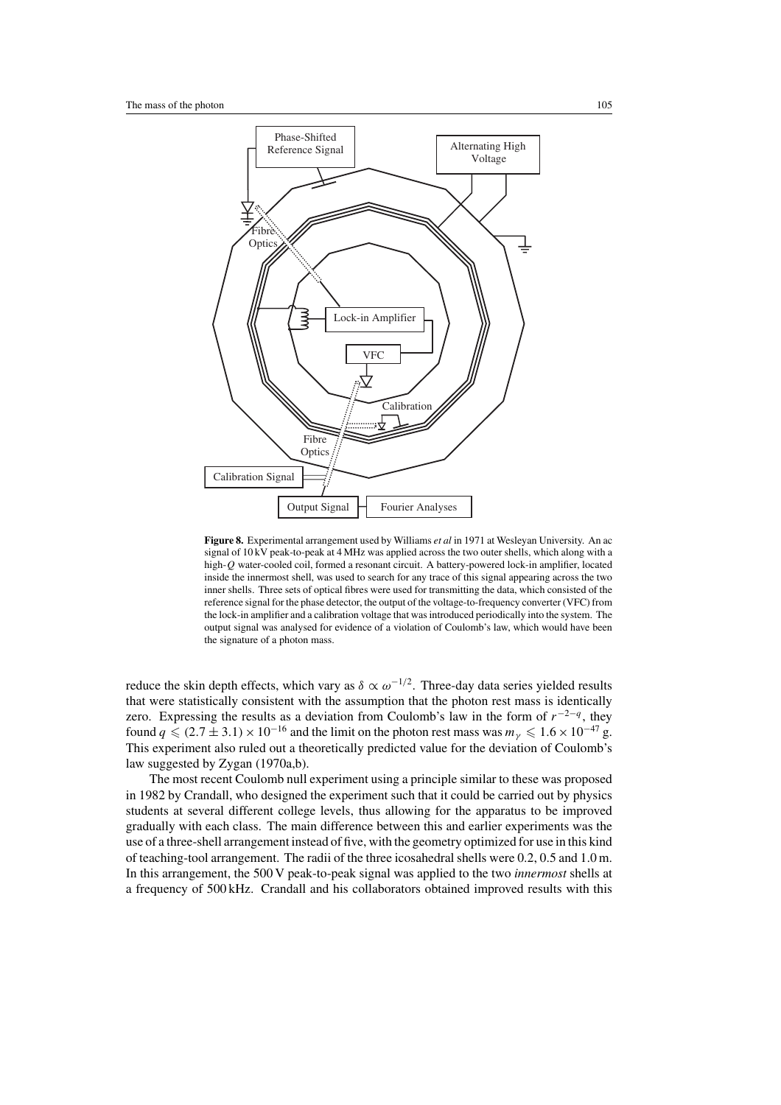

**Figure 8.** Experimental arrangement used by Williams *et al* in 1971 at Wesleyan University. An ac signal of 10 kV peak-to-peak at 4 MHz was applied across the two outer shells, which along with a high-*Q* water-cooled coil, formed a resonant circuit. A battery-powered lock-in amplifier, located inside the innermost shell, was used to search for any trace of this signal appearing across the two inner shells. Three sets of optical fibres were used for transmitting the data, which consisted of the reference signal for the phase detector, the output of the voltage-to-frequency converter (VFC) from the lock-in amplifier and a calibration voltage that was introduced periodically into the system. The output signal was analysed for evidence of a violation of Coulomb's law, which would have been the signature of a photon mass.

reduce the skin depth effects, which vary as  $\delta \propto \omega^{-1/2}$ . Three-day data series yielded results that were statistically consistent with the assumption that the photon rest mass is identically zero. Expressing the results as a deviation from Coulomb's law in the form of  $r^{-2-q}$ , they found  $q \leq (2.7 \pm 3.1) \times 10^{-16}$  and the limit on the photon rest mass was  $m_{\gamma} \leq 1.6 \times 10^{-47}$  g. This experiment also ruled out a theoretically predicted value for the deviation of Coulomb's law suggested by Zygan (1970a,b).

The most recent Coulomb null experiment using a principle similar to these was proposed in 1982 by Crandall, who designed the experiment such that it could be carried out by physics students at several different college levels, thus allowing for the apparatus to be improved gradually with each class. The main difference between this and earlier experiments was the use of a three-shell arrangement instead of five, with the geometry optimized for use in this kind of teaching-tool arrangement. The radii of the three icosahedral shells were 0.2, 0.5 and 1.0 m. In this arrangement, the 500 V peak-to-peak signal was applied to the two *innermost* shells at a frequency of 500 kHz. Crandall and his collaborators obtained improved results with this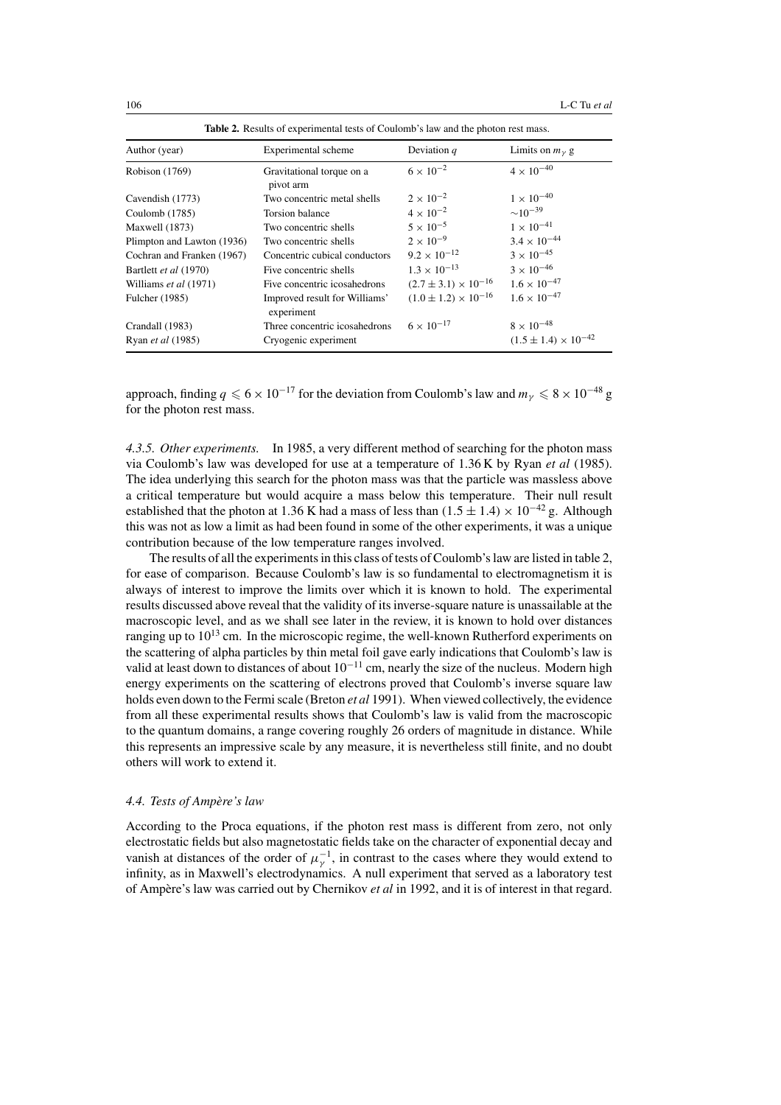| <b>Table 2.</b> Kesults of experimental less of Coulomb 3 law and the photon rest mass. |                                             |                                 |                                 |  |  |
|-----------------------------------------------------------------------------------------|---------------------------------------------|---------------------------------|---------------------------------|--|--|
| Author (year)                                                                           | Experimental scheme                         | Deviation $q$                   | Limits on $m_{\gamma}$ g        |  |  |
| Robison (1769)                                                                          | Gravitational torque on a<br>pivot arm      | $6 \times 10^{-2}$              | $4 \times 10^{-40}$             |  |  |
| Cavendish (1773)                                                                        | Two concentric metal shells                 | $2 \times 10^{-2}$              | $1 \times 10^{-40}$             |  |  |
| Coulomb (1785)                                                                          | Torsion balance                             | $4 \times 10^{-2}$              | $\sim 10^{-39}$                 |  |  |
| Maxwell (1873)                                                                          | Two concentric shells                       | $5 \times 10^{-5}$              | $1 \times 10^{-41}$             |  |  |
| Plimpton and Lawton (1936)                                                              | Two concentric shells                       | $2 \times 10^{-9}$              | $3.4 \times 10^{-44}$           |  |  |
| Cochran and Franken (1967)                                                              | Concentric cubical conductors               | $9.2 \times 10^{-12}$           | $3 \times 10^{-45}$             |  |  |
| Bartlett et al (1970)                                                                   | Five concentric shells                      | $1.3 \times 10^{-13}$           | $3 \times 10^{-46}$             |  |  |
| Williams et al (1971)                                                                   | Five concentric icosahedrons                | $(2.7 \pm 3.1) \times 10^{-16}$ | $1.6 \times 10^{-47}$           |  |  |
| Fulcher (1985)                                                                          | Improved result for Williams'<br>experiment | $(1.0 \pm 1.2) \times 10^{-16}$ | $1.6 \times 10^{-47}$           |  |  |
| Crandall (1983)                                                                         | Three concentric icosahedrons               | $6 \times 10^{-17}$             | $8\times10^{-48}$               |  |  |
| Ryan <i>et al</i> (1985)                                                                | Cryogenic experiment                        |                                 | $(1.5 \pm 1.4) \times 10^{-42}$ |  |  |

**Table 2.** Results of experimental tests of Coulomb's law and the photon rest mass.

approach, finding  $q \le 6 \times 10^{-17}$  for the deviation from Coulomb's law and  $m_{\nu} \le 8 \times 10^{-48}$  g for the photon rest mass.

*4.3.5. Other experiments.* In 1985, a very different method of searching for the photon mass via Coulomb's law was developed for use at a temperature of 1.36 K by Ryan *et al* (1985). The idea underlying this search for the photon mass was that the particle was massless above a critical temperature but would acquire a mass below this temperature. Their null result established that the photon at 1.36 K had a mass of less than  $(1.5 \pm 1.4) \times 10^{-42}$  g. Although this was not as low a limit as had been found in some of the other experiments, it was a unique contribution because of the low temperature ranges involved.

The results of all the experiments in this class of tests of Coulomb's law are listed in table 2, for ease of comparison. Because Coulomb's law is so fundamental to electromagnetism it is always of interest to improve the limits over which it is known to hold. The experimental results discussed above reveal that the validity of its inverse-square nature is unassailable at the macroscopic level, and as we shall see later in the review, it is known to hold over distances ranging up to  $10^{13}$  cm. In the microscopic regime, the well-known Rutherford experiments on the scattering of alpha particles by thin metal foil gave early indications that Coulomb's law is valid at least down to distances of about  $10^{-11}$  cm, nearly the size of the nucleus. Modern high energy experiments on the scattering of electrons proved that Coulomb's inverse square law holds even down to the Fermi scale (Breton *et al* 1991). When viewed collectively, the evidence from all these experimental results shows that Coulomb's law is valid from the macroscopic to the quantum domains, a range covering roughly 26 orders of magnitude in distance. While this represents an impressive scale by any measure, it is nevertheless still finite, and no doubt others will work to extend it.

#### *4.4. Tests of Ampere's law `*

According to the Proca equations, if the photon rest mass is different from zero, not only electrostatic fields but also magnetostatic fields take on the character of exponential decay and vanish at distances of the order of  $\mu_{\gamma}^{-1}$ , in contrast to the cases where they would extend to infinity, as in Maxwell's electrodynamics. A null experiment that served as a laboratory test of Ampère's law was carried out by Chernikov et al in 1992, and it is of interest in that regard.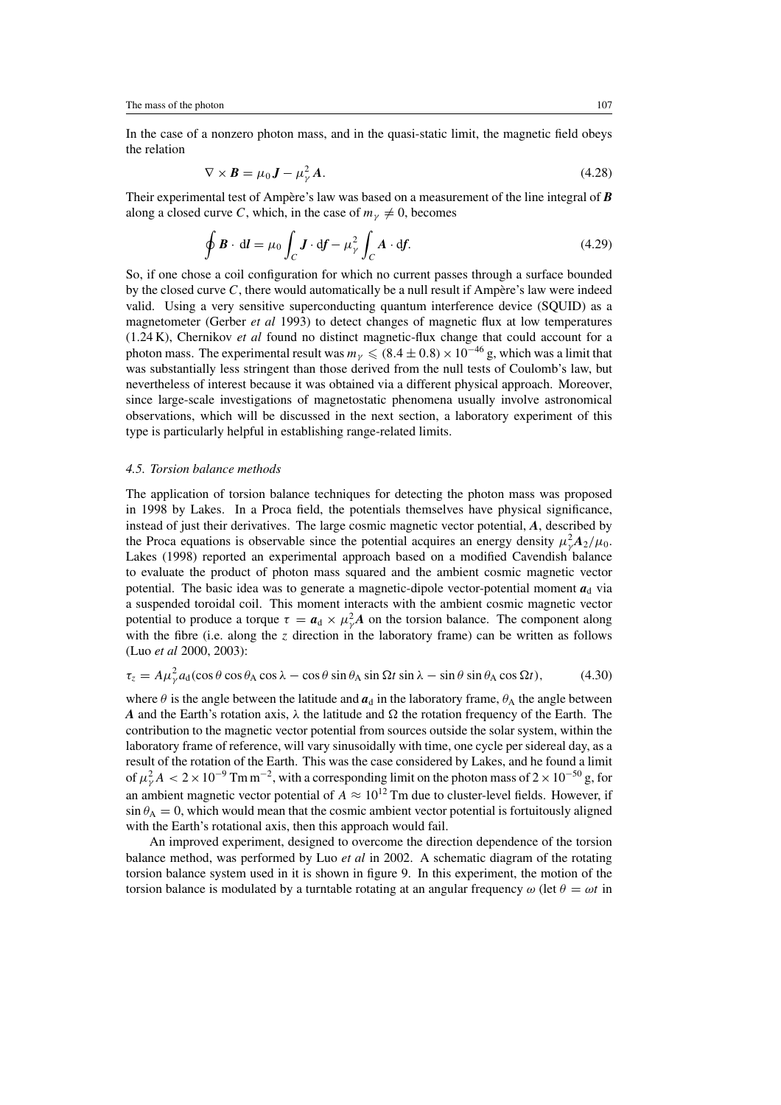In the case of a nonzero photon mass, and in the quasi-static limit, the magnetic field obeys the relation

$$
\nabla \times \mathbf{B} = \mu_0 \mathbf{J} - \mu_\gamma^2 \mathbf{A}.
$$
 (4.28)

Their experimental test of Ampère's law was based on a measurement of the line integral of  $\bm{B}$ along a closed curve *C*, which, in the case of  $m_v \neq 0$ , becomes

$$
\oint \mathbf{B} \cdot d\mathbf{l} = \mu_0 \int_C \mathbf{J} \cdot d\mathbf{f} - \mu_\gamma^2 \int_C \mathbf{A} \cdot d\mathbf{f}.\tag{4.29}
$$

So, if one chose a coil configuration for which no current passes through a surface bounded by the closed curve  $C$ , there would automatically be a null result if Ampère's law were indeed valid. Using a very sensitive superconducting quantum interference device (SQUID) as a magnetometer (Gerber *et al* 1993) to detect changes of magnetic flux at low temperatures (1.24 K), Chernikov *et al* found no distinct magnetic-flux change that could account for a photon mass. The experimental result was  $m_v \le (8.4 \pm 0.8) \times 10^{-46}$  g, which was a limit that was substantially less stringent than those derived from the null tests of Coulomb's law, but nevertheless of interest because it was obtained via a different physical approach. Moreover, since large-scale investigations of magnetostatic phenomena usually involve astronomical observations, which will be discussed in the next section, a laboratory experiment of this type is particularly helpful in establishing range-related limits.

# *4.5. Torsion balance methods*

The application of torsion balance techniques for detecting the photon mass was proposed in 1998 by Lakes. In a Proca field, the potentials themselves have physical significance, instead of just their derivatives. The large cosmic magnetic vector potential, *A*, described by the Proca equations is observable since the potential acquires an energy density  $\mu_{\gamma}^2 A_2/\mu_0$ . Lakes (1998) reported an experimental approach based on a modified Cavendish balance to evaluate the product of photon mass squared and the ambient cosmic magnetic vector potential. The basic idea was to generate a magnetic-dipole vector-potential moment  $a_d$  via a suspended toroidal coil. This moment interacts with the ambient cosmic magnetic vector potential to produce a torque  $\tau = a_d \times \mu_V^2 A$  on the torsion balance. The component along with the fibre (i.e. along the *z* direction in the laboratory frame) can be written as follows (Luo *et al* 2000, 2003):

$$
\tau_z = A\mu_{\gamma}^2 a_d(\cos\theta\cos\theta_A\cos\lambda - \cos\theta\sin\theta_A\sin\Omega t\sin\lambda - \sin\theta\sin\theta_A\cos\Omega t),\tag{4.30}
$$

where  $\theta$  is the angle between the latitude and  $a_d$  in the laboratory frame,  $\theta_A$  the angle between *A* and the Earth's rotation axis,  $\lambda$  the latitude and  $\Omega$  the rotation frequency of the Earth. The contribution to the magnetic vector potential from sources outside the solar system, within the laboratory frame of reference, will vary sinusoidally with time, one cycle per sidereal day, as a result of the rotation of the Earth. This was the case considered by Lakes, and he found a limit of  $\mu_\gamma^2 A < 2 \times 10^{-9}$  Tm m<sup>-2</sup>, with a corresponding limit on the photon mass of  $2 \times 10^{-50}$  g, for an ambient magnetic vector potential of  $A \approx 10^{12}$  Tm due to cluster-level fields. However, if  $\sin \theta_A = 0$ , which would mean that the cosmic ambient vector potential is fortuitously aligned with the Earth's rotational axis, then this approach would fail.

An improved experiment, designed to overcome the direction dependence of the torsion balance method, was performed by Luo *et al* in 2002. A schematic diagram of the rotating torsion balance system used in it is shown in figure 9. In this experiment, the motion of the torsion balance is modulated by a turntable rotating at an angular frequency  $\omega$  (let  $\theta = \omega t$  in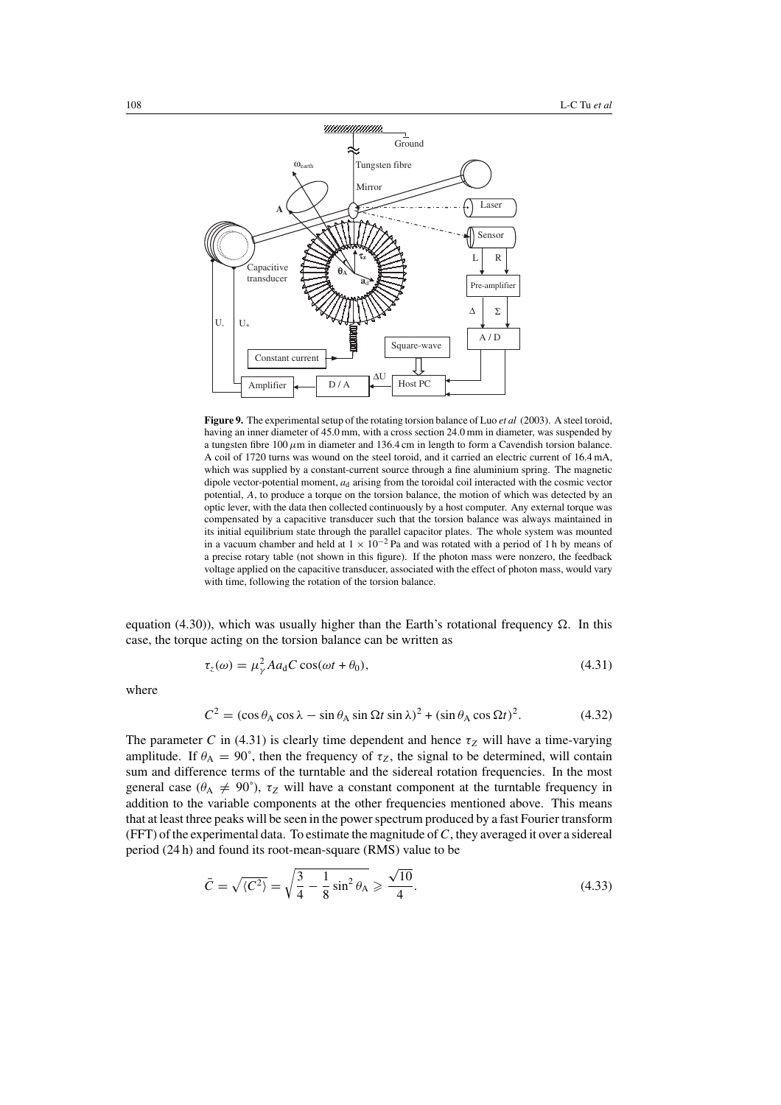

**Figure 9.** The experimental setup of the rotating torsion balance of Luo *et al* (2003). A steel toroid, having an inner diameter of 45.0 mm, with a cross section 24.0 mm in diameter, was suspended by a tungsten fibre 100*µ*m in diameter and 136.4 cm in length to form a Cavendish torsion balance. A coil of 1720 turns was wound on the steel toroid, and it carried an electric current of 16.4 mA, which was supplied by a constant-current source through a fine aluminium spring. The magnetic dipole vector-potential moment,  $a_d$  arising from the toroidal coil interacted with the cosmic vector potential, *A*, to produce a torque on the torsion balance, the motion of which was detected by an optic lever, with the data then collected continuously by a host computer. Any external torque was compensated by a capacitive transducer such that the torsion balance was always maintained in its initial equilibrium state through the parallel capacitor plates. The whole system was mounted in a vacuum chamber and held at  $1 \times 10^{-2}$  Pa and was rotated with a period of 1 h by means of a precise rotary table (not shown in this figure). If the photon mass were nonzero, the feedback voltage applied on the capacitive transducer, associated with the effect of photon mass, would vary with time, following the rotation of the torsion balance.

equation (4.30)), which was usually higher than the Earth's rotational frequency  $\Omega$ . In this case, the torque acting on the torsion balance can be written as

$$
\tau_z(\omega) = \mu_\gamma^2 A a_d C \cos(\omega t + \theta_0), \qquad (4.31)
$$

where

$$
C^{2} = (\cos \theta_{A} \cos \lambda - \sin \theta_{A} \sin \Omega t \sin \lambda)^{2} + (\sin \theta_{A} \cos \Omega t)^{2}.
$$
 (4.32)

The parameter *C* in (4.31) is clearly time dependent and hence  $\tau_Z$  will have a time-varying amplitude. If  $\theta_A = 90^\circ$ , then the frequency of  $\tau_Z$ , the signal to be determined, will contain sum and difference terms of the turntable and the sidereal rotation frequencies. In the most general case ( $\theta_A \neq 90^\circ$ ),  $\tau_Z$  will have a constant component at the turntable frequency in addition to the variable components at the other frequencies mentioned above. This means that at least three peaks will be seen in the power spectrum produced by a fast Fourier transform (FFT) of the experimental data. To estimate the magnitude of*C*, they averaged it over a sidereal period (24 h) and found its root-mean-square (RMS) value to be

$$
\bar{C} = \sqrt{\langle C^2 \rangle} = \sqrt{\frac{3}{4} - \frac{1}{8} \sin^2 \theta_A} \ge \frac{\sqrt{10}}{4}.
$$
 (4.33)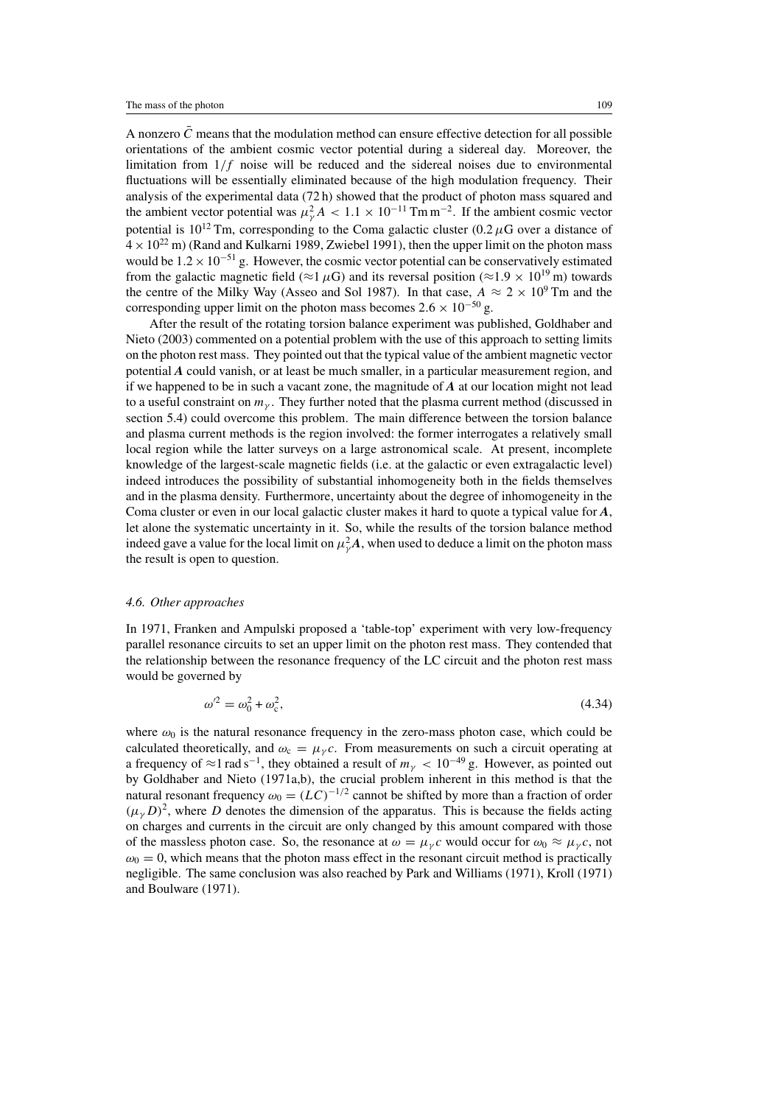A nonzero  $\bar{C}$  means that the modulation method can ensure effective detection for all possible orientations of the ambient cosmic vector potential during a sidereal day. Moreover, the limitation from 1*/f* noise will be reduced and the sidereal noises due to environmental fluctuations will be essentially eliminated because of the high modulation frequency. Their analysis of the experimental data (72 h) showed that the product of photon mass squared and the ambient vector potential was  $\mu_{\gamma}^2 A < 1.1 \times 10^{-11}$  Tm m<sup>-2</sup>. If the ambient cosmic vector potential is  $10^{12}$  Tm, corresponding to the Coma galactic cluster (0.2  $\mu$ G over a distance of  $4 \times 10^{22}$  m) (Rand and Kulkarni 1989, Zwiebel 1991), then the upper limit on the photon mass would be  $1.2 \times 10^{-51}$  g. However, the cosmic vector potential can be conservatively estimated from the galactic magnetic field ( $\approx$ 1  $\mu$ G) and its reversal position ( $\approx$ 1.9  $\times$  10<sup>19</sup> m) towards the centre of the Milky Way (Asseo and Sol 1987). In that case,  $A \approx 2 \times 10^9$  Tm and the corresponding upper limit on the photon mass becomes  $2.6 \times 10^{-50}$  g.

After the result of the rotating torsion balance experiment was published, Goldhaber and Nieto (2003) commented on a potential problem with the use of this approach to setting limits on the photon rest mass. They pointed out that the typical value of the ambient magnetic vector potential *A* could vanish, or at least be much smaller, in a particular measurement region, and if we happened to be in such a vacant zone, the magnitude of *A* at our location might not lead to a useful constraint on  $m<sub>\gamma</sub>$ . They further noted that the plasma current method (discussed in section 5.4) could overcome this problem. The main difference between the torsion balance and plasma current methods is the region involved: the former interrogates a relatively small local region while the latter surveys on a large astronomical scale. At present, incomplete knowledge of the largest-scale magnetic fields (i.e. at the galactic or even extragalactic level) indeed introduces the possibility of substantial inhomogeneity both in the fields themselves and in the plasma density. Furthermore, uncertainty about the degree of inhomogeneity in the Coma cluster or even in our local galactic cluster makes it hard to quote a typical value for *A*, let alone the systematic uncertainty in it. So, while the results of the torsion balance method indeed gave a value for the local limit on  $\mu_{\gamma}^2 A$ , when used to deduce a limit on the photon mass the result is open to question.

#### *4.6. Other approaches*

In 1971, Franken and Ampulski proposed a 'table-top' experiment with very low-frequency parallel resonance circuits to set an upper limit on the photon rest mass. They contended that the relationship between the resonance frequency of the LC circuit and the photon rest mass would be governed by

$$
\omega^2 = \omega_0^2 + \omega_c^2,\tag{4.34}
$$

where  $\omega_0$  is the natural resonance frequency in the zero-mass photon case, which could be calculated theoretically, and  $\omega_c = \mu_y c$ . From measurements on such a circuit operating at a frequency of  $\approx$ 1 rad s<sup>-1</sup>, they obtained a result of  $m<sub>\gamma</sub>$  < 10<sup>-49</sup> g. However, as pointed out by Goldhaber and Nieto (1971a,b), the crucial problem inherent in this method is that the natural resonant frequency  $\omega_0 = (LC)^{-1/2}$  cannot be shifted by more than a fraction of order  $(\mu_{\nu}D)^2$ , where *D* denotes the dimension of the apparatus. This is because the fields acting on charges and currents in the circuit are only changed by this amount compared with those of the massless photon case. So, the resonance at  $\omega = \mu_{\gamma} c$  would occur for  $\omega_0 \approx \mu_{\gamma} c$ , not  $\omega_0 = 0$ , which means that the photon mass effect in the resonant circuit method is practically negligible. The same conclusion was also reached by Park and Williams (1971), Kroll (1971) and Boulware (1971).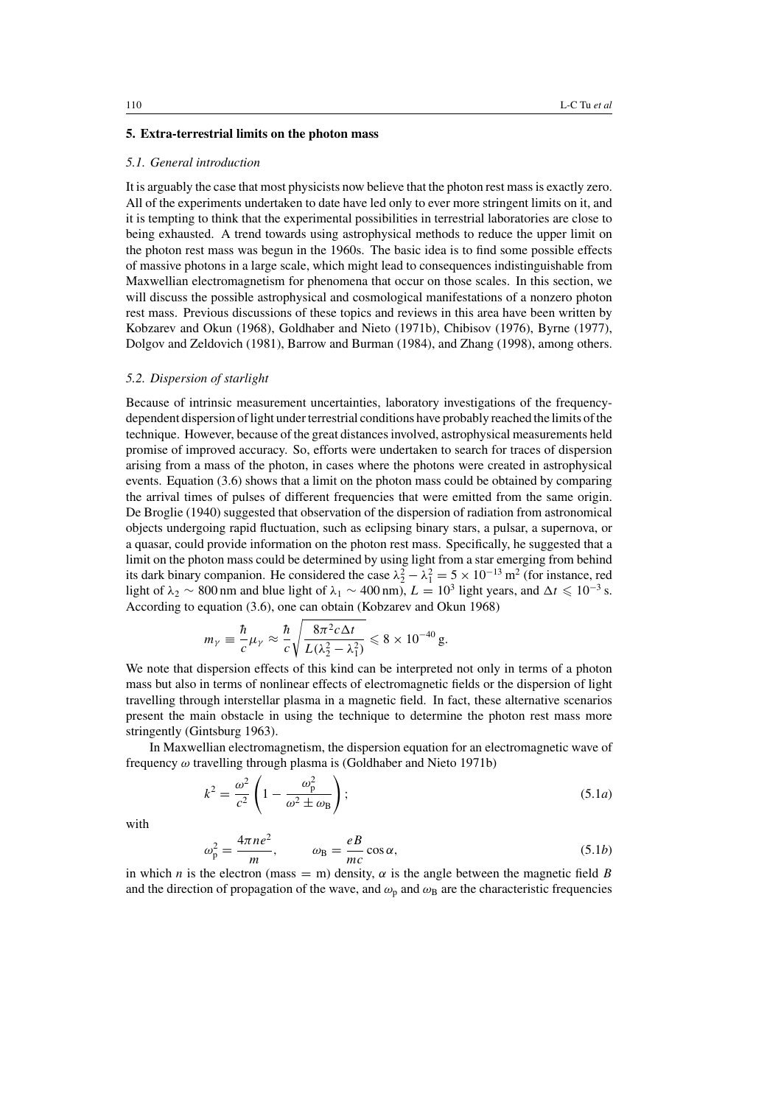#### **5. Extra-terrestrial limits on the photon mass**

#### *5.1. General introduction*

It is arguably the case that most physicists now believe that the photon rest mass is exactly zero. All of the experiments undertaken to date have led only to ever more stringent limits on it, and it is tempting to think that the experimental possibilities in terrestrial laboratories are close to being exhausted. A trend towards using astrophysical methods to reduce the upper limit on the photon rest mass was begun in the 1960s. The basic idea is to find some possible effects of massive photons in a large scale, which might lead to consequences indistinguishable from Maxwellian electromagnetism for phenomena that occur on those scales. In this section, we will discuss the possible astrophysical and cosmological manifestations of a nonzero photon rest mass. Previous discussions of these topics and reviews in this area have been written by Kobzarev and Okun (1968), Goldhaber and Nieto (1971b), Chibisov (1976), Byrne (1977), Dolgov and Zeldovich (1981), Barrow and Burman (1984), and Zhang (1998), among others.

#### *5.2. Dispersion of starlight*

Because of intrinsic measurement uncertainties, laboratory investigations of the frequencydependent dispersion of light under terrestrial conditions have probably reached the limits of the technique. However, because of the great distances involved, astrophysical measurements held promise of improved accuracy. So, efforts were undertaken to search for traces of dispersion arising from a mass of the photon, in cases where the photons were created in astrophysical events. Equation (3.6) shows that a limit on the photon mass could be obtained by comparing the arrival times of pulses of different frequencies that were emitted from the same origin. De Broglie (1940) suggested that observation of the dispersion of radiation from astronomical objects undergoing rapid fluctuation, such as eclipsing binary stars, a pulsar, a supernova, or a quasar, could provide information on the photon rest mass. Specifically, he suggested that a limit on the photon mass could be determined by using light from a star emerging from behind its dark binary companion. He considered the case  $\lambda_2^2 - \lambda_1^2 = 5 \times 10^{-13}$  m<sup>2</sup> (for instance, red light of  $\lambda_2 \sim 800$  nm and blue light of  $\lambda_1 \sim 400$  nm),  $L = 10^3$  light years, and  $\Delta t \leq 10^{-3}$  s. According to equation (3.6), one can obtain (Kobzarev and Okun 1968)

$$
m_{\gamma} \equiv \frac{\hbar}{c} \mu_{\gamma} \approx \frac{\hbar}{c} \sqrt{\frac{8\pi^2 c \Delta t}{L(\lambda_2^2 - \lambda_1^2)}} \leq 8 \times 10^{-40} \,\mathrm{g}.
$$

We note that dispersion effects of this kind can be interpreted not only in terms of a photon mass but also in terms of nonlinear effects of electromagnetic fields or the dispersion of light travelling through interstellar plasma in a magnetic field. In fact, these alternative scenarios present the main obstacle in using the technique to determine the photon rest mass more stringently (Gintsburg 1963).

In Maxwellian electromagnetism, the dispersion equation for an electromagnetic wave of frequency *ω* travelling through plasma is (Goldhaber and Nieto 1971b)

$$
k^2 = \frac{\omega^2}{c^2} \left( 1 - \frac{\omega_p^2}{\omega^2 \pm \omega_B} \right);
$$
\n(5.1*a*)

with

$$
\omega_{\rm p}^2 = \frac{4\pi n e^2}{m}, \qquad \omega_{\rm B} = \frac{e}{mc} \cos \alpha, \tag{5.1b}
$$

in which *n* is the electron (mass = m) density,  $\alpha$  is the angle between the magnetic field *B* and the direction of propagation of the wave, and  $\omega_{\rm p}$  and  $\omega_{\rm B}$  are the characteristic frequencies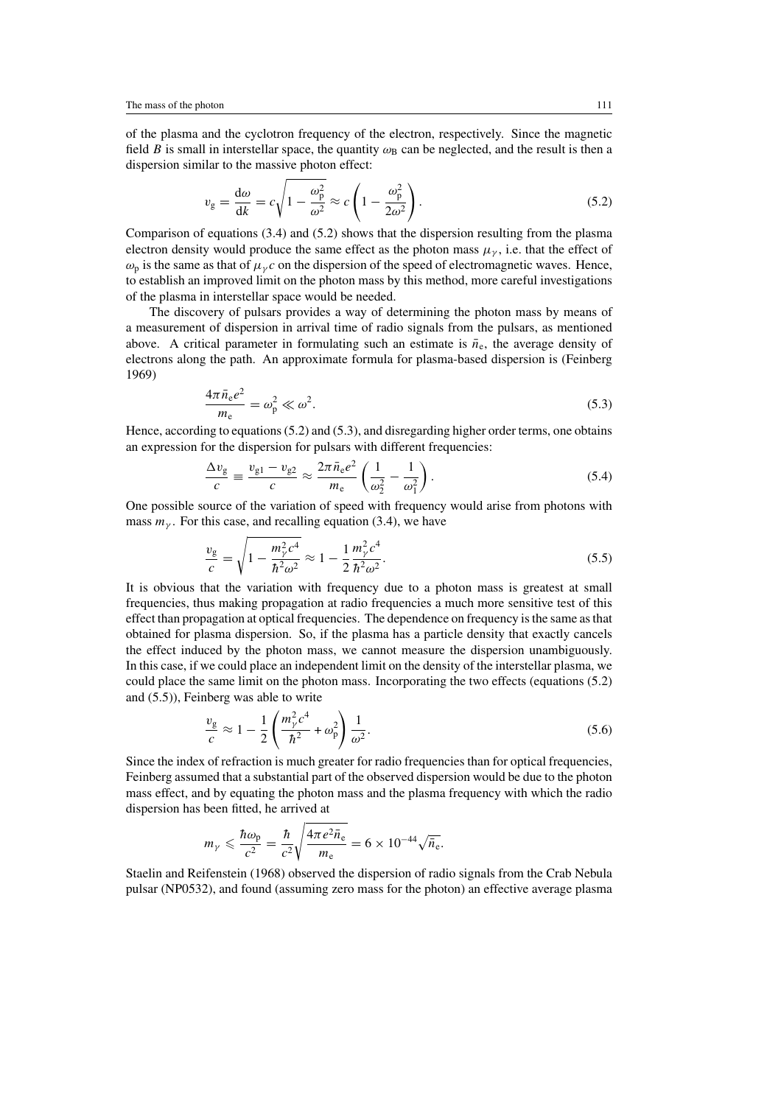of the plasma and the cyclotron frequency of the electron, respectively. Since the magnetic field *B* is small in interstellar space, the quantity  $\omega_B$  can be neglected, and the result is then a dispersion similar to the massive photon effect:

$$
v_{\rm g} = \frac{\mathrm{d}\omega}{\mathrm{d}k} = c\sqrt{1 - \frac{\omega_{\rm p}^2}{\omega^2}} \approx c\left(1 - \frac{\omega_{\rm p}^2}{2\omega^2}\right). \tag{5.2}
$$

Comparison of equations (3.4) and (5.2) shows that the dispersion resulting from the plasma electron density would produce the same effect as the photon mass  $\mu_{\nu}$ , i.e. that the effect of  $\omega_p$  is the same as that of  $\mu_y c$  on the dispersion of the speed of electromagnetic waves. Hence, to establish an improved limit on the photon mass by this method, more careful investigations of the plasma in interstellar space would be needed.

The discovery of pulsars provides a way of determining the photon mass by means of a measurement of dispersion in arrival time of radio signals from the pulsars, as mentioned above. A critical parameter in formulating such an estimate is  $\bar{n}_{e}$ , the average density of electrons along the path. An approximate formula for plasma-based dispersion is (Feinberg 1969)

$$
\frac{4\pi\bar{n}_{e}e^{2}}{m_{e}} = \omega_{p}^{2} \ll \omega^{2}.
$$
\n(5.3)

Hence, according to equations (5.2) and (5.3), and disregarding higher order terms, one obtains an expression for the dispersion for pulsars with different frequencies:

$$
\frac{\Delta v_{\rm g}}{c} \equiv \frac{v_{\rm g1} - v_{\rm g2}}{c} \approx \frac{2\pi \bar{n}_{\rm e}e^2}{m_{\rm e}} \left(\frac{1}{\omega_2^2} - \frac{1}{\omega_1^2}\right). \tag{5.4}
$$

One possible source of the variation of speed with frequency would arise from photons with mass  $m<sub>\gamma</sub>$ . For this case, and recalling equation (3.4), we have

$$
\frac{v_{\rm g}}{c} = \sqrt{1 - \frac{m_{\gamma}^2 c^4}{\hbar^2 \omega^2}} \approx 1 - \frac{1}{2} \frac{m_{\gamma}^2 c^4}{\hbar^2 \omega^2}.
$$
\n(5.5)

It is obvious that the variation with frequency due to a photon mass is greatest at small frequencies, thus making propagation at radio frequencies a much more sensitive test of this effect than propagation at optical frequencies. The dependence on frequency is the same as that obtained for plasma dispersion. So, if the plasma has a particle density that exactly cancels the effect induced by the photon mass, we cannot measure the dispersion unambiguously. In this case, if we could place an independent limit on the density of the interstellar plasma, we could place the same limit on the photon mass. Incorporating the two effects (equations (5.2) and (5.5)), Feinberg was able to write

$$
\frac{v_{\rm g}}{c} \approx 1 - \frac{1}{2} \left( \frac{m_{\gamma}^2 c^4}{\hbar^2} + \omega_{\rm p}^2 \right) \frac{1}{\omega^2}.
$$
\n(5.6)

Since the index of refraction is much greater for radio frequencies than for optical frequencies, Feinberg assumed that a substantial part of the observed dispersion would be due to the photon mass effect, and by equating the photon mass and the plasma frequency with which the radio dispersion has been fitted, he arrived at

$$
m_{\gamma} \leqslant \frac{\hbar \omega_{\rm p}}{c^2} = \frac{\hbar}{c^2} \sqrt{\frac{4\pi e^2 \bar{n}_{\rm e}}{m_{\rm e}}} = 6 \times 10^{-44} \sqrt{\bar{n}_{\rm e}}.
$$

Staelin and Reifenstein (1968) observed the dispersion of radio signals from the Crab Nebula pulsar (NP0532), and found (assuming zero mass for the photon) an effective average plasma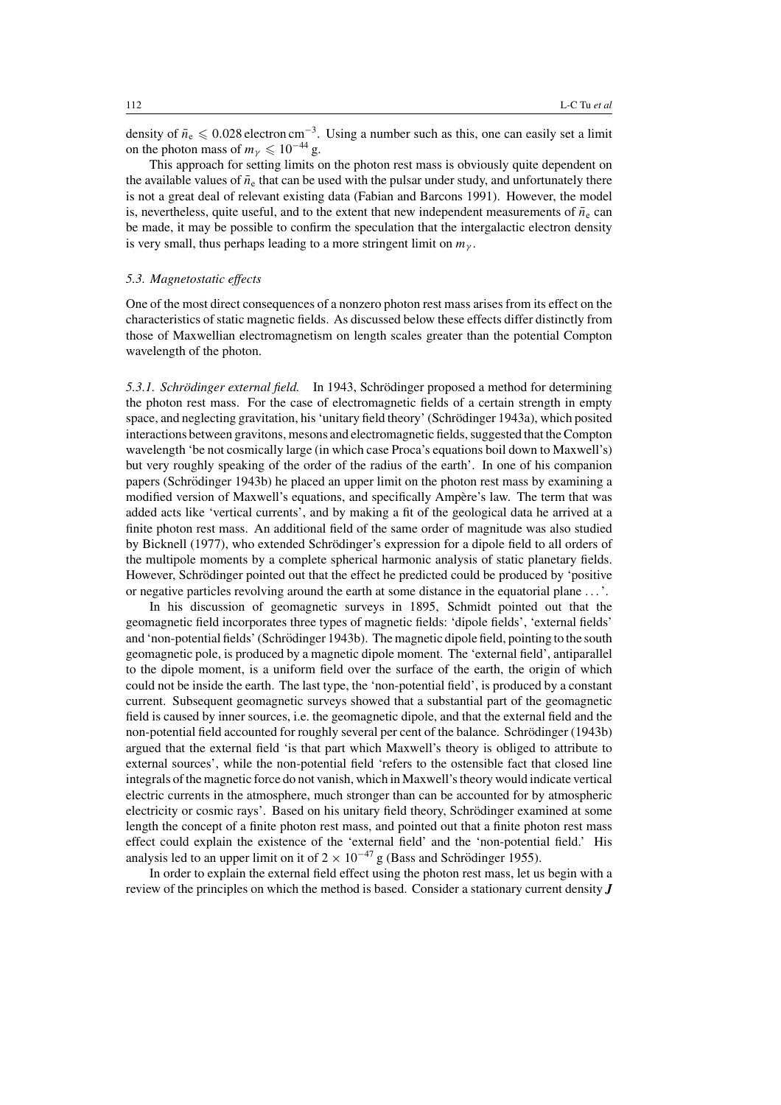density of  $\bar{n}_{e} \le 0.028$  electron cm<sup>-3</sup>. Using a number such as this, one can easily set a limit on the photon mass of  $m_\gamma \leq 10^{-44}$  g.

This approach for setting limits on the photon rest mass is obviously quite dependent on the available values of  $\bar{n}_e$  that can be used with the pulsar under study, and unfortunately there is not a great deal of relevant existing data (Fabian and Barcons 1991). However, the model is, nevertheless, quite useful, and to the extent that new independent measurements of  $\bar{n}_{e}$  can be made, it may be possible to confirm the speculation that the intergalactic electron density is very small, thus perhaps leading to a more stringent limit on  $m_{\nu}$ .

# *5.3. Magnetostatic effects*

One of the most direct consequences of a nonzero photon rest mass arises from its effect on the characteristics of static magnetic fields. As discussed below these effects differ distinctly from those of Maxwellian electromagnetism on length scales greater than the potential Compton wavelength of the photon.

*5.3.1. Schrödinger external field.* In 1943, Schrödinger proposed a method for determining the photon rest mass. For the case of electromagnetic fields of a certain strength in empty space, and neglecting gravitation, his 'unitary field theory' (Schrödinger 1943a), which posited interactions between gravitons, mesons and electromagnetic fields, suggested that the Compton wavelength 'be not cosmically large (in which case Proca's equations boil down to Maxwell's) but very roughly speaking of the order of the radius of the earth'. In one of his companion papers (Schrödinger 1943b) he placed an upper limit on the photon rest mass by examining a modified version of Maxwell's equations, and specifically Ampère's law. The term that was added acts like 'vertical currents', and by making a fit of the geological data he arrived at a finite photon rest mass. An additional field of the same order of magnitude was also studied by Bicknell (1977), who extended Schrödinger's expression for a dipole field to all orders of the multipole moments by a complete spherical harmonic analysis of static planetary fields. However, Schrödinger pointed out that the effect he predicted could be produced by 'positive or negative particles revolving around the earth at some distance in the equatorial plane . . . '.

In his discussion of geomagnetic surveys in 1895, Schmidt pointed out that the geomagnetic field incorporates three types of magnetic fields: 'dipole fields', 'external fields' and 'non-potential fields' (Schrödinger 1943b). The magnetic dipole field, pointing to the south geomagnetic pole, is produced by a magnetic dipole moment. The 'external field', antiparallel to the dipole moment, is a uniform field over the surface of the earth, the origin of which could not be inside the earth. The last type, the 'non-potential field', is produced by a constant current. Subsequent geomagnetic surveys showed that a substantial part of the geomagnetic field is caused by inner sources, i.e. the geomagnetic dipole, and that the external field and the non-potential field accounted for roughly several per cent of the balance. Schrödinger (1943b) argued that the external field 'is that part which Maxwell's theory is obliged to attribute to external sources', while the non-potential field 'refers to the ostensible fact that closed line integrals of the magnetic force do not vanish, which in Maxwell's theory would indicate vertical electric currents in the atmosphere, much stronger than can be accounted for by atmospheric electricity or cosmic rays'. Based on his unitary field theory, Schrödinger examined at some length the concept of a finite photon rest mass, and pointed out that a finite photon rest mass effect could explain the existence of the 'external field' and the 'non-potential field.' His analysis led to an upper limit on it of  $2 \times 10^{-47}$  g (Bass and Schrödinger 1955).

In order to explain the external field effect using the photon rest mass, let us begin with a review of the principles on which the method is based. Consider a stationary current density *J*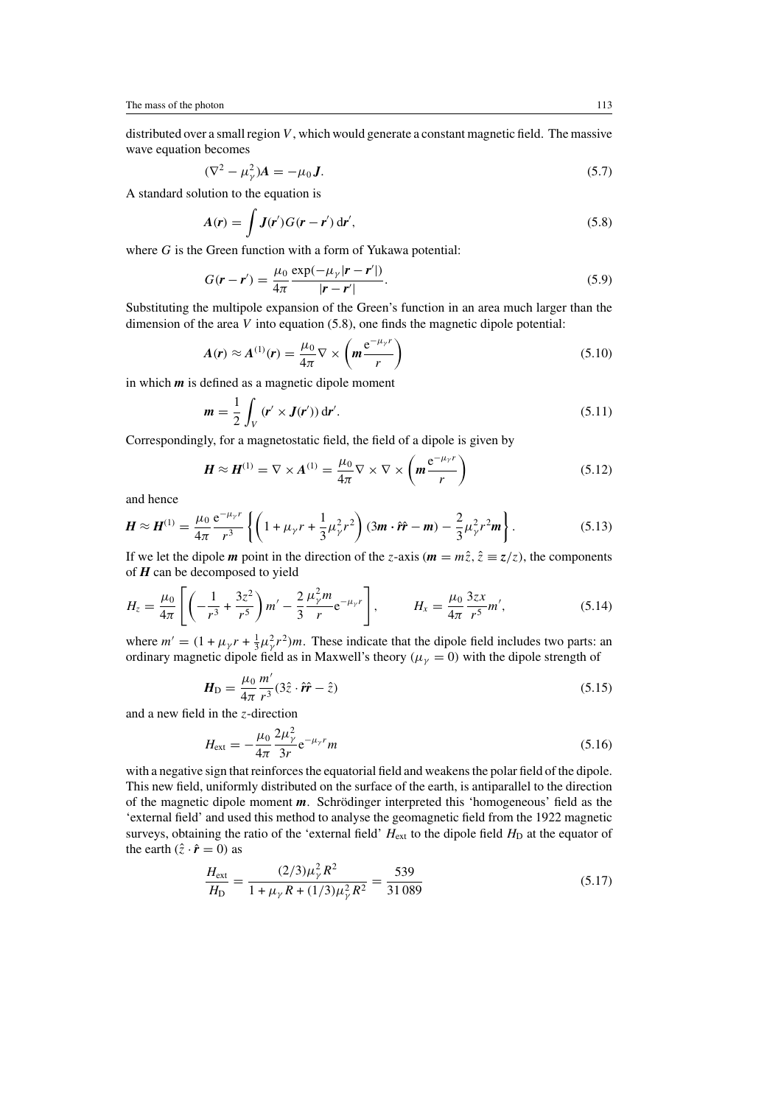distributed over a small region *V* , which would generate a constant magnetic field. The massive wave equation becomes

$$
(\nabla^2 - \mu_\gamma^2)A = -\mu_0 J. \tag{5.7}
$$

A standard solution to the equation is

$$
A(r) = \int J(r')G(r - r') dr',
$$
\n(5.8)

where *G* is the Green function with a form of Yukawa potential:

$$
G(\mathbf{r} - \mathbf{r}') = \frac{\mu_0}{4\pi} \frac{\exp(-\mu_\gamma |\mathbf{r} - \mathbf{r}'|)}{|\mathbf{r} - \mathbf{r}'|}.
$$
\n(5.9)

Substituting the multipole expansion of the Green's function in an area much larger than the dimension of the area *V* into equation (5.8), one finds the magnetic dipole potential:

$$
A(r) \approx A^{(1)}(r) = \frac{\mu_0}{4\pi} \nabla \times \left( m \frac{e^{-\mu_{\gamma} r}}{r} \right)
$$
\n(5.10)

in which *m* is defined as a magnetic dipole moment

$$
\mathbf{m} = \frac{1}{2} \int_{V} (\mathbf{r}' \times \mathbf{J}(\mathbf{r}')) \, \mathrm{d}\mathbf{r}'. \tag{5.11}
$$

Correspondingly, for a magnetostatic field, the field of a dipole is given by

$$
\boldsymbol{H} \approx \boldsymbol{H}^{(1)} = \nabla \times \boldsymbol{A}^{(1)} = \frac{\mu_0}{4\pi} \nabla \times \nabla \times \left( \boldsymbol{m} \frac{e^{-\mu_{\gamma} r}}{r} \right) \tag{5.12}
$$

and hence

$$
\boldsymbol{H} \approx \boldsymbol{H}^{(1)} = \frac{\mu_0}{4\pi} \frac{e^{-\mu_{\gamma}r}}{r^3} \left\{ \left( 1 + \mu_{\gamma}r + \frac{1}{3}\mu_{\gamma}^2 r^2 \right) (3\boldsymbol{m} \cdot \hat{\boldsymbol{r}} - \boldsymbol{m}) - \frac{2}{3}\mu_{\gamma}^2 r^2 \boldsymbol{m} \right\}.
$$
 (5.13)

If we let the dipole *m* point in the direction of the *z*-axis ( $m = m\hat{z}$ ,  $\hat{z} \equiv z/z$ ), the components of *H* can be decomposed to yield

$$
H_z = \frac{\mu_0}{4\pi} \left[ \left( -\frac{1}{r^3} + \frac{3z^2}{r^5} \right) m' - \frac{2}{3} \frac{\mu_\gamma^2 m}{r} e^{-\mu_\gamma r} \right], \qquad H_x = \frac{\mu_0}{4\pi} \frac{3zx}{r^5} m', \tag{5.14}
$$

where  $m' = (1 + \mu_{\gamma} r + \frac{1}{3} \mu_{\gamma}^2 r^2) m$ . These indicate that the dipole field includes two parts: an ordinary magnetic dipole field as in Maxwell's theory  $(\mu_{\gamma} = 0)$  with the dipole strength of

$$
\boldsymbol{H}_{\rm D} = \frac{\mu_0}{4\pi} \frac{m'}{r^3} (3\hat{z} \cdot \hat{\boldsymbol{r}} - \hat{z}) \tag{5.15}
$$

and a new field in the *z*-direction

$$
H_{\text{ext}} = -\frac{\mu_0}{4\pi} \frac{2\mu_{\gamma}^2}{3r} e^{-\mu_{\gamma}r} m \tag{5.16}
$$

with a negative sign that reinforces the equatorial field and weakens the polar field of the dipole. This new field, uniformly distributed on the surface of the earth, is antiparallel to the direction of the magnetic dipole moment  $m$ . Schrödinger interpreted this 'homogeneous' field as the 'external field' and used this method to analyse the geomagnetic field from the 1922 magnetic surveys, obtaining the ratio of the 'external field'  $H_{ext}$  to the dipole field  $H_D$  at the equator of the earth  $(\hat{z} \cdot \hat{r} = 0)$  as

$$
\frac{H_{\text{ext}}}{H_{\text{D}}} = \frac{(2/3)\mu_{\gamma}^{2}R^{2}}{1 + \mu_{\gamma}R + (1/3)\mu_{\gamma}^{2}R^{2}} = \frac{539}{31089}
$$
(5.17)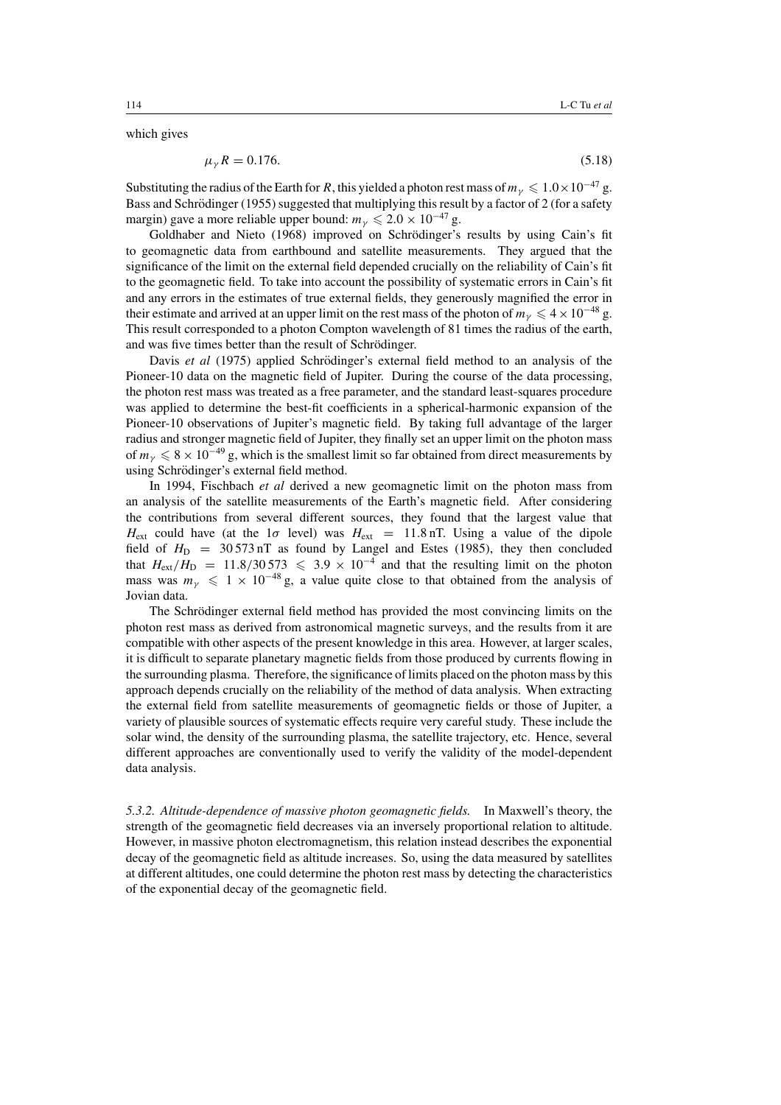which gives

$$
\mu_{\gamma} R = 0.176. \tag{5.18}
$$

Substituting the radius of the Earth for *R*, this yielded a photon rest mass of  $m_v \le 1.0 \times 10^{-47}$  g. Bass and Schrödinger (1955) suggested that multiplying this result by a factor of 2 (for a safety margin) gave a more reliable upper bound:  $m_{\gamma} \leqslant 2.0 \times 10^{-47}$  g.

Goldhaber and Nieto (1968) improved on Schrödinger's results by using Cain's fit to geomagnetic data from earthbound and satellite measurements. They argued that the significance of the limit on the external field depended crucially on the reliability of Cain's fit to the geomagnetic field. To take into account the possibility of systematic errors in Cain's fit and any errors in the estimates of true external fields, they generously magnified the error in their estimate and arrived at an upper limit on the rest mass of the photon of  $m_\nu \leq 4 \times 10^{-48}$  g. This result corresponded to a photon Compton wavelength of 81 times the radius of the earth, and was five times better than the result of Schrödinger.

Davis et al (1975) applied Schrödinger's external field method to an analysis of the Pioneer-10 data on the magnetic field of Jupiter. During the course of the data processing, the photon rest mass was treated as a free parameter, and the standard least-squares procedure was applied to determine the best-fit coefficients in a spherical-harmonic expansion of the Pioneer-10 observations of Jupiter's magnetic field. By taking full advantage of the larger radius and stronger magnetic field of Jupiter, they finally set an upper limit on the photon mass of  $m_\gamma \leq 8 \times 10^{-49}$  g, which is the smallest limit so far obtained from direct measurements by using Schrödinger's external field method.

In 1994, Fischbach *et al* derived a new geomagnetic limit on the photon mass from an analysis of the satellite measurements of the Earth's magnetic field. After considering the contributions from several different sources, they found that the largest value that *H*<sub>ext</sub> could have (at the 1*σ* level) was  $H_{ext} = 11.8 \text{ nT}$ . Using a value of the dipole field of  $H_D$  = 30 573 nT as found by Langel and Estes (1985), they then concluded that  $H_{ext}/H_D = 11.8/30573 \leq 3.9 \times 10^{-4}$  and that the resulting limit on the photon mass was  $m_{\nu} \leq 1 \times 10^{-48}$  g, a value quite close to that obtained from the analysis of Jovian data.

The Schrödinger external field method has provided the most convincing limits on the photon rest mass as derived from astronomical magnetic surveys, and the results from it are compatible with other aspects of the present knowledge in this area. However, at larger scales, it is difficult to separate planetary magnetic fields from those produced by currents flowing in the surrounding plasma. Therefore, the significance of limits placed on the photon mass by this approach depends crucially on the reliability of the method of data analysis. When extracting the external field from satellite measurements of geomagnetic fields or those of Jupiter, a variety of plausible sources of systematic effects require very careful study. These include the solar wind, the density of the surrounding plasma, the satellite trajectory, etc. Hence, several different approaches are conventionally used to verify the validity of the model-dependent data analysis.

*5.3.2. Altitude-dependence of massive photon geomagnetic fields.* In Maxwell's theory, the strength of the geomagnetic field decreases via an inversely proportional relation to altitude. However, in massive photon electromagnetism, this relation instead describes the exponential decay of the geomagnetic field as altitude increases. So, using the data measured by satellites at different altitudes, one could determine the photon rest mass by detecting the characteristics of the exponential decay of the geomagnetic field.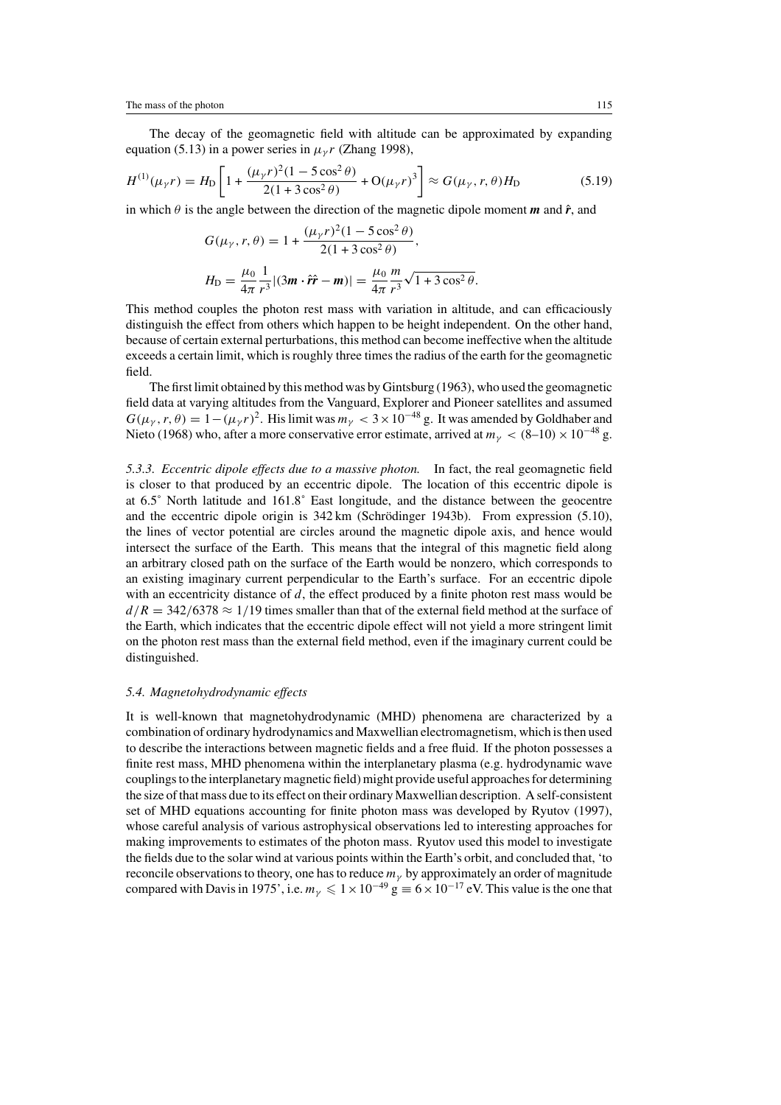The decay of the geomagnetic field with altitude can be approximated by expanding equation (5.13) in a power series in  $\mu_{\nu}r$  (Zhang 1998),

$$
H^{(1)}(\mu_{\gamma}r) = H_{\text{D}} \left[ 1 + \frac{(\mu_{\gamma}r)^2 (1 - 5\cos^2\theta)}{2(1 + 3\cos^2\theta)} + \mathcal{O}(\mu_{\gamma}r)^3 \right] \approx G(\mu_{\gamma}, r, \theta) H_{\text{D}}
$$
(5.19)

in which  $\theta$  is the angle between the direction of the magnetic dipole moment *m* and  $\hat{r}$ , and

$$
G(\mu_{\gamma}, r, \theta) = 1 + \frac{(\mu_{\gamma}r)^{2}(1 - 5\cos^{2}\theta)}{2(1 + 3\cos^{2}\theta)},
$$
  
\n
$$
H_{\text{D}} = \frac{\mu_{0}}{4\pi} \frac{1}{r^{3}} |(3m \cdot \hat{r}\hat{r} - m)| = \frac{\mu_{0}}{4\pi} \frac{m}{r^{3}} \sqrt{1 + 3\cos^{2}\theta}.
$$

This method couples the photon rest mass with variation in altitude, and can efficaciously distinguish the effect from others which happen to be height independent. On the other hand, because of certain external perturbations, this method can become ineffective when the altitude exceeds a certain limit, which is roughly three times the radius of the earth for the geomagnetic field.

The first limit obtained by this method was by Gintsburg (1963), who used the geomagnetic field data at varying altitudes from the Vanguard, Explorer and Pioneer satellites and assumed  $G(\mu_{\nu}, r, \theta) = 1 - (\mu_{\nu}r)^2$ . His limit was  $m_{\nu} < 3 \times 10^{-48}$  g. It was amended by Goldhaber and Nieto (1968) who, after a more conservative error estimate, arrived at  $m_v < (8-10) \times 10^{-48}$  g.

*5.3.3. Eccentric dipole effects due to a massive photon.* In fact, the real geomagnetic field is closer to that produced by an eccentric dipole. The location of this eccentric dipole is at 6.5˚ North latitude and 161.8˚ East longitude, and the distance between the geocentre and the eccentric dipole origin is  $342 \text{ km}$  (Schrödinger 1943b). From expression (5.10), the lines of vector potential are circles around the magnetic dipole axis, and hence would intersect the surface of the Earth. This means that the integral of this magnetic field along an arbitrary closed path on the surface of the Earth would be nonzero, which corresponds to an existing imaginary current perpendicular to the Earth's surface. For an eccentric dipole with an eccentricity distance of *d*, the effect produced by a finite photon rest mass would be  $d/R = 342/6378 \approx 1/19$  times smaller than that of the external field method at the surface of the Earth, which indicates that the eccentric dipole effect will not yield a more stringent limit on the photon rest mass than the external field method, even if the imaginary current could be distinguished.

#### *5.4. Magnetohydrodynamic effects*

It is well-known that magnetohydrodynamic (MHD) phenomena are characterized by a combination of ordinary hydrodynamics and Maxwellian electromagnetism, which is then used to describe the interactions between magnetic fields and a free fluid. If the photon possesses a finite rest mass, MHD phenomena within the interplanetary plasma (e.g. hydrodynamic wave couplings to the interplanetary magnetic field) might provide useful approaches for determining the size of that mass due to its effect on their ordinary Maxwellian description. A self-consistent set of MHD equations accounting for finite photon mass was developed by Ryutov (1997), whose careful analysis of various astrophysical observations led to interesting approaches for making improvements to estimates of the photon mass. Ryutov used this model to investigate the fields due to the solar wind at various points within the Earth's orbit, and concluded that, 'to reconcile observations to theory, one has to reduce  $m<sub>\gamma</sub>$  by approximately an order of magnitude compared with Davis in 1975', i.e.  $m_\gamma \leq 1 \times 10^{-49}$  g =  $6 \times 10^{-17}$  eV. This value is the one that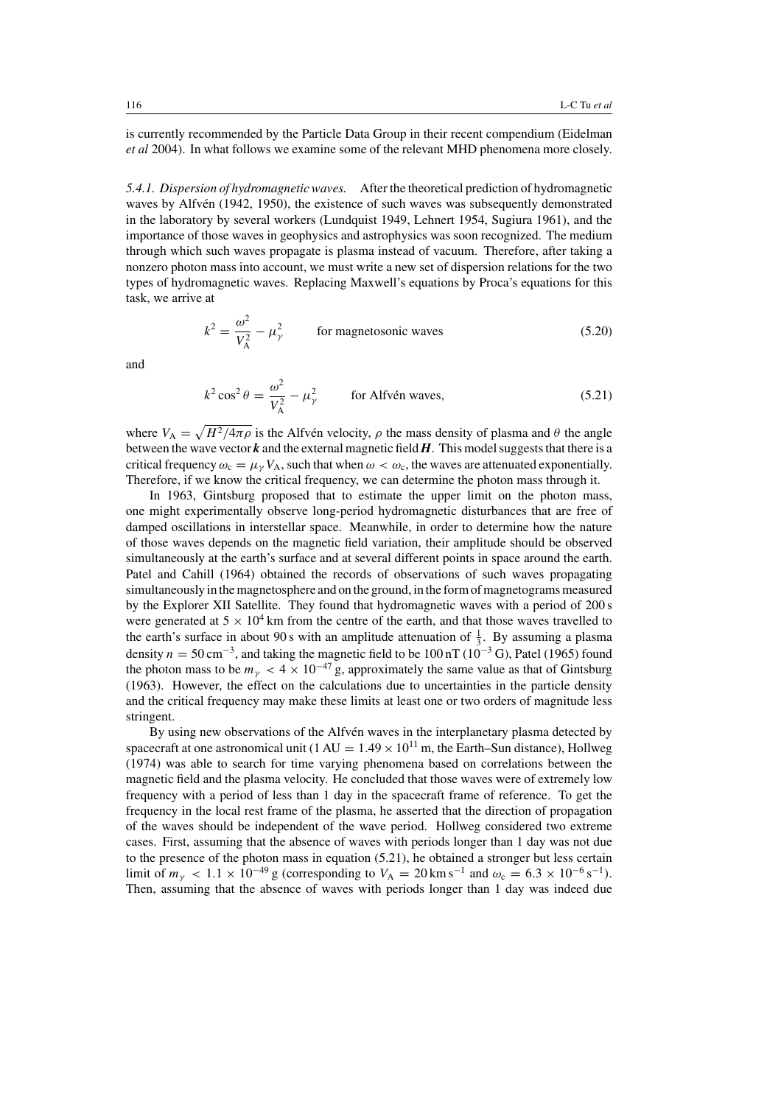is currently recommended by the Particle Data Group in their recent compendium (Eidelman *et al* 2004). In what follows we examine some of the relevant MHD phenomena more closely.

*5.4.1. Dispersion of hydromagnetic waves.* After the theoretical prediction of hydromagnetic waves by Alfvén (1942, 1950), the existence of such waves was subsequently demonstrated in the laboratory by several workers (Lundquist 1949, Lehnert 1954, Sugiura 1961), and the importance of those waves in geophysics and astrophysics was soon recognized. The medium through which such waves propagate is plasma instead of vacuum. Therefore, after taking a nonzero photon mass into account, we must write a new set of dispersion relations for the two types of hydromagnetic waves. Replacing Maxwell's equations by Proca's equations for this task, we arrive at

$$
k^2 = \frac{\omega^2}{V_A^2} - \mu_\gamma^2
$$
 for magnetosonic waves (5.20)

and

$$
k^2 \cos^2 \theta = \frac{\omega^2}{V_A^2} - \mu_\gamma^2
$$
 for Alfvén waves, (5.21)

where  $V_A = \sqrt{H^2/4\pi\rho}$  is the Alfvén velocity,  $\rho$  the mass density of plasma and  $\theta$  the angle between the wave vector  $k$  and the external magnetic field  $H$ . This model suggests that there is a critical frequency  $\omega_c = \mu_{\gamma} V_A$ , such that when  $\omega < \omega_c$ , the waves are attenuated exponentially. Therefore, if we know the critical frequency, we can determine the photon mass through it.

In 1963, Gintsburg proposed that to estimate the upper limit on the photon mass, one might experimentally observe long-period hydromagnetic disturbances that are free of damped oscillations in interstellar space. Meanwhile, in order to determine how the nature of those waves depends on the magnetic field variation, their amplitude should be observed simultaneously at the earth's surface and at several different points in space around the earth. Patel and Cahill (1964) obtained the records of observations of such waves propagating simultaneously in the magnetosphere and on the ground, in the form of magnetograms measured by the Explorer XII Satellite. They found that hydromagnetic waves with a period of 200 s were generated at  $5 \times 10^4$  km from the centre of the earth, and that those waves travelled to the earth's surface in about 90 s with an amplitude attenuation of  $\frac{1}{3}$ . By assuming a plasma density  $n = 50 \text{ cm}^{-3}$ , and taking the magnetic field to be 100 nT ( $10^{-3}$  G), Patel (1965) found the photon mass to be  $m<sub>\gamma</sub>$  < 4 × 10<sup>-47</sup> g, approximately the same value as that of Gintsburg (1963). However, the effect on the calculations due to uncertainties in the particle density and the critical frequency may make these limits at least one or two orders of magnitude less stringent.

By using new observations of the Alfvén waves in the interplanetary plasma detected by spacecraft at one astronomical unit (1 AU =  $1.49 \times 10^{11}$  m, the Earth–Sun distance), Hollweg (1974) was able to search for time varying phenomena based on correlations between the magnetic field and the plasma velocity. He concluded that those waves were of extremely low frequency with a period of less than 1 day in the spacecraft frame of reference. To get the frequency in the local rest frame of the plasma, he asserted that the direction of propagation of the waves should be independent of the wave period. Hollweg considered two extreme cases. First, assuming that the absence of waves with periods longer than 1 day was not due to the presence of the photon mass in equation (5.21), he obtained a stronger but less certain limit of  $m_{\gamma}$  < 1.1 × 10<sup>-49</sup> g (corresponding to  $V_{A} = 20 \text{ km s}^{-1}$  and  $\omega_{c} = 6.3 \times 10^{-6} \text{ s}^{-1}$ ). Then, assuming that the absence of waves with periods longer than 1 day was indeed due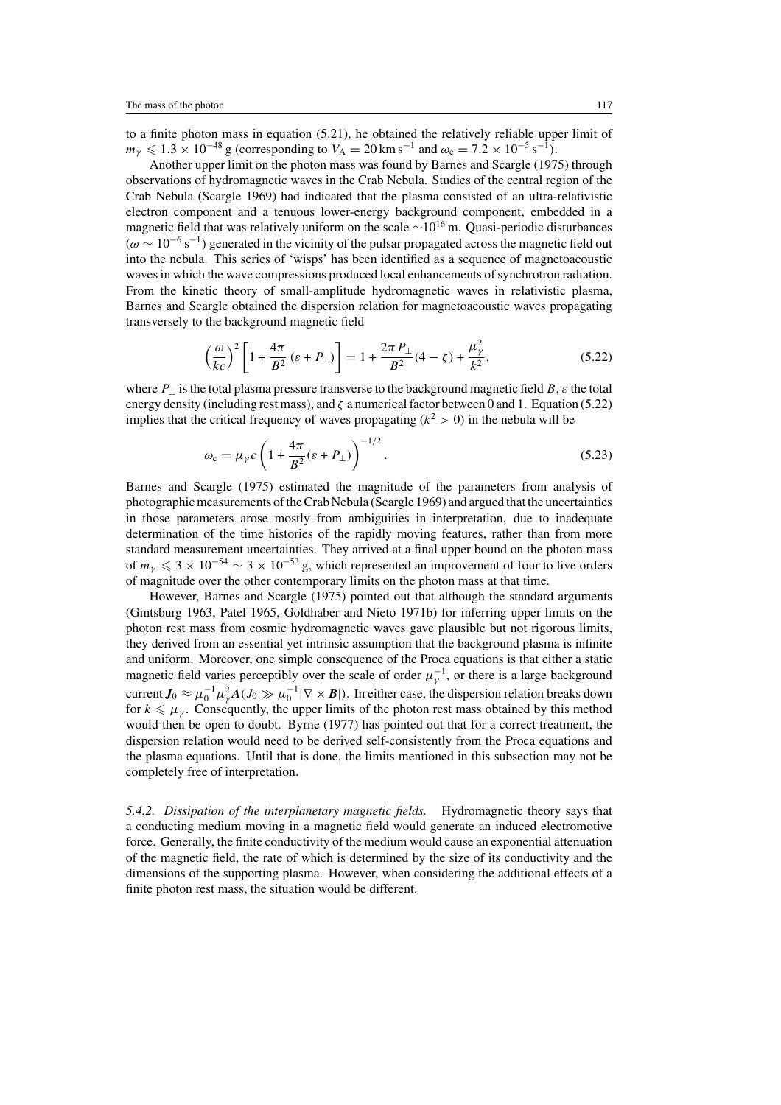to a finite photon mass in equation (5.21), he obtained the relatively reliable upper limit of  $m_{\gamma} \leq 1.3 \times 10^{-48}$  g (corresponding to  $V_{A} = 20$  km s<sup>-1</sup> and  $\omega_{c} = 7.2 \times 10^{-5}$  s<sup>-1</sup>).

Another upper limit on the photon mass was found by Barnes and Scargle (1975) through observations of hydromagnetic waves in the Crab Nebula. Studies of the central region of the Crab Nebula (Scargle 1969) had indicated that the plasma consisted of an ultra-relativistic electron component and a tenuous lower-energy background component, embedded in a magnetic field that was relatively uniform on the scale  $\sim 10^{16}$  m. Quasi-periodic disturbances (*<sup>ω</sup>* <sup>∼</sup> <sup>10</sup>−<sup>6</sup> <sup>s</sup>−1*)* generated in the vicinity of the pulsar propagated across the magnetic field out into the nebula. This series of 'wisps' has been identified as a sequence of magnetoacoustic waves in which the wave compressions produced local enhancements of synchrotron radiation. From the kinetic theory of small-amplitude hydromagnetic waves in relativistic plasma, Barnes and Scargle obtained the dispersion relation for magnetoacoustic waves propagating transversely to the background magnetic field

$$
\left(\frac{\omega}{kc}\right)^2 \left[1 + \frac{4\pi}{B^2} \left(\varepsilon + P_\perp\right)\right] = 1 + \frac{2\pi P_\perp}{B^2} (4 - \zeta) + \frac{\mu_\gamma^2}{k^2},\tag{5.22}
$$

where  $P_{\perp}$  is the total plasma pressure transverse to the background magnetic field *B*,  $\varepsilon$  the total energy density (including rest mass), and *ζ* a numerical factor between 0 and 1. Equation (5.22) implies that the critical frequency of waves propagating  $(k^2 > 0)$  in the nebula will be

$$
\omega_{\rm c} = \mu_{\gamma} c \left( 1 + \frac{4\pi}{B^2} (\varepsilon + P_{\perp}) \right)^{-1/2} . \tag{5.23}
$$

Barnes and Scargle (1975) estimated the magnitude of the parameters from analysis of photographic measurements of the Crab Nebula (Scargle 1969) and argued that the uncertainties in those parameters arose mostly from ambiguities in interpretation, due to inadequate determination of the time histories of the rapidly moving features, rather than from more standard measurement uncertainties. They arrived at a final upper bound on the photon mass of  $m_{\gamma} \leq 3 \times 10^{-54} \sim 3 \times 10^{-53}$  g, which represented an improvement of four to five orders of magnitude over the other contemporary limits on the photon mass at that time.

However, Barnes and Scargle (1975) pointed out that although the standard arguments (Gintsburg 1963, Patel 1965, Goldhaber and Nieto 1971b) for inferring upper limits on the photon rest mass from cosmic hydromagnetic waves gave plausible but not rigorous limits, they derived from an essential yet intrinsic assumption that the background plasma is infinite and uniform. Moreover, one simple consequence of the Proca equations is that either a static magnetic field varies perceptibly over the scale of order  $\mu_{\gamma}^{-1}$ , or there is a large background current  $J_0 \approx \mu_0^{-1} \mu_\gamma^2 A(J_0 \gg \mu_0^{-1} | \nabla \times B|)$ . In either case, the dispersion relation breaks down for  $k \leq \mu_{\gamma}$ . Consequently, the upper limits of the photon rest mass obtained by this method would then be open to doubt. Byrne (1977) has pointed out that for a correct treatment, the dispersion relation would need to be derived self-consistently from the Proca equations and the plasma equations. Until that is done, the limits mentioned in this subsection may not be completely free of interpretation.

*5.4.2. Dissipation of the interplanetary magnetic fields.* Hydromagnetic theory says that a conducting medium moving in a magnetic field would generate an induced electromotive force. Generally, the finite conductivity of the medium would cause an exponential attenuation of the magnetic field, the rate of which is determined by the size of its conductivity and the dimensions of the supporting plasma. However, when considering the additional effects of a finite photon rest mass, the situation would be different.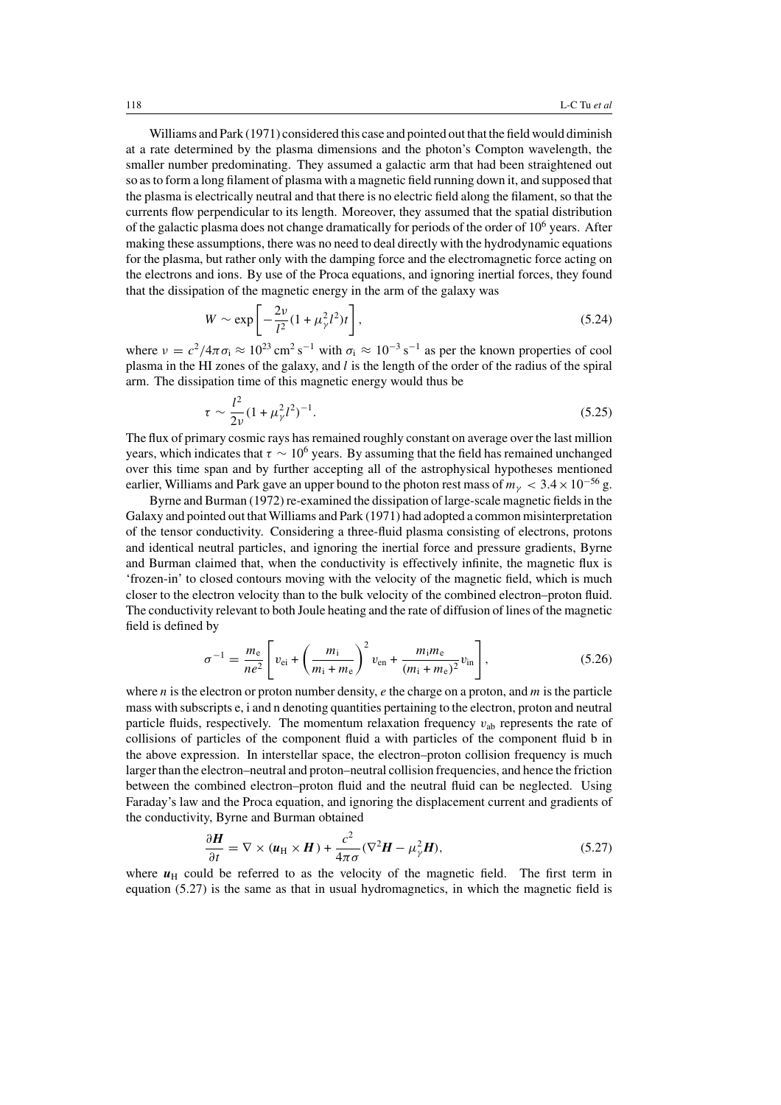Williams and Park (1971) considered this case and pointed out that the field would diminish at a rate determined by the plasma dimensions and the photon's Compton wavelength, the smaller number predominating. They assumed a galactic arm that had been straightened out so as to form a long filament of plasma with a magnetic field running down it, and supposed that the plasma is electrically neutral and that there is no electric field along the filament, so that the currents flow perpendicular to its length. Moreover, they assumed that the spatial distribution of the galactic plasma does not change dramatically for periods of the order of  $10<sup>6</sup>$  years. After making these assumptions, there was no need to deal directly with the hydrodynamic equations for the plasma, but rather only with the damping force and the electromagnetic force acting on the electrons and ions. By use of the Proca equations, and ignoring inertial forces, they found that the dissipation of the magnetic energy in the arm of the galaxy was

$$
W \sim \exp\left[-\frac{2\nu}{l^2}(1 + \mu_\gamma^2 l^2)t\right],
$$
\n(5.24)

where  $v = c^2/4\pi\sigma_i \approx 10^{23}$  cm<sup>2</sup> s<sup>-1</sup> with  $\sigma_i \approx 10^{-3}$  s<sup>-1</sup> as per the known properties of cool plasma in the HI zones of the galaxy, and *l* is the length of the order of the radius of the spiral arm. The dissipation time of this magnetic energy would thus be

$$
\tau \sim \frac{l^2}{2\nu} (1 + \mu_\gamma^2 l^2)^{-1}.
$$
\n(5.25)

The flux of primary cosmic rays has remained roughly constant on average over the last million years, which indicates that  $\tau \sim 10^6$  years. By assuming that the field has remained unchanged over this time span and by further accepting all of the astrophysical hypotheses mentioned earlier, Williams and Park gave an upper bound to the photon rest mass of  $m<sub>\gamma</sub> < 3.4 \times 10^{-56}$  g.

Byrne and Burman (1972) re-examined the dissipation of large-scale magnetic fields in the Galaxy and pointed out that Williams and Park (1971) had adopted a common misinterpretation of the tensor conductivity. Considering a three-fluid plasma consisting of electrons, protons and identical neutral particles, and ignoring the inertial force and pressure gradients, Byrne and Burman claimed that, when the conductivity is effectively infinite, the magnetic flux is 'frozen-in' to closed contours moving with the velocity of the magnetic field, which is much closer to the electron velocity than to the bulk velocity of the combined electron–proton fluid. The conductivity relevant to both Joule heating and the rate of diffusion of lines of the magnetic field is defined by

$$
\sigma^{-1} = \frac{m_e}{ne^2} \left[ v_{ei} + \left( \frac{m_i}{m_i + m_e} \right)^2 v_{en} + \frac{m_i m_e}{(m_i + m_e)^2} v_{in} \right],
$$
\n(5.26)

where *n* is the electron or proton number density, *e* the charge on a proton, and *m* is the particle mass with subscripts e, i and n denoting quantities pertaining to the electron, proton and neutral particle fluids, respectively. The momentum relaxation frequency  $v_{ab}$  represents the rate of collisions of particles of the component fluid a with particles of the component fluid b in the above expression. In interstellar space, the electron–proton collision frequency is much larger than the electron–neutral and proton–neutral collision frequencies, and hence the friction between the combined electron–proton fluid and the neutral fluid can be neglected. Using Faraday's law and the Proca equation, and ignoring the displacement current and gradients of the conductivity, Byrne and Burman obtained

$$
\frac{\partial \boldsymbol{H}}{\partial t} = \nabla \times (\boldsymbol{u}_{\mathrm{H}} \times \boldsymbol{H}) + \frac{c^2}{4\pi\sigma} (\nabla^2 \boldsymbol{H} - \mu_{\gamma}^2 \boldsymbol{H}),\tag{5.27}
$$

where  $u_H$  could be referred to as the velocity of the magnetic field. The first term in equation (5.27) is the same as that in usual hydromagnetics, in which the magnetic field is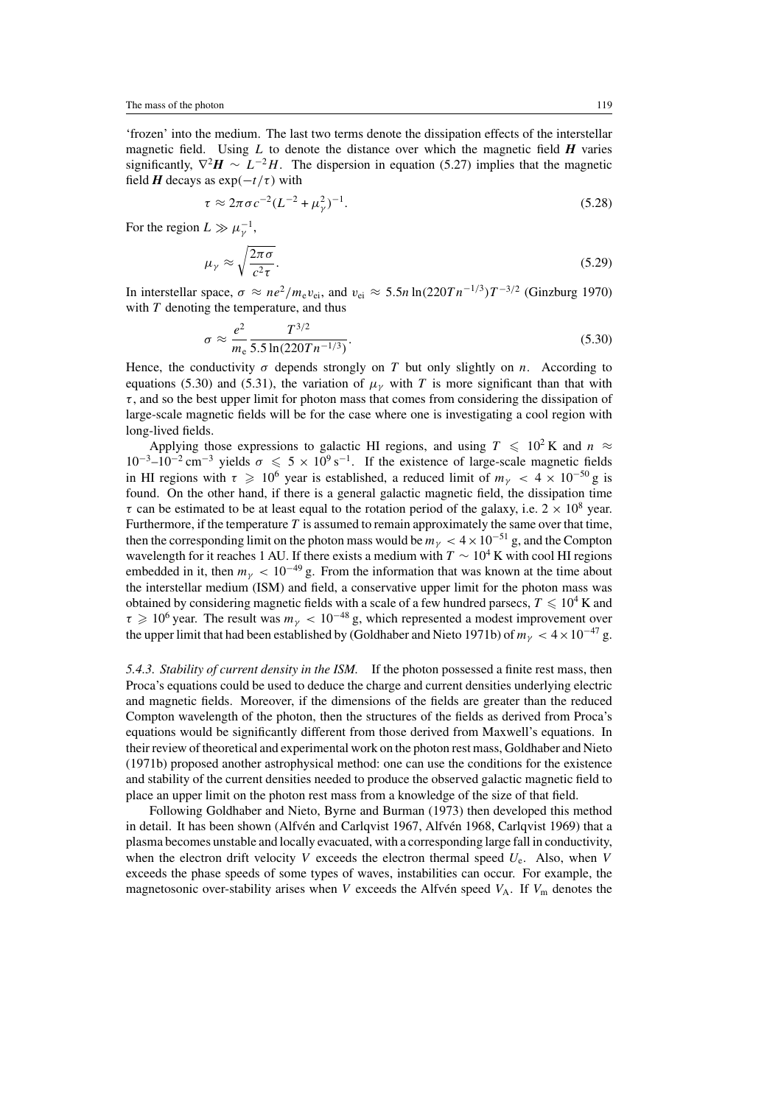'frozen' into the medium. The last two terms denote the dissipation effects of the interstellar magnetic field. Using  $L$  to denote the distance over which the magnetic field  $H$  varies significantly,  $\nabla^2 H \sim L^{-2}H$ . The dispersion in equation (5.27) implies that the magnetic field *H* decays as  $\exp(-t/\tau)$  with

$$
\tau \approx 2\pi \sigma c^{-2} (L^{-2} + \mu_{\gamma}^2)^{-1}.
$$
\n(5.28)

For the region  $L \gg \mu_{\gamma}^{-1}$ ,

$$
\mu_{\gamma} \approx \sqrt{\frac{2\pi\sigma}{c^2\tau}}.
$$
\n(5.29)

In interstellar space,  $\sigma \approx ne^2/m_e v_{ei}$ , and  $v_{ei} \approx 5.5n \ln(220T n^{-1/3})T^{-3/2}$  (Ginzburg 1970) with *T* denoting the temperature, and thus

$$
\sigma \approx \frac{e^2}{m_e} \frac{T^{3/2}}{5.5 \ln(220T n^{-1/3})}.
$$
\n(5.30)

Hence, the conductivity  $\sigma$  depends strongly on *T* but only slightly on *n*. According to equations (5.30) and (5.31), the variation of  $\mu<sub>\gamma</sub>$  with *T* is more significant than that with *τ* , and so the best upper limit for photon mass that comes from considering the dissipation of large-scale magnetic fields will be for the case where one is investigating a cool region with long-lived fields.

Applying those expressions to galactic HI regions, and using  $T \le 10^2$  K and  $n \approx$  $10^{-3}$ – $10^{-2}$  cm<sup>-3</sup> yields  $\sigma \le 5 \times 10^{9}$  s<sup>-1</sup>. If the existence of large-scale magnetic fields in HI regions with  $\tau \geq 10^6$  year is established, a reduced limit of  $m_{\gamma} < 4 \times 10^{-50}$  g is found. On the other hand, if there is a general galactic magnetic field, the dissipation time *τ* can be estimated to be at least equal to the rotation period of the galaxy, i.e.  $2 \times 10^8$  year. Furthermore, if the temperature *T* is assumed to remain approximately the same over that time, then the corresponding limit on the photon mass would be  $m_{\gamma}$  <  $4 \times 10^{-51}$  g, and the Compton wavelength for it reaches 1 AU. If there exists a medium with  $T \sim 10^4$  K with cool HI regions embedded in it, then  $m<sub>y</sub> < 10<sup>-49</sup>$  g. From the information that was known at the time about the interstellar medium (ISM) and field, a conservative upper limit for the photon mass was obtained by considering magnetic fields with a scale of a few hundred parsecs,  $T \leq 10^4$  K and  $\tau \geq 10^6$  year. The result was  $m_\gamma < 10^{-48}$  g, which represented a modest improvement over the upper limit that had been established by (Goldhaber and Nieto 1971b) of  $m<sub>\nu</sub> < 4 \times 10^{-47}$  g.

*5.4.3. Stability of current density in the ISM.* If the photon possessed a finite rest mass, then Proca's equations could be used to deduce the charge and current densities underlying electric and magnetic fields. Moreover, if the dimensions of the fields are greater than the reduced Compton wavelength of the photon, then the structures of the fields as derived from Proca's equations would be significantly different from those derived from Maxwell's equations. In their review of theoretical and experimental work on the photon rest mass, Goldhaber and Nieto (1971b) proposed another astrophysical method: one can use the conditions for the existence and stability of the current densities needed to produce the observed galactic magnetic field to place an upper limit on the photon rest mass from a knowledge of the size of that field.

Following Goldhaber and Nieto, Byrne and Burman (1973) then developed this method in detail. It has been shown (Alfvén and Carlqvist 1967, Alfvén 1968, Carlqvist 1969) that a plasma becomes unstable and locally evacuated, with a corresponding large fall in conductivity, when the electron drift velocity *V* exceeds the electron thermal speed  $U_e$ . Also, when *V* exceeds the phase speeds of some types of waves, instabilities can occur. For example, the magnetosonic over-stability arises when *V* exceeds the Alfvén speed  $V_A$ . If  $V_m$  denotes the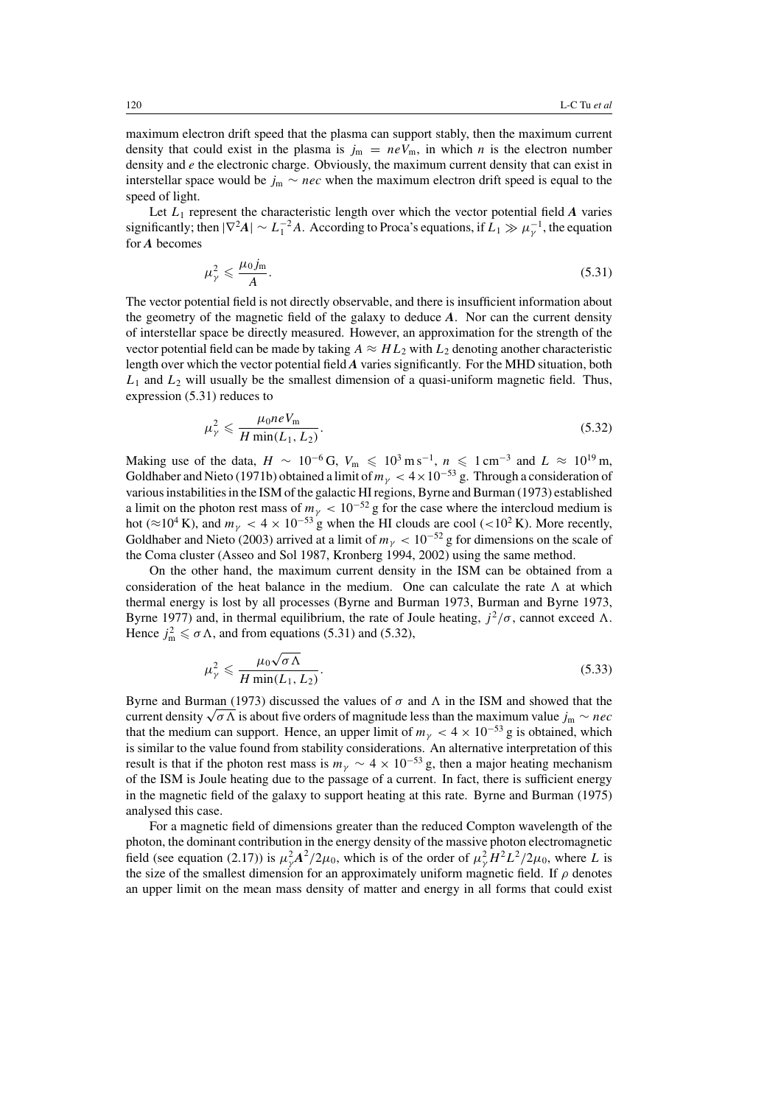maximum electron drift speed that the plasma can support stably, then the maximum current density that could exist in the plasma is  $j_m = neV_m$ , in which *n* is the electron number density and *e* the electronic charge. Obviously, the maximum current density that can exist in interstellar space would be *j*<sup>m</sup> ∼ *nec* when the maximum electron drift speed is equal to the speed of light.

Let  $L_1$  represent the characteristic length over which the vector potential field  $A$  varies significantly; then  $|\nabla^2 A| \sim L_1^{-2} A$ . According to Proca's equations, if  $L_1 \gg \mu_\gamma^{-1}$ , the equation for *A* becomes

$$
\mu_{\gamma}^2 \leqslant \frac{\mu_0 j_{\rm m}}{A}.\tag{5.31}
$$

The vector potential field is not directly observable, and there is insufficient information about the geometry of the magnetic field of the galaxy to deduce *A*. Nor can the current density of interstellar space be directly measured. However, an approximation for the strength of the vector potential field can be made by taking  $A \approx H L_2$  with  $L_2$  denoting another characteristic length over which the vector potential field *A* varies significantly. For the MHD situation, both  $L_1$  and  $L_2$  will usually be the smallest dimension of a quasi-uniform magnetic field. Thus, expression (5.31) reduces to

$$
\mu_{\gamma}^2 \leqslant \frac{\mu_0 n e V_{\text{m}}}{H \min(L_1, L_2)}.
$$
\n
$$
(5.32)
$$

Making use of the data,  $H \sim 10^{-6} \text{ G}$ ,  $V_{\text{m}} \leq 10^{3} \text{ m s}^{-1}$ ,  $n \leq 1 \text{ cm}^{-3}$  and  $L \approx 10^{19} \text{ m}$ , Goldhaber and Nieto (1971b) obtained a limit of  $m_{\gamma} < 4 \times 10^{-53}$  g. Through a consideration of various instabilities in the ISM of the galactic HI regions, Byrne and Burman (1973) established a limit on the photon rest mass of  $m<sub>\gamma</sub>$  < 10<sup>-52</sup> g for the case where the intercloud medium is hot ( $\approx$ 10<sup>4</sup> K), and  $m_{\gamma}$  < 4 × 10<sup>-53</sup> g when the HI clouds are cool (<10<sup>2</sup> K). More recently, Goldhaber and Nieto (2003) arrived at a limit of  $m<sub>\gamma</sub>$  < 10<sup>-52</sup> g for dimensions on the scale of the Coma cluster (Asseo and Sol 1987, Kronberg 1994, 2002) using the same method.

On the other hand, the maximum current density in the ISM can be obtained from a consideration of the heat balance in the medium. One can calculate the rate  $\Lambda$  at which thermal energy is lost by all processes (Byrne and Burman 1973, Burman and Byrne 1973, Byrne 1977) and, in thermal equilibrium, the rate of Joule heating,  $j^2/\sigma$ , cannot exceed  $\Lambda$ . Hence  $j_m^2 \leq \sigma \Lambda$ , and from equations (5.31) and (5.32),

$$
\mu_{\gamma}^{2} \leqslant \frac{\mu_{0}\sqrt{\sigma\Lambda}}{H\min(L_{1}, L_{2})}.
$$
\n(5.33)

Byrne and Burman (1973) discussed the values of  $\sigma$  and  $\Lambda$  in the ISM and showed that the current density  $\sqrt{\sigma} \Lambda$  is about five orders of magnitude less than the maximum value *j*<sub>m</sub> ∼ *nec* that the medium can support. Hence, an upper limit of  $m_v < 4 \times 10^{-53}$  g is obtained, which is similar to the value found from stability considerations. An alternative interpretation of this result is that if the photon rest mass is  $m<sub>\gamma</sub> \sim 4 \times 10^{-53}$  g, then a major heating mechanism of the ISM is Joule heating due to the passage of a current. In fact, there is sufficient energy in the magnetic field of the galaxy to support heating at this rate. Byrne and Burman (1975) analysed this case.

For a magnetic field of dimensions greater than the reduced Compton wavelength of the photon, the dominant contribution in the energy density of the massive photon electromagnetic field (see equation (2.17)) is  $\mu_{\gamma}^2 A^2 / 2\mu_0$ , which is of the order of  $\mu_{\gamma}^2 H^2 L^2 / 2\mu_0$ , where *L* is the size of the smallest dimension for an approximately uniform magnetic field. If  $\rho$  denotes an upper limit on the mean mass density of matter and energy in all forms that could exist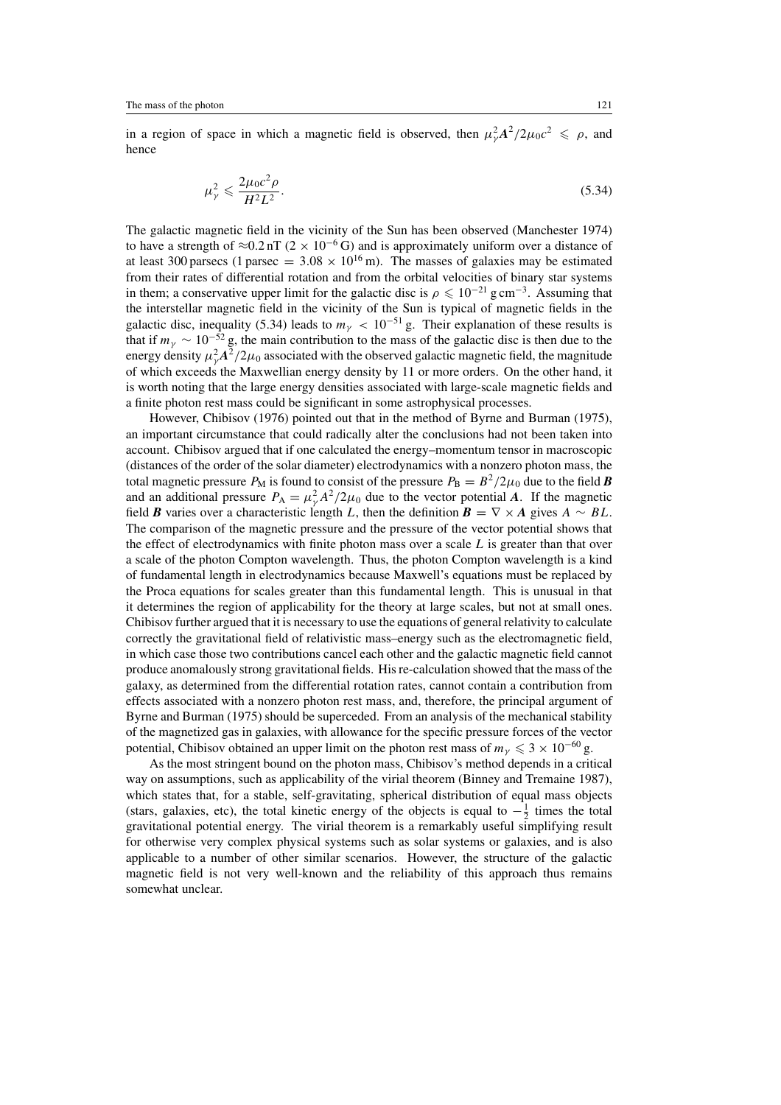in a region of space in which a magnetic field is observed, then  $\mu_{\gamma}^2 A^2 / 2\mu_0 c^2 \le \rho$ , and hence

$$
\mu_{\gamma}^2 \leqslant \frac{2\mu_0 c^2 \rho}{H^2 L^2}.\tag{5.34}
$$

The galactic magnetic field in the vicinity of the Sun has been observed (Manchester 1974) to have a strength of ≈0.2 nT (2 × 10<sup>-6</sup> G) and is approximately uniform over a distance of at least 300 parsecs (1 parsec =  $3.08 \times 10^{16}$  m). The masses of galaxies may be estimated from their rates of differential rotation and from the orbital velocities of binary star systems in them; a conservative upper limit for the galactic disc is  $\rho \leq 10^{-21}$  g cm<sup>-3</sup>. Assuming that the interstellar magnetic field in the vicinity of the Sun is typical of magnetic fields in the galactic disc, inequality (5.34) leads to  $m_{\gamma}$  < 10<sup>-51</sup> g. Their explanation of these results is that if  $m_{\gamma} \sim 10^{-52}$  g, the main contribution to the mass of the galactic disc is then due to the energy density  $\mu_{\gamma}^2 A^2/2\mu_0$  associated with the observed galactic magnetic field, the magnitude of which exceeds the Maxwellian energy density by 11 or more orders. On the other hand, it is worth noting that the large energy densities associated with large-scale magnetic fields and a finite photon rest mass could be significant in some astrophysical processes.

However, Chibisov (1976) pointed out that in the method of Byrne and Burman (1975), an important circumstance that could radically alter the conclusions had not been taken into account. Chibisov argued that if one calculated the energy–momentum tensor in macroscopic (distances of the order of the solar diameter) electrodynamics with a nonzero photon mass, the total magnetic pressure  $P_M$  is found to consist of the pressure  $P_B = B^2/2\mu_0$  due to the field **B** and an additional pressure  $P_A = \mu_\gamma^2 A^2 / 2\mu_0$  due to the vector potential *A*. If the magnetic field *B* varies over a characteristic length *L*, then the definition  $B = \nabla \times A$  gives  $A \sim BL$ . The comparison of the magnetic pressure and the pressure of the vector potential shows that the effect of electrodynamics with finite photon mass over a scale *L* is greater than that over a scale of the photon Compton wavelength. Thus, the photon Compton wavelength is a kind of fundamental length in electrodynamics because Maxwell's equations must be replaced by the Proca equations for scales greater than this fundamental length. This is unusual in that it determines the region of applicability for the theory at large scales, but not at small ones. Chibisov further argued that it is necessary to use the equations of general relativity to calculate correctly the gravitational field of relativistic mass–energy such as the electromagnetic field, in which case those two contributions cancel each other and the galactic magnetic field cannot produce anomalously strong gravitational fields. His re-calculation showed that the mass of the galaxy, as determined from the differential rotation rates, cannot contain a contribution from effects associated with a nonzero photon rest mass, and, therefore, the principal argument of Byrne and Burman (1975) should be superceded. From an analysis of the mechanical stability of the magnetized gas in galaxies, with allowance for the specific pressure forces of the vector potential, Chibisov obtained an upper limit on the photon rest mass of  $m_\nu \leqslant 3 \times 10^{-60}$  g.

As the most stringent bound on the photon mass, Chibisov's method depends in a critical way on assumptions, such as applicability of the virial theorem (Binney and Tremaine 1987), which states that, for a stable, self-gravitating, spherical distribution of equal mass objects (stars, galaxies, etc), the total kinetic energy of the objects is equal to  $-\frac{1}{2}$  times the total gravitational potential energy. The virial theorem is a remarkably useful simplifying result for otherwise very complex physical systems such as solar systems or galaxies, and is also applicable to a number of other similar scenarios. However, the structure of the galactic magnetic field is not very well-known and the reliability of this approach thus remains somewhat unclear.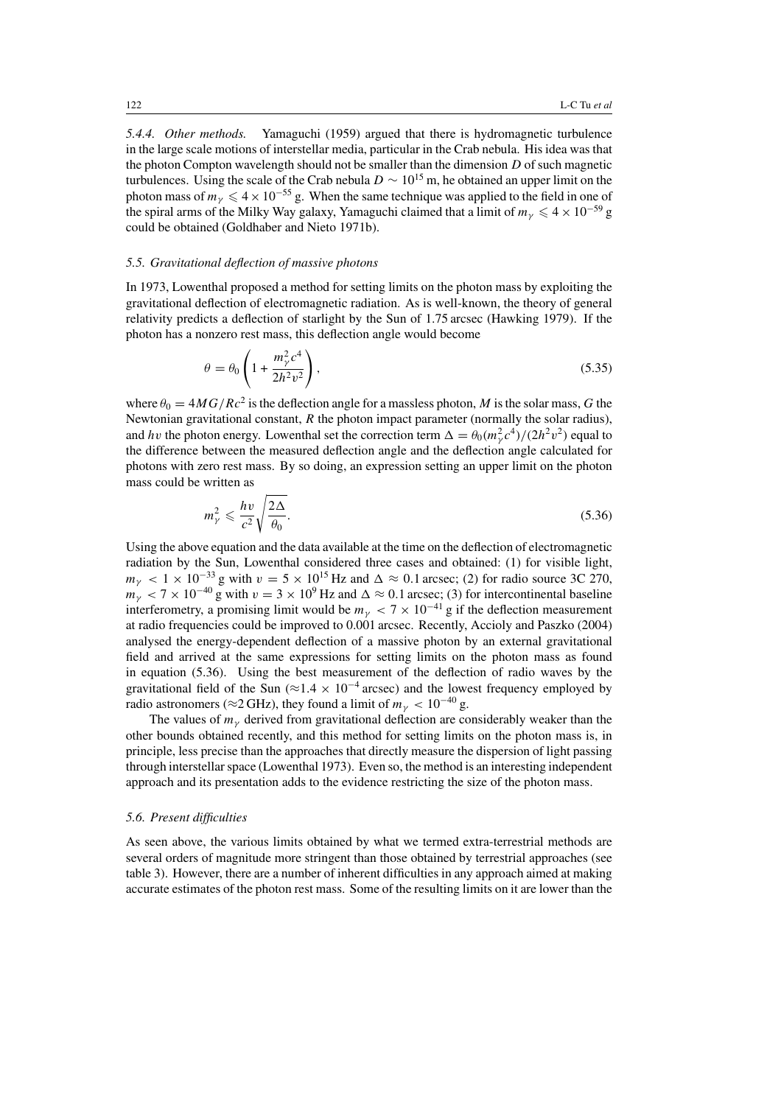*5.4.4. Other methods.* Yamaguchi (1959) argued that there is hydromagnetic turbulence in the large scale motions of interstellar media, particular in the Crab nebula. His idea was that the photon Compton wavelength should not be smaller than the dimension *D* of such magnetic turbulences. Using the scale of the Crab nebula  $D \sim 10^{15}$  m, he obtained an upper limit on the photon mass of  $m_\gamma \leq 4 \times 10^{-55}$  g. When the same technique was applied to the field in one of the spiral arms of the Milky Way galaxy, Yamaguchi claimed that a limit of  $m_{\gamma} \leq 4 \times 10^{-59}$  g could be obtained (Goldhaber and Nieto 1971b).

# *5.5. Gravitational deflection of massive photons*

In 1973, Lowenthal proposed a method for setting limits on the photon mass by exploiting the gravitational deflection of electromagnetic radiation. As is well-known, the theory of general relativity predicts a deflection of starlight by the Sun of 1.75 arcsec (Hawking 1979). If the photon has a nonzero rest mass, this deflection angle would become

$$
\theta = \theta_0 \left( 1 + \frac{m_\gamma^2 c^4}{2h^2 v^2} \right),\tag{5.35}
$$

where  $\theta_0 = 4MG/Rc^2$  is the deflection angle for a massless photon, *M* is the solar mass, *G* the Newtonian gravitational constant, *R* the photon impact parameter (normally the solar radius), and *hv* the photon energy. Lowenthal set the correction term  $\Delta = \theta_0 (m_\gamma^2 c^4)/(2h^2 v^2)$  equal to the difference between the measured deflection angle and the deflection angle calculated for photons with zero rest mass. By so doing, an expression setting an upper limit on the photon mass could be written as

$$
m_{\gamma}^{2} \leqslant \frac{hv}{c^{2}} \sqrt{\frac{2\Delta}{\theta_{0}}}.
$$
\n
$$
(5.36)
$$

Using the above equation and the data available at the time on the deflection of electromagnetic radiation by the Sun, Lowenthal considered three cases and obtained: (1) for visible light,  $m<sub>\gamma</sub>$  < 1 × 10<sup>-33</sup> g with  $v = 5 \times 10^{15}$  Hz and  $\Delta \approx 0.1$  arcsec; (2) for radio source 3C 270,  $m_{\gamma}$  < 7 × 10<sup>-40</sup> g with  $v = 3 \times 10^{9}$  Hz and  $\Delta \approx 0.1$  arcsec; (3) for intercontinental baseline interferometry, a promising limit would be  $m<sub>y</sub> < 7 \times 10^{-41}$  g if the deflection measurement at radio frequencies could be improved to 0.001 arcsec. Recently, Accioly and Paszko (2004) analysed the energy-dependent deflection of a massive photon by an external gravitational field and arrived at the same expressions for setting limits on the photon mass as found in equation (5.36). Using the best measurement of the deflection of radio waves by the gravitational field of the Sun ( $\approx$ 1.4 × 10<sup>-4</sup> arcsec) and the lowest frequency employed by radio astronomers ( $\approx$ 2 GHz), they found a limit of  $m_{\nu}$  < 10<sup>-40</sup> g.

The values of  $m<sub>y</sub>$  derived from gravitational deflection are considerably weaker than the other bounds obtained recently, and this method for setting limits on the photon mass is, in principle, less precise than the approaches that directly measure the dispersion of light passing through interstellar space (Lowenthal 1973). Even so, the method is an interesting independent approach and its presentation adds to the evidence restricting the size of the photon mass.

#### *5.6. Present difficulties*

As seen above, the various limits obtained by what we termed extra-terrestrial methods are several orders of magnitude more stringent than those obtained by terrestrial approaches (see table 3). However, there are a number of inherent difficulties in any approach aimed at making accurate estimates of the photon rest mass. Some of the resulting limits on it are lower than the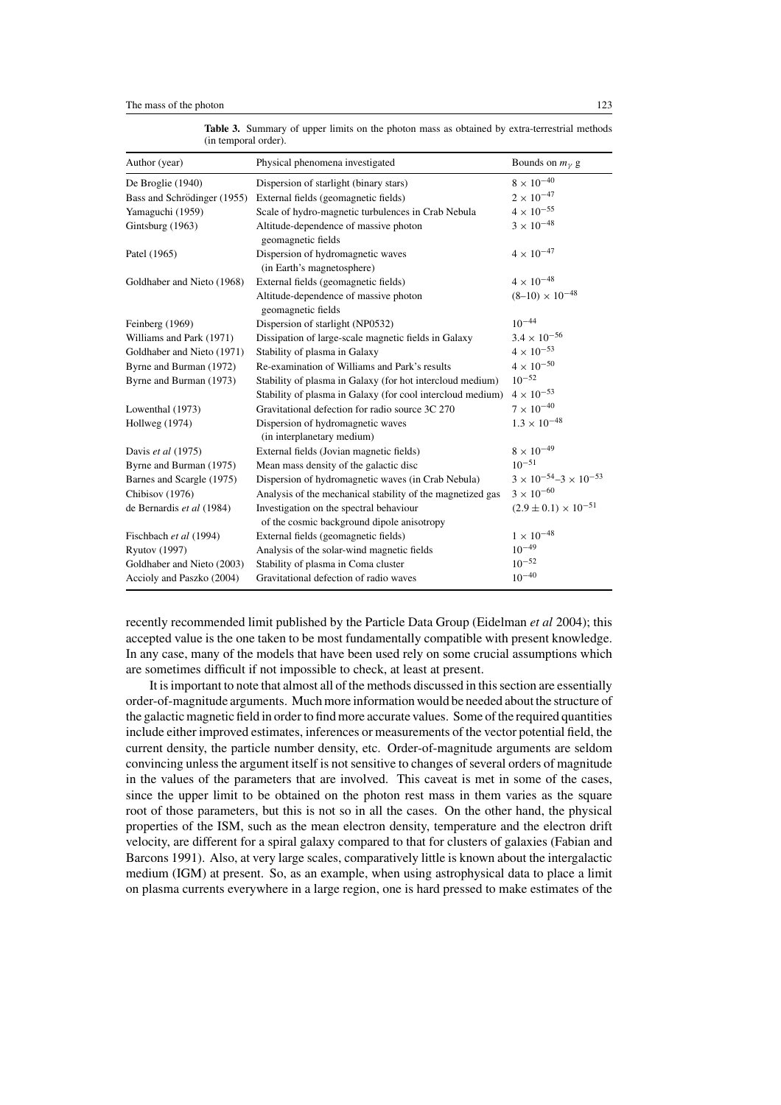| Author (year)               | Physical phenomena investigated                                                       | Bounds on $m_{\gamma}$ g                |  |  |  |
|-----------------------------|---------------------------------------------------------------------------------------|-----------------------------------------|--|--|--|
| De Broglie (1940)           | Dispersion of starlight (binary stars)                                                | $8 \times 10^{-40}$                     |  |  |  |
| Bass and Schrödinger (1955) | External fields (geomagnetic fields)                                                  | $2 \times 10^{-47}$                     |  |  |  |
| Yamaguchi (1959)            | Scale of hydro-magnetic turbulences in Crab Nebula                                    | $4 \times 10^{-55}$                     |  |  |  |
| Gintsburg (1963)            | Altitude-dependence of massive photon<br>geomagnetic fields                           | $3 \times 10^{-48}$                     |  |  |  |
| Patel (1965)                | Dispersion of hydromagnetic waves<br>(in Earth's magnetosphere)                       | $4 \times 10^{-47}$                     |  |  |  |
| Goldhaber and Nieto (1968)  | External fields (geomagnetic fields)                                                  | $4 \times 10^{-48}$                     |  |  |  |
|                             | Altitude-dependence of massive photon<br>geomagnetic fields                           | $(8-10) \times 10^{-48}$                |  |  |  |
| Feinberg (1969)             | Dispersion of starlight (NP0532)                                                      | $10^{-44}$                              |  |  |  |
| Williams and Park (1971)    | Dissipation of large-scale magnetic fields in Galaxy                                  | $3.4 \times 10^{-56}$                   |  |  |  |
| Goldhaber and Nieto (1971)  | Stability of plasma in Galaxy                                                         | $4 \times 10^{-53}$                     |  |  |  |
| Byrne and Burman (1972)     | Re-examination of Williams and Park's results                                         | $4 \times 10^{-50}$                     |  |  |  |
| Byrne and Burman (1973)     | Stability of plasma in Galaxy (for hot intercloud medium)                             | $10^{-52}$                              |  |  |  |
|                             | Stability of plasma in Galaxy (for cool intercloud medium)                            | $4 \times 10^{-53}$                     |  |  |  |
| Lowenthal (1973)            | Gravitational defection for radio source 3C 270                                       | $7 \times 10^{-40}$                     |  |  |  |
| <b>Hollweg</b> (1974)       | Dispersion of hydromagnetic waves<br>(in interplanetary medium)                       | $1.3 \times 10^{-48}$                   |  |  |  |
| Davis et al (1975)          | External fields (Jovian magnetic fields)                                              | $8 \times 10^{-49}$                     |  |  |  |
| Byrne and Burman (1975)     | Mean mass density of the galactic disc                                                | $10^{-51}$                              |  |  |  |
| Barnes and Scargle (1975)   | Dispersion of hydromagnetic waves (in Crab Nebula)                                    | $3 \times 10^{-54} - 3 \times 10^{-53}$ |  |  |  |
| Chibisov (1976)             | Analysis of the mechanical stability of the magnetized gas                            | $3 \times 10^{-60}$                     |  |  |  |
| de Bernardis et al (1984)   | Investigation on the spectral behaviour<br>of the cosmic background dipole anisotropy | $(2.9 \pm 0.1) \times 10^{-51}$         |  |  |  |
| Fischbach et al (1994)      | External fields (geomagnetic fields)                                                  | $1\times10^{-48}$                       |  |  |  |
| <b>Ryutov</b> (1997)        | Analysis of the solar-wind magnetic fields                                            | $10^{-49}$                              |  |  |  |
| Goldhaber and Nieto (2003)  | Stability of plasma in Coma cluster                                                   | $10^{-52}$                              |  |  |  |
| Accioly and Paszko (2004)   | Gravitational defection of radio waves                                                | $10^{-40}$                              |  |  |  |

**Table 3.** Summary of upper limits on the photon mass as obtained by extra-terrestrial methods (in temporal order).

recently recommended limit published by the Particle Data Group (Eidelman *et al* 2004); this accepted value is the one taken to be most fundamentally compatible with present knowledge. In any case, many of the models that have been used rely on some crucial assumptions which are sometimes difficult if not impossible to check, at least at present.

It is important to note that almost all of the methods discussed in this section are essentially order-of-magnitude arguments. Much more information would be needed about the structure of the galactic magnetic field in order to find more accurate values. Some of the required quantities include either improved estimates, inferences or measurements of the vector potential field, the current density, the particle number density, etc. Order-of-magnitude arguments are seldom convincing unless the argument itself is not sensitive to changes of several orders of magnitude in the values of the parameters that are involved. This caveat is met in some of the cases, since the upper limit to be obtained on the photon rest mass in them varies as the square root of those parameters, but this is not so in all the cases. On the other hand, the physical properties of the ISM, such as the mean electron density, temperature and the electron drift velocity, are different for a spiral galaxy compared to that for clusters of galaxies (Fabian and Barcons 1991). Also, at very large scales, comparatively little is known about the intergalactic medium (IGM) at present. So, as an example, when using astrophysical data to place a limit on plasma currents everywhere in a large region, one is hard pressed to make estimates of the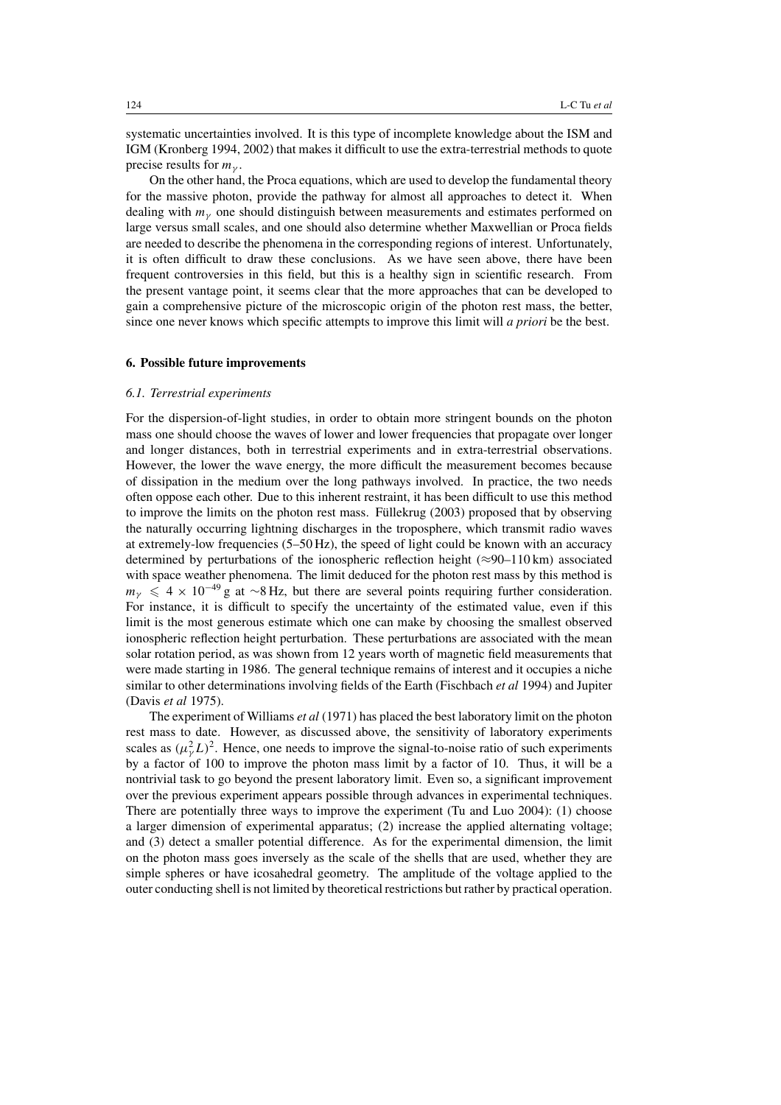systematic uncertainties involved. It is this type of incomplete knowledge about the ISM and IGM (Kronberg 1994, 2002) that makes it difficult to use the extra-terrestrial methods to quote precise results for  $m_\nu$ .

On the other hand, the Proca equations, which are used to develop the fundamental theory for the massive photon, provide the pathway for almost all approaches to detect it. When dealing with *mγ* one should distinguish between measurements and estimates performed on large versus small scales, and one should also determine whether Maxwellian or Proca fields are needed to describe the phenomena in the corresponding regions of interest. Unfortunately, it is often difficult to draw these conclusions. As we have seen above, there have been frequent controversies in this field, but this is a healthy sign in scientific research. From the present vantage point, it seems clear that the more approaches that can be developed to gain a comprehensive picture of the microscopic origin of the photon rest mass, the better, since one never knows which specific attempts to improve this limit will *a priori* be the best.

#### **6. Possible future improvements**

#### *6.1. Terrestrial experiments*

For the dispersion-of-light studies, in order to obtain more stringent bounds on the photon mass one should choose the waves of lower and lower frequencies that propagate over longer and longer distances, both in terrestrial experiments and in extra-terrestrial observations. However, the lower the wave energy, the more difficult the measurement becomes because of dissipation in the medium over the long pathways involved. In practice, the two needs often oppose each other. Due to this inherent restraint, it has been difficult to use this method to improve the limits on the photon rest mass. Fullekrug  $(2003)$  proposed that by observing the naturally occurring lightning discharges in the troposphere, which transmit radio waves at extremely-low frequencies (5–50 Hz), the speed of light could be known with an accuracy determined by perturbations of the ionospheric reflection height ( $\approx$ 90–110 km) associated with space weather phenomena. The limit deduced for the photon rest mass by this method is  $m<sub>\gamma</sub> \leq 4 \times 10^{-49}$  g at ~8 Hz, but there are several points requiring further consideration. For instance, it is difficult to specify the uncertainty of the estimated value, even if this limit is the most generous estimate which one can make by choosing the smallest observed ionospheric reflection height perturbation. These perturbations are associated with the mean solar rotation period, as was shown from 12 years worth of magnetic field measurements that were made starting in 1986. The general technique remains of interest and it occupies a niche similar to other determinations involving fields of the Earth (Fischbach *et al* 1994) and Jupiter (Davis *et al* 1975).

The experiment of Williams *et al* (1971) has placed the best laboratory limit on the photon rest mass to date. However, as discussed above, the sensitivity of laboratory experiments scales as  $(\mu^2_\gamma L)^2$ . Hence, one needs to improve the signal-to-noise ratio of such experiments by a factor of 100 to improve the photon mass limit by a factor of 10. Thus, it will be a nontrivial task to go beyond the present laboratory limit. Even so, a significant improvement over the previous experiment appears possible through advances in experimental techniques. There are potentially three ways to improve the experiment (Tu and Luo 2004): (1) choose a larger dimension of experimental apparatus; (2) increase the applied alternating voltage; and (3) detect a smaller potential difference. As for the experimental dimension, the limit on the photon mass goes inversely as the scale of the shells that are used, whether they are simple spheres or have icosahedral geometry. The amplitude of the voltage applied to the outer conducting shell is not limited by theoretical restrictions but rather by practical operation.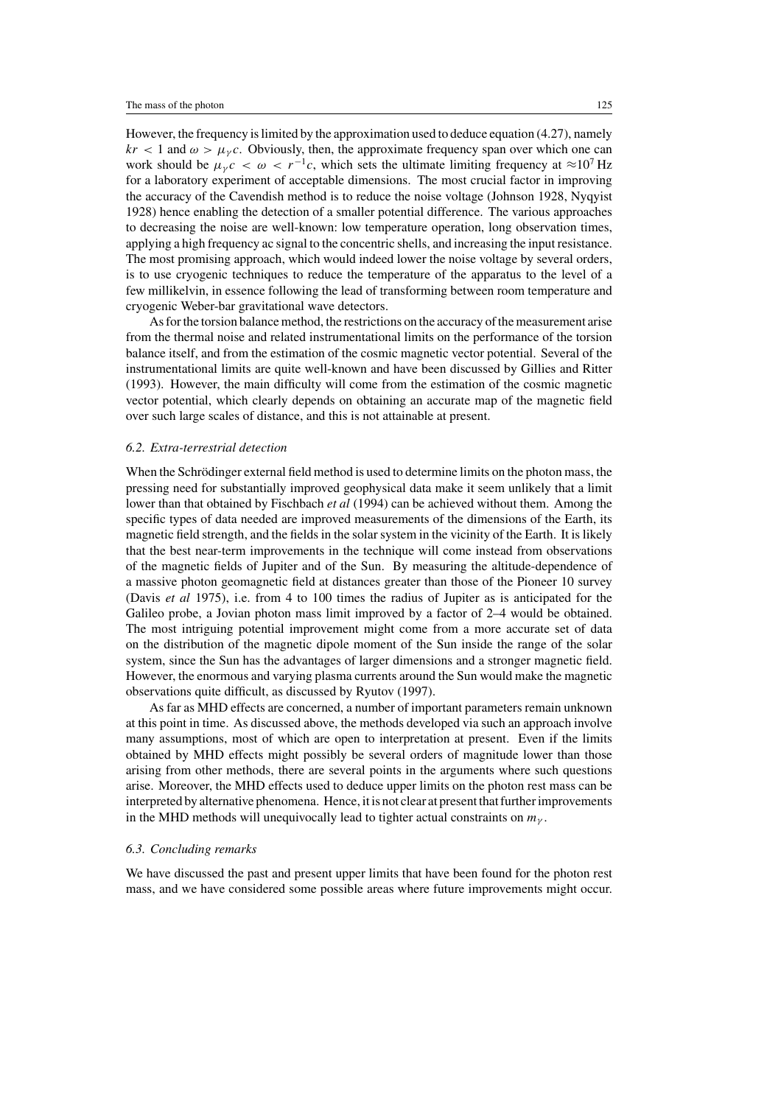However, the frequency is limited by the approximation used to deduce equation (4.27), namely  $kr < 1$  and  $\omega > \mu<sub>\gamma</sub>c$ . Obviously, then, the approximate frequency span over which one can work should be  $\mu_y c < \omega < r^{-1}c$ , which sets the ultimate limiting frequency at  $\approx 10^7$  Hz for a laboratory experiment of acceptable dimensions. The most crucial factor in improving the accuracy of the Cavendish method is to reduce the noise voltage (Johnson 1928, Nyqyist 1928) hence enabling the detection of a smaller potential difference. The various approaches to decreasing the noise are well-known: low temperature operation, long observation times, applying a high frequency ac signal to the concentric shells, and increasing the input resistance. The most promising approach, which would indeed lower the noise voltage by several orders, is to use cryogenic techniques to reduce the temperature of the apparatus to the level of a few millikelvin, in essence following the lead of transforming between room temperature and cryogenic Weber-bar gravitational wave detectors.

As for the torsion balance method, the restrictions on the accuracy of the measurement arise from the thermal noise and related instrumentational limits on the performance of the torsion balance itself, and from the estimation of the cosmic magnetic vector potential. Several of the instrumentational limits are quite well-known and have been discussed by Gillies and Ritter (1993). However, the main difficulty will come from the estimation of the cosmic magnetic vector potential, which clearly depends on obtaining an accurate map of the magnetic field over such large scales of distance, and this is not attainable at present.

# *6.2. Extra-terrestrial detection*

When the Schrödinger external field method is used to determine limits on the photon mass, the pressing need for substantially improved geophysical data make it seem unlikely that a limit lower than that obtained by Fischbach *et al* (1994) can be achieved without them. Among the specific types of data needed are improved measurements of the dimensions of the Earth, its magnetic field strength, and the fields in the solar system in the vicinity of the Earth. It is likely that the best near-term improvements in the technique will come instead from observations of the magnetic fields of Jupiter and of the Sun. By measuring the altitude-dependence of a massive photon geomagnetic field at distances greater than those of the Pioneer 10 survey (Davis *et al* 1975), i.e. from 4 to 100 times the radius of Jupiter as is anticipated for the Galileo probe, a Jovian photon mass limit improved by a factor of 2–4 would be obtained. The most intriguing potential improvement might come from a more accurate set of data on the distribution of the magnetic dipole moment of the Sun inside the range of the solar system, since the Sun has the advantages of larger dimensions and a stronger magnetic field. However, the enormous and varying plasma currents around the Sun would make the magnetic observations quite difficult, as discussed by Ryutov (1997).

As far as MHD effects are concerned, a number of important parameters remain unknown at this point in time. As discussed above, the methods developed via such an approach involve many assumptions, most of which are open to interpretation at present. Even if the limits obtained by MHD effects might possibly be several orders of magnitude lower than those arising from other methods, there are several points in the arguments where such questions arise. Moreover, the MHD effects used to deduce upper limits on the photon rest mass can be interpreted by alternative phenomena. Hence, it is not clear at present that further improvements in the MHD methods will unequivocally lead to tighter actual constraints on  $m_{\nu}$ .

#### *6.3. Concluding remarks*

We have discussed the past and present upper limits that have been found for the photon rest mass, and we have considered some possible areas where future improvements might occur.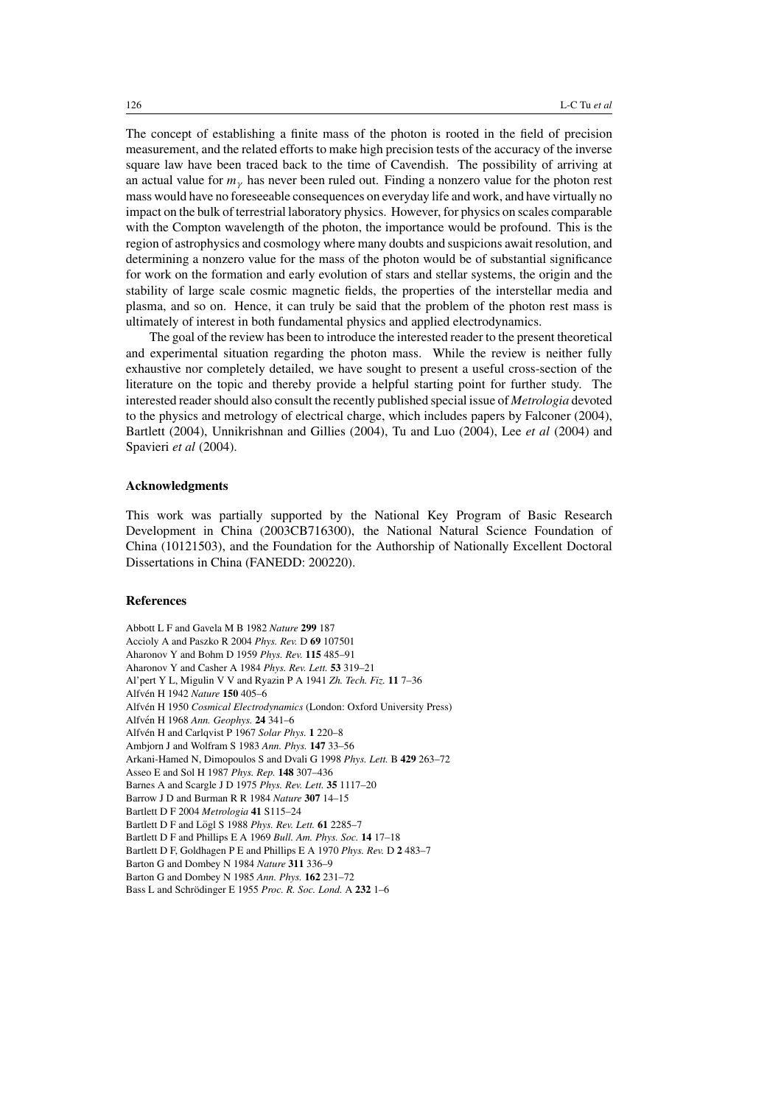The concept of establishing a finite mass of the photon is rooted in the field of precision measurement, and the related efforts to make high precision tests of the accuracy of the inverse square law have been traced back to the time of Cavendish. The possibility of arriving at an actual value for  $m<sub>v</sub>$  has never been ruled out. Finding a nonzero value for the photon rest mass would have no foreseeable consequences on everyday life and work, and have virtually no impact on the bulk of terrestrial laboratory physics. However, for physics on scales comparable with the Compton wavelength of the photon, the importance would be profound. This is the region of astrophysics and cosmology where many doubts and suspicions await resolution, and determining a nonzero value for the mass of the photon would be of substantial significance for work on the formation and early evolution of stars and stellar systems, the origin and the stability of large scale cosmic magnetic fields, the properties of the interstellar media and plasma, and so on. Hence, it can truly be said that the problem of the photon rest mass is ultimately of interest in both fundamental physics and applied electrodynamics.

The goal of the review has been to introduce the interested reader to the present theoretical and experimental situation regarding the photon mass. While the review is neither fully exhaustive nor completely detailed, we have sought to present a useful cross-section of the literature on the topic and thereby provide a helpful starting point for further study. The interested reader should also consult the recently published special issue of *Metrologia* devoted to the physics and metrology of electrical charge, which includes papers by Falconer (2004), Bartlett (2004), Unnikrishnan and Gillies (2004), Tu and Luo (2004), Lee *et al* (2004) and Spavieri *et al* (2004).

#### **Acknowledgments**

This work was partially supported by the National Key Program of Basic Research Development in China (2003CB716300), the National Natural Science Foundation of China (10121503), and the Foundation for the Authorship of Nationally Excellent Doctoral Dissertations in China (FANEDD: 200220).

## **References**

Abbott L F and Gavela M B 1982 *Nature* **299** 187 Accioly A and Paszko R 2004 *Phys. Rev.* D **69** 107501 Aharonov Y and Bohm D 1959 *Phys. Rev.* **115** 485–91 Aharonov Y and Casher A 1984 *Phys. Rev. Lett.* **53** 319–21 Al'pert Y L, Migulin V V and Ryazin P A 1941 *Zh. Tech. Fiz.* **11** 7–36 Alfvén H 1942 Nature 150 405-6 Alfvén H 1950 Cosmical Electrodynamics (London: Oxford University Press) Alfvén H 1968 Ann. Geophys. 24 341-6 Alfvén H and Carlqvist P 1967 Solar Phys. 1 220-8 Ambjorn J and Wolfram S 1983 *Ann. Phys.* **147** 33–56 Arkani-Hamed N, Dimopoulos S and Dvali G 1998 *Phys. Lett.* B **429** 263–72 Asseo E and Sol H 1987 *Phys. Rep.* **148** 307–436 Barnes A and Scargle J D 1975 *Phys. Rev. Lett.* **35** 1117–20 Barrow J D and Burman R R 1984 *Nature* **307** 14–15 Bartlett D F 2004 *Metrologia* **41** S115–24 Bartlett D F and Lögl S 1988 Phys. Rev. Lett. 61 2285-7 Bartlett D F and Phillips E A 1969 *Bull. Am. Phys. Soc.* **14** 17–18 Bartlett D F, Goldhagen P E and Phillips E A 1970 *Phys. Rev.* D **2** 483–7 Barton G and Dombey N 1984 *Nature* **311** 336–9 Barton G and Dombey N 1985 *Ann. Phys.* **162** 231–72 Bass L and Schrödinger E 1955 Proc. R. Soc. Lond. A 232 1-6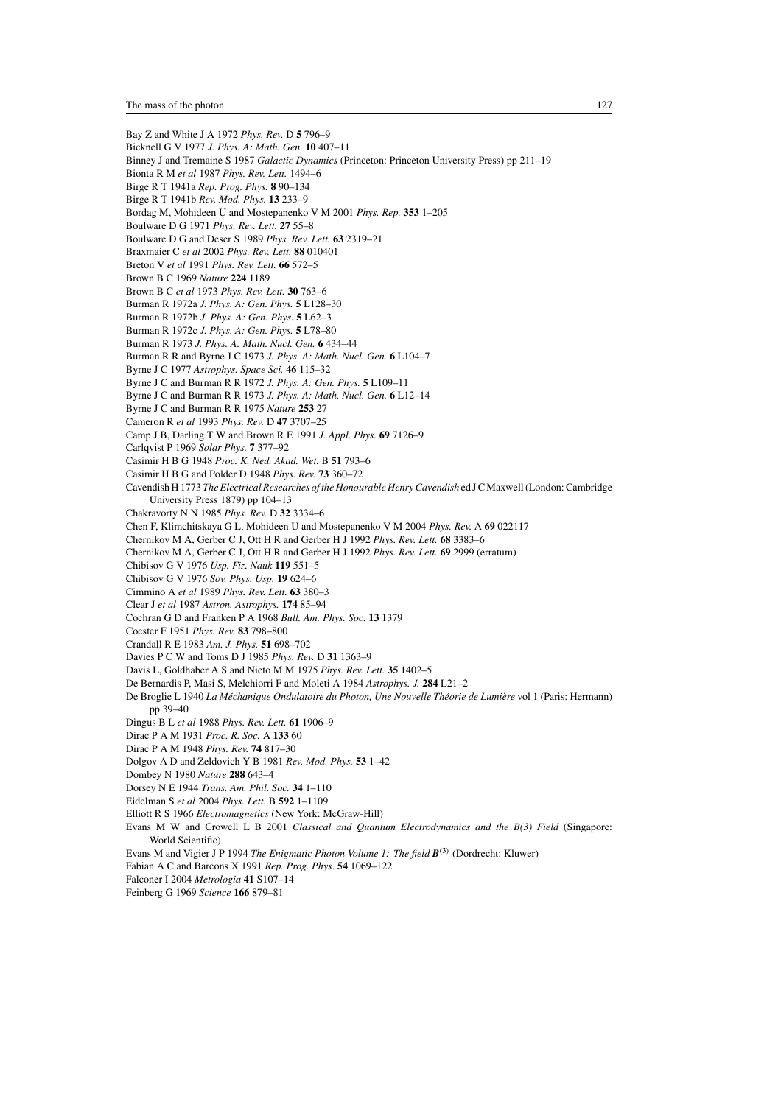Bay Z and White J A 1972 *Phys. Rev.* D **5** 796–9 Bicknell G V 1977 *J. Phys. A: Math. Gen.* **10** 407–11 Binney J and Tremaine S 1987 *Galactic Dynamics* (Princeton: Princeton University Press) pp 211–19 Bionta R M *et al* 1987 *Phys. Rev. Lett.* 1494–6 Birge R T 1941a *Rep. Prog. Phys.* **8** 90–134 Birge R T 1941b *Rev. Mod. Phys.* **13** 233–9 Bordag M, Mohideen U and Mostepanenko V M 2001 *Phys. Rep.* **353** 1–205 Boulware D G 1971 *Phys. Rev. Lett.* **27** 55–8 Boulware D G and Deser S 1989 *Phys. Rev. Lett.* **63** 2319–21 Braxmaier C *et al* 2002 *Phys. Rev. Lett.* **88** 010401 Breton V *et al* 1991 *Phys. Rev. Lett.* **66** 572–5 Brown B C 1969 *Nature* **224** 1189 Brown B C *et al* 1973 *Phys. Rev. Lett.* **30** 763–6 Burman R 1972a *J. Phys. A: Gen. Phys.* **5** L128–30 Burman R 1972b *J. Phys. A: Gen. Phys.* **5** L62–3 Burman R 1972c *J. Phys. A: Gen. Phys.* **5** L78–80 Burman R 1973 *J. Phys. A: Math. Nucl. Gen.* **6** 434–44 Burman R R and Byrne J C 1973 *J. Phys. A: Math. Nucl. Gen.* **6** L104–7 Byrne J C 1977 *Astrophys. Space Sci.* **46** 115–32 Byrne J C and Burman R R 1972 *J. Phys. A: Gen. Phys.* **5** L109–11 Byrne J C and Burman R R 1973 *J. Phys. A: Math. Nucl. Gen.* **6** L12–14 Byrne J C and Burman R R 1975 *Nature* **253** 27 Cameron R *et al* 1993 *Phys. Rev.* D **47** 3707–25 Camp J B, Darling T W and Brown R E 1991 *J. Appl. Phys.* **69** 7126–9 Carlqvist P 1969 *Solar Phys.* **7** 377–92 CasimirHBG 1948 *Proc. K. Ned. Akad. Wet.* B **51** 793–6 Casimir H B G and Polder D 1948 *Phys. Rev.* **73** 360–72 Cavendish H 1773 *The Electrical Researches of the Honourable Henry Cavendish* ed J C Maxwell (London: Cambridge University Press 1879) pp 104–13 Chakravorty N N 1985 *Phys. Rev.* D **32** 3334–6 Chen F, Klimchitskaya G L, Mohideen U and Mostepanenko V M 2004 *Phys. Rev.* A **69** 022117 Chernikov M A, Gerber C J, Ott H R and Gerber H J 1992 *Phys. Rev. Lett.* **68** 3383–6 Chernikov M A, Gerber C J, Ott H R and Gerber H J 1992 *Phys. Rev. Lett.* **69** 2999 (erratum) Chibisov G V 1976 *Usp. Fiz. Nauk* **119** 551–5 Chibisov G V 1976 *Sov. Phys. Usp.* **19** 624–6 Cimmino A *et al* 1989 *Phys. Rev. Lett.* **63** 380–3 Clear J *et al* 1987 *Astron. Astrophys.* **174** 85–94 Cochran G D and Franken P A 1968 *Bull. Am. Phys. Soc.* **13** 1379 Coester F 1951 *Phys. Rev.* **83** 798–800 Crandall R E 1983 *Am. J. Phys.* **51** 698–702 Davies P C W and Toms D J 1985 *Phys. Rev.* D **31** 1363–9 Davis L, Goldhaber A S and Nieto M M 1975 *Phys. Rev. Lett.* **35** 1402–5 De Bernardis P, Masi S, Melchiorri F and Moleti A 1984 *Astrophys. J.* **284** L21–2 De Broglie L 1940 *La Mechanique Ondulatoire du Photon, Une Nouvelle Th ´ eorie de Lumi ´ ere `* vol 1 (Paris: Hermann) pp 39–40 Dingus B L *et al* 1988 *Phys. Rev. Lett.* **61** 1906–9 DiracPAM 1931 *Proc. R. Soc.* A **133** 60 DiracPAM 1948 *Phys. Rev.* **74** 817–30 Dolgov A D and Zeldovich Y B 1981 *Rev. Mod. Phys.* **53** 1–42 Dombey N 1980 *Nature* **288** 643–4 Dorsey N E 1944 *Trans. Am. Phil. Soc.* **34** 1–110 Eidelman S *et al* 2004 *Phys. Lett.* B **592** 1–1109 Elliott R S 1966 *Electromagnetics* (New York: McGraw-Hill) Evans M W and Crowell L B 2001 *Classical and Quantum Electrodynamics and the B(3) Field* (Singapore: World Scientific) Evans M and Vigier J P 1994 *The Enigmatic Photon Volume 1: The field B(*3*)* (Dordrecht: Kluwer) Fabian A C and Barcons X 1991 *Rep. Prog. Phys*. **54** 1069–122 Falconer I 2004 *Metrologia* **41** S107–14

Feinberg G 1969 *Science* **166** 879–81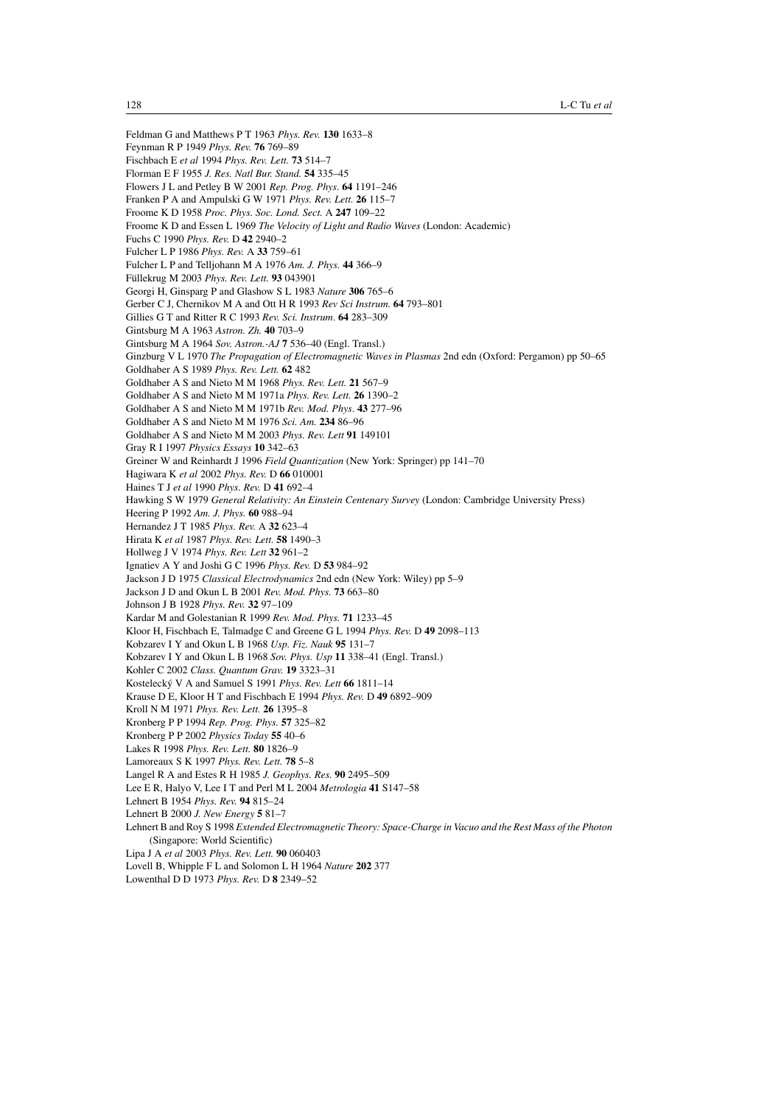Feldman G and Matthews P T 1963 *Phys. Rev.* **130** 1633–8 Feynman R P 1949 *Phys. Rev.* **76** 769–89 Fischbach E *et al* 1994 *Phys. Rev. Lett.* **73** 514–7 Florman E F 1955 *J. Res. Natl Bur. Stand.* **54** 335–45 Flowers J L and Petley B W 2001 *Rep. Prog. Phys*. **64** 1191–246 Franken P A and Ampulski G W 1971 *Phys. Rev. Lett.* **26** 115–7 Froome K D 1958 *Proc. Phys. Soc. Lond. Sect.* A **247** 109–22 Froome K D and Essen L 1969 *The Velocity of Light and Radio Waves* (London: Academic) Fuchs C 1990 *Phys. Rev.* D **42** 2940–2 Fulcher L P 1986 *Phys. Rev.* A **33** 759–61 Fulcher L P and Telljohann M A 1976 *Am. J. Phys.* **44** 366–9 Füllekrug M 2003 Phys. Rev. Lett. 93 043901 Georgi H, Ginsparg P and Glashow S L 1983 *Nature* **306** 765–6 Gerber C J, Chernikov M A and Ott H R 1993 *Rev Sci Instrum.* **64** 793–801 Gillies G T and Ritter R C 1993 *Rev. Sci. Instrum*. **64** 283–309 Gintsburg M A 1963 *Astron. Zh.* **40** 703–9 Gintsburg M A 1964 *Sov. Astron.-AJ* **7** 536–40 (Engl. Transl.) Ginzburg V L 1970 *The Propagation of Electromagnetic Waves in Plasmas* 2nd edn (Oxford: Pergamon) pp 50–65 Goldhaber A S 1989 *Phys. Rev. Lett.* **62** 482 Goldhaber A S and Nieto M M 1968 *Phys. Rev. Lett.* **21** 567–9 Goldhaber A S and Nieto M M 1971a *Phys. Rev. Lett.* **26** 1390–2 Goldhaber A S and Nieto M M 1971b *Rev. Mod. Phys*. **43** 277–96 Goldhaber A S and Nieto M M 1976 *Sci. Am.* **234** 86–96 Goldhaber A S and Nieto M M 2003 *Phys. Rev. Lett* **91** 149101 Gray R I 1997 *Physics Essays* **10** 342–63 Greiner W and Reinhardt J 1996 *Field Quantization* (New York: Springer) pp 141–70 Hagiwara K *et al* 2002 *Phys. Rev.* D **66** 010001 Haines T J *et al* 1990 *Phys. Rev.* D **41** 692–4 Hawking S W 1979 *General Relativity: An Einstein Centenary Survey* (London: Cambridge University Press) Heering P 1992 *Am. J. Phys.* **60** 988–94 Hernandez J T 1985 *Phys. Rev.* A **32** 623–4 Hirata K *et al* 1987 *Phys. Rev. Lett.* **58** 1490–3 Hollweg J V 1974 *Phys. Rev. Lett* **32** 961–2 Ignatiev A Y and Joshi G C 1996 *Phys. Rev.* D **53** 984–92 Jackson J D 1975 *Classical Electrodynamics* 2nd edn (New York: Wiley) pp 5–9 Jackson J D and Okun L B 2001 *Rev. Mod. Phys.* **73** 663–80 Johnson J B 1928 *Phys. Rev.* **32** 97–109 Kardar M and Golestanian R 1999 *Rev. Mod. Phys.* **71** 1233–45 Kloor H, Fischbach E, Talmadge C and Greene G L 1994 *Phys. Rev.* D **49** 2098–113 Kobzarev I Y and Okun L B 1968 *Usp. Fiz. Nauk* **95** 131–7 Kobzarev I Y and Okun L B 1968 *Sov. Phys. Usp* **11** 338–41 (Engl. Transl.) Kohler C 2002 *Class. Quantum Grav.* **19** 3323–31 Kostelecký V A and Samuel S 1991 *Phys. Rev. Lett* 66 1811–14 Krause D E, Kloor H T and Fischbach E 1994 *Phys. Rev.* D **49** 6892–909 Kroll N M 1971 *Phys. Rev. Lett.* **26** 1395–8 Kronberg P P 1994 *Rep. Prog. Phys.* **57** 325–82 Kronberg P P 2002 *Physics Today* **55** 40–6 Lakes R 1998 *Phys. Rev. Lett.* **80** 1826–9 Lamoreaux S K 1997 *Phys. Rev. Lett.* **78** 5–8 Langel R A and Estes R H 1985 *J. Geophys. Res.* **90** 2495–509 Lee E R, Halyo V, Lee I T and Perl M L 2004 *Metrologia* **41** S147–58 Lehnert B 1954 *Phys. Rev.* **94** 815–24 Lehnert B 2000 *J. New Energy* **5** 81–7 Lehnert B and Roy S 1998 *Extended Electromagnetic Theory: Space-Charge in Vacuo and the Rest Mass of the Photon* (Singapore: World Scientific) Lipa J A *et al* 2003 *Phys. Rev. Lett.* **90** 060403 Lovell B, Whipple F L and Solomon L H 1964 *Nature* **202** 377

Lowenthal D D 1973 *Phys. Rev.* D **8** 2349–52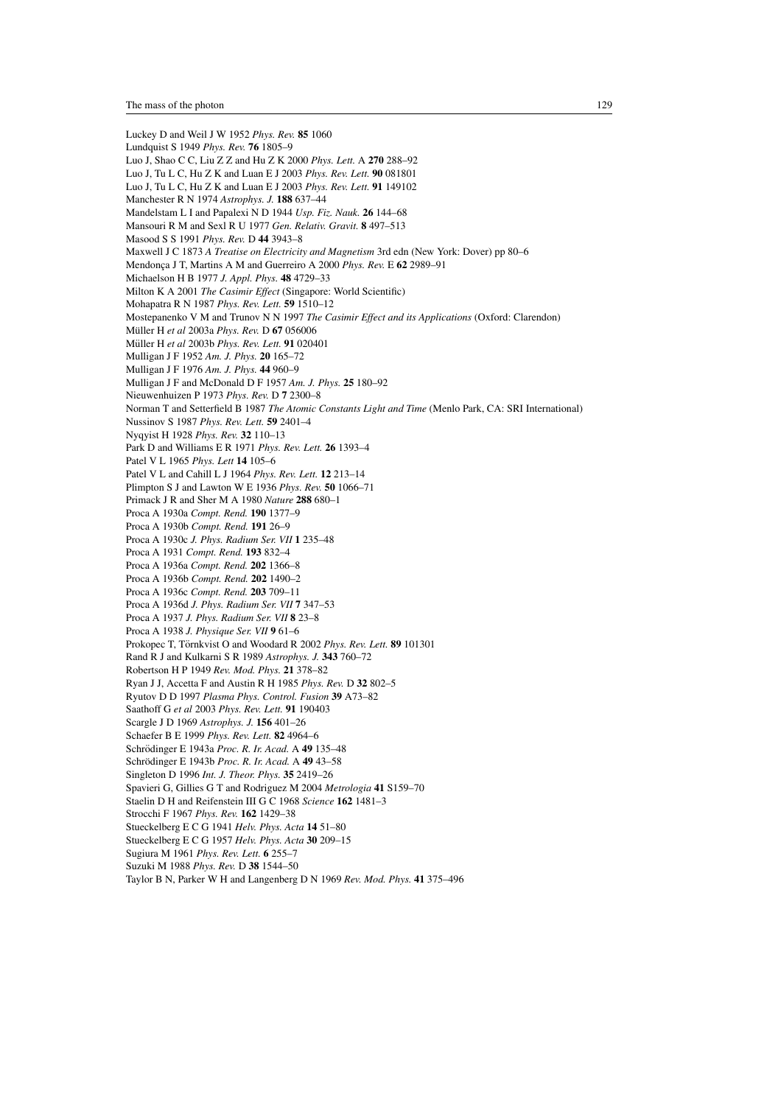Luckey D and Weil J W 1952 *Phys. Rev.* **85** 1060 Lundquist S 1949 *Phys. Rev.* **76** 1805–9 Luo J, Shao C C, Liu Z Z and Hu Z K 2000 *Phys. Lett.* A **270** 288–92 Luo J, Tu L C, Hu Z K and Luan E J 2003 *Phys. Rev. Lett.* **90** 081801 Luo J, Tu L C, Hu Z K and Luan E J 2003 *Phys. Rev. Lett.* **91** 149102 Manchester R N 1974 *Astrophys. J.* **188** 637–44 Mandelstam L I and Papalexi N D 1944 *Usp. Fiz. Nauk.* **26** 144–68 Mansouri R M and Sexl R U 1977 *Gen. Relativ. Gravit.* **8** 497–513 Masood S S 1991 *Phys. Rev.* D **44** 3943–8 Maxwell J C 1873 *A Treatise on Electricity and Magnetism* 3rd edn (New York: Dover) pp 80–6 Mendonça J T, Martins A M and Guerreiro A 2000 Phys. Rev. E 62 2989-91 Michaelson H B 1977 *J. Appl. Phys.* **48** 4729–33 Milton K A 2001 *The Casimir Effect* (Singapore: World Scientific) Mohapatra R N 1987 *Phys. Rev. Lett.* **59** 1510–12 Mostepanenko V M and Trunov N N 1997 *The Casimir Effect and its Applications* (Oxford: Clarendon) Müller H et al 2003a Phys. Rev. D 67 056006 Müller H et al 2003b Phys. Rev. Lett. 91 020401 Mulligan J F 1952 *Am. J. Phys.* **20** 165–72 Mulligan J F 1976 *Am. J. Phys.* **44** 960–9 Mulligan J F and McDonald D F 1957 *Am. J. Phys.* **25** 180–92 Nieuwenhuizen P 1973 *Phys. Rev.* D **7** 2300–8 Norman T and Setterfield B 1987 *The Atomic Constants Light and Time* (Menlo Park, CA: SRI International) Nussinov S 1987 *Phys. Rev. Lett.* **59** 2401–4 Nyqyist H 1928 *Phys. Rev.* **32** 110–13 Park D and Williams E R 1971 *Phys. Rev. Lett.* **26** 1393–4 Patel V L 1965 *Phys. Lett* **14** 105–6 Patel V L and Cahill L J 1964 *Phys. Rev. Lett.* **12** 213–14 Plimpton S J and Lawton W E 1936 *Phys. Rev.* **50** 1066–71 Primack J R and Sher M A 1980 *Nature* **288** 680–1 Proca A 1930a *Compt. Rend.* **190** 1377–9 Proca A 1930b *Compt. Rend.* **191** 26–9 Proca A 1930c *J. Phys. Radium Ser. VII* **1** 235–48 Proca A 1931 *Compt. Rend.* **193** 832–4 Proca A 1936a *Compt. Rend.* **202** 1366–8 Proca A 1936b *Compt. Rend.* **202** 1490–2 Proca A 1936c *Compt. Rend.* **203** 709–11 Proca A 1936d *J. Phys. Radium Ser. VII* **7** 347–53 Proca A 1937 *J. Phys. Radium Ser. VII* **8** 23–8 Proca A 1938 *J. Physique Ser. VII* **9** 61–6 Prokopec T, Törnkvist O and Woodard R 2002 Phys. Rev. Lett. 89 101301 Rand R J and Kulkarni S R 1989 *Astrophys. J.* **343** 760–72 Robertson H P 1949 *Rev. Mod. Phys.* **21** 378–82 Ryan J J, Accetta F and Austin R H 1985 *Phys. Rev.* D **32** 802–5 Ryutov D D 1997 *Plasma Phys. Control. Fusion* **39** A73–82 Saathoff G *et al* 2003 *Phys. Rev. Lett.* **91** 190403 Scargle J D 1969 *Astrophys. J.* **156** 401–26 Schaefer B E 1999 *Phys. Rev. Lett.* **82** 4964–6 Schrödinger E 1943a Proc. R. Ir. Acad. A 49 135-48 Schrödinger E 1943b Proc. R. Ir. Acad. A 49 43-58 Singleton D 1996 *Int. J. Theor. Phys.* **35** 2419–26 Spavieri G, Gillies G T and Rodriguez M 2004 *Metrologia* **41** S159–70 Staelin D H and Reifenstein III G C 1968 *Science* **162** 1481–3 Strocchi F 1967 *Phys. Rev.* **162** 1429–38 StueckelbergECG 1941 *Helv. Phys. Acta* **14** 51–80 StueckelbergECG 1957 *Helv. Phys. Acta* **30** 209–15 Sugiura M 1961 *Phys. Rev. Lett.* **6** 255–7 Suzuki M 1988 *Phys. Rev.* D **38** 1544–50 Taylor B N, Parker W H and Langenberg D N 1969 *Rev. Mod. Phys.* **41** 375–496